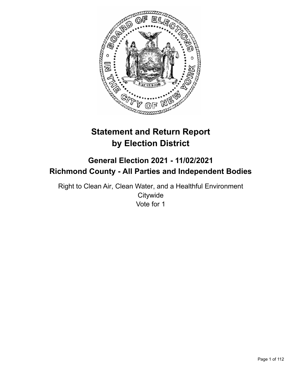

# **Statement and Return Report by Election District**

## **General Election 2021 - 11/02/2021 Richmond County - All Parties and Independent Bodies**

Right to Clean Air, Clean Water, and a Healthful Environment **Citywide** Vote for 1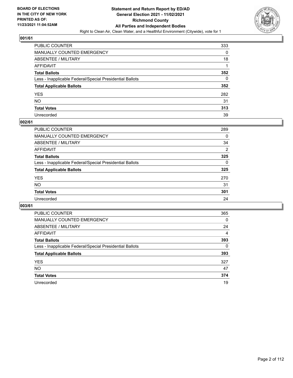

| PUBLIC COUNTER                                           | 333 |
|----------------------------------------------------------|-----|
| MANUALLY COUNTED EMERGENCY                               | 0   |
| ABSENTEE / MILITARY                                      | 18  |
| AFFIDAVIT                                                |     |
| Total Ballots                                            | 352 |
| Less - Inapplicable Federal/Special Presidential Ballots | 0   |
| <b>Total Applicable Ballots</b>                          | 352 |
| YES                                                      | 282 |
| NO.                                                      | 31  |
| <b>Total Votes</b>                                       | 313 |
| Unrecorded                                               | 39  |

#### **002/61**

| <b>PUBLIC COUNTER</b>                                    | 289            |
|----------------------------------------------------------|----------------|
| <b>MANUALLY COUNTED EMERGENCY</b>                        | 0              |
| <b>ABSENTEE / MILITARY</b>                               | 34             |
| AFFIDAVIT                                                | $\overline{2}$ |
| <b>Total Ballots</b>                                     | 325            |
| Less - Inapplicable Federal/Special Presidential Ballots | $\Omega$       |
| <b>Total Applicable Ballots</b>                          | 325            |
| <b>YES</b>                                               | 270            |
| NO.                                                      | 31             |
| <b>Total Votes</b>                                       | 301            |
| Unrecorded                                               | 24             |

| <b>PUBLIC COUNTER</b>                                    | 365            |
|----------------------------------------------------------|----------------|
| <b>MANUALLY COUNTED EMERGENCY</b>                        | 0              |
| ABSENTEE / MILITARY                                      | 24             |
| AFFIDAVIT                                                | $\overline{4}$ |
| <b>Total Ballots</b>                                     | 393            |
| Less - Inapplicable Federal/Special Presidential Ballots | 0              |
| <b>Total Applicable Ballots</b>                          | 393            |
| <b>YES</b>                                               | 327            |
| NO.                                                      | 47             |
| <b>Total Votes</b>                                       | 374            |
| Unrecorded                                               | 19             |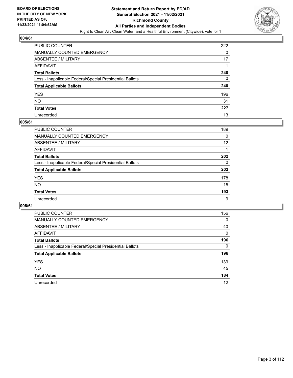

| PUBLIC COUNTER                                           | 222 |
|----------------------------------------------------------|-----|
| MANUALLY COUNTED EMERGENCY                               | 0   |
| ABSENTEE / MILITARY                                      | 17  |
| AFFIDAVIT                                                |     |
| Total Ballots                                            | 240 |
| Less - Inapplicable Federal/Special Presidential Ballots | 0   |
| <b>Total Applicable Ballots</b>                          | 240 |
| YES                                                      | 196 |
| NO.                                                      | 31  |
| <b>Total Votes</b>                                       | 227 |
| Unrecorded                                               | 13  |

#### **005/61**

| <b>PUBLIC COUNTER</b>                                    | 189      |
|----------------------------------------------------------|----------|
| <b>MANUALLY COUNTED EMERGENCY</b>                        | $\Omega$ |
| ABSENTEE / MILITARY                                      | 12       |
| AFFIDAVIT                                                |          |
| <b>Total Ballots</b>                                     | 202      |
| Less - Inapplicable Federal/Special Presidential Ballots | $\Omega$ |
| <b>Total Applicable Ballots</b>                          | 202      |
| <b>YES</b>                                               | 178      |
| <b>NO</b>                                                | 15       |
| <b>Total Votes</b>                                       | 193      |
| Unrecorded                                               | 9        |

| <b>PUBLIC COUNTER</b>                                    | 156 |
|----------------------------------------------------------|-----|
| MANUALLY COUNTED EMERGENCY                               | 0   |
| ABSENTEE / MILITARY                                      | 40  |
| AFFIDAVIT                                                | 0   |
| <b>Total Ballots</b>                                     | 196 |
| Less - Inapplicable Federal/Special Presidential Ballots | 0   |
| <b>Total Applicable Ballots</b>                          | 196 |
| <b>YES</b>                                               | 139 |
| NO.                                                      | 45  |
| <b>Total Votes</b>                                       | 184 |
| Unrecorded                                               | 12  |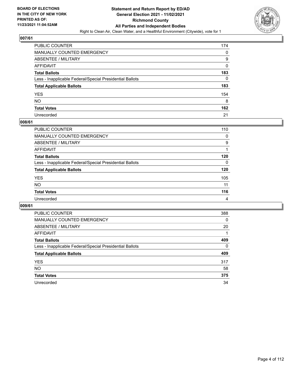

| PUBLIC COUNTER                                           | 174 |
|----------------------------------------------------------|-----|
| MANUALLY COUNTED EMERGENCY                               | 0   |
| ABSENTEE / MILITARY                                      | 9   |
| AFFIDAVIT                                                | 0   |
| Total Ballots                                            | 183 |
| Less - Inapplicable Federal/Special Presidential Ballots | 0   |
| <b>Total Applicable Ballots</b>                          | 183 |
| YES                                                      | 154 |
| NO.                                                      | 8   |
| <b>Total Votes</b>                                       | 162 |
| Unrecorded                                               | 21  |

#### **008/61**

| <b>PUBLIC COUNTER</b>                                    | 110            |
|----------------------------------------------------------|----------------|
| <b>MANUALLY COUNTED EMERGENCY</b>                        | $\Omega$       |
| ABSENTEE / MILITARY                                      | 9              |
| AFFIDAVIT                                                |                |
| <b>Total Ballots</b>                                     | 120            |
| Less - Inapplicable Federal/Special Presidential Ballots | $\Omega$       |
| <b>Total Applicable Ballots</b>                          | 120            |
| <b>YES</b>                                               | 105            |
| <b>NO</b>                                                | 11             |
| <b>Total Votes</b>                                       | 116            |
| Unrecorded                                               | $\overline{4}$ |

| <b>PUBLIC COUNTER</b>                                    | 388      |
|----------------------------------------------------------|----------|
| MANUALLY COUNTED EMERGENCY                               | 0        |
| ABSENTEE / MILITARY                                      | 20       |
| AFFIDAVIT                                                |          |
| <b>Total Ballots</b>                                     | 409      |
| Less - Inapplicable Federal/Special Presidential Ballots | $\Omega$ |
| <b>Total Applicable Ballots</b>                          | 409      |
| <b>YES</b>                                               | 317      |
| <b>NO</b>                                                | 58       |
| <b>Total Votes</b>                                       | 375      |
| Unrecorded                                               | 34       |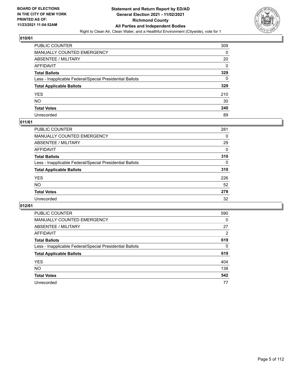

| PUBLIC COUNTER                                           | 309 |
|----------------------------------------------------------|-----|
| MANUALLY COUNTED EMERGENCY                               | 0   |
| ABSENTEE / MILITARY                                      | 20  |
| AFFIDAVIT                                                | 0   |
| <b>Total Ballots</b>                                     | 329 |
| Less - Inapplicable Federal/Special Presidential Ballots | 0   |
| <b>Total Applicable Ballots</b>                          | 329 |
| YES                                                      | 210 |
| NO.                                                      | 30  |
| <b>Total Votes</b>                                       | 240 |
| Unrecorded                                               | 89  |

#### **011/61**

| <b>PUBLIC COUNTER</b>                                    | 281          |
|----------------------------------------------------------|--------------|
| MANUALLY COUNTED EMERGENCY                               | 0            |
| ABSENTEE / MILITARY                                      | 29           |
| AFFIDAVIT                                                | $\Omega$     |
| <b>Total Ballots</b>                                     | 310          |
| Less - Inapplicable Federal/Special Presidential Ballots | $\mathbf{0}$ |
| <b>Total Applicable Ballots</b>                          | 310          |
| <b>YES</b>                                               | 226          |
| <b>NO</b>                                                | 52           |
| <b>Total Votes</b>                                       | 278          |
| Unrecorded                                               | 32           |

| <b>PUBLIC COUNTER</b>                                    | 590      |
|----------------------------------------------------------|----------|
| <b>MANUALLY COUNTED EMERGENCY</b>                        | $\Omega$ |
| ABSENTEE / MILITARY                                      | 27       |
| AFFIDAVIT                                                | 2        |
| <b>Total Ballots</b>                                     | 619      |
| Less - Inapplicable Federal/Special Presidential Ballots | $\Omega$ |
| <b>Total Applicable Ballots</b>                          | 619      |
| <b>YES</b>                                               | 404      |
| <b>NO</b>                                                | 138      |
| <b>Total Votes</b>                                       | 542      |
| Unrecorded                                               | 77       |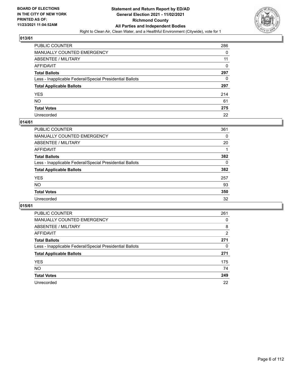

| PUBLIC COUNTER                                           | 286 |
|----------------------------------------------------------|-----|
| MANUALLY COUNTED EMERGENCY                               | 0   |
| <b>ABSENTEE / MILITARY</b>                               | 11  |
| AFFIDAVIT                                                | 0   |
| <b>Total Ballots</b>                                     | 297 |
| Less - Inapplicable Federal/Special Presidential Ballots | 0   |
| <b>Total Applicable Ballots</b>                          | 297 |
| YES                                                      | 214 |
| NO.                                                      | 61  |
| <b>Total Votes</b>                                       | 275 |
| Unrecorded                                               | 22  |

#### **014/61**

| <b>PUBLIC COUNTER</b>                                    | 361      |
|----------------------------------------------------------|----------|
| MANUALLY COUNTED EMERGENCY                               | 0        |
| ABSENTEE / MILITARY                                      | 20       |
| AFFIDAVIT                                                |          |
| <b>Total Ballots</b>                                     | 382      |
| Less - Inapplicable Federal/Special Presidential Ballots | $\Omega$ |
| <b>Total Applicable Ballots</b>                          | 382      |
| <b>YES</b>                                               | 257      |
| <b>NO</b>                                                | 93       |
| <b>Total Votes</b>                                       | 350      |
| Unrecorded                                               | 32       |

| <b>PUBLIC COUNTER</b>                                    | 261            |
|----------------------------------------------------------|----------------|
| MANUALLY COUNTED EMERGENCY                               | 0              |
| ABSENTEE / MILITARY                                      | 8              |
| AFFIDAVIT                                                | $\overline{2}$ |
| <b>Total Ballots</b>                                     | 271            |
| Less - Inapplicable Federal/Special Presidential Ballots | 0              |
| <b>Total Applicable Ballots</b>                          | 271            |
| <b>YES</b>                                               | 175            |
| NO.                                                      | 74             |
| <b>Total Votes</b>                                       | 249            |
| Unrecorded                                               | 22             |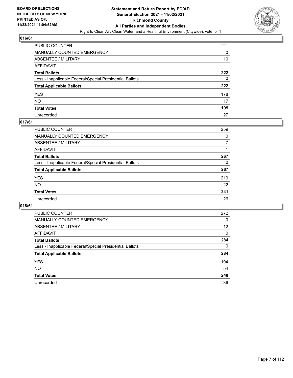

| PUBLIC COUNTER                                           | 211 |
|----------------------------------------------------------|-----|
| MANUALLY COUNTED EMERGENCY                               | 0   |
| ABSENTEE / MILITARY                                      | 10  |
| AFFIDAVIT                                                |     |
| Total Ballots                                            | 222 |
| Less - Inapplicable Federal/Special Presidential Ballots | 0   |
| <b>Total Applicable Ballots</b>                          | 222 |
| YES                                                      | 178 |
| NO.                                                      | 17  |
| <b>Total Votes</b>                                       | 195 |
| Unrecorded                                               | 27  |

## **017/61**

| PUBLIC COUNTER                                           | 259      |
|----------------------------------------------------------|----------|
| <b>MANUALLY COUNTED EMERGENCY</b>                        | 0        |
| ABSENTEE / MILITARY                                      | 7        |
| AFFIDAVIT                                                |          |
| <b>Total Ballots</b>                                     | 267      |
| Less - Inapplicable Federal/Special Presidential Ballots | $\Omega$ |
| <b>Total Applicable Ballots</b>                          | 267      |
| <b>YES</b>                                               | 219      |
| <b>NO</b>                                                | 22       |
| <b>Total Votes</b>                                       | 241      |
| Unrecorded                                               | 26       |

| <b>PUBLIC COUNTER</b>                                    | 272 |
|----------------------------------------------------------|-----|
| <b>MANUALLY COUNTED EMERGENCY</b>                        | 0   |
| ABSENTEE / MILITARY                                      | 12  |
| AFFIDAVIT                                                | 0   |
| <b>Total Ballots</b>                                     | 284 |
| Less - Inapplicable Federal/Special Presidential Ballots | 0   |
| <b>Total Applicable Ballots</b>                          | 284 |
| <b>YES</b>                                               | 194 |
| NO.                                                      | 54  |
| <b>Total Votes</b>                                       | 248 |
| Unrecorded                                               | 36  |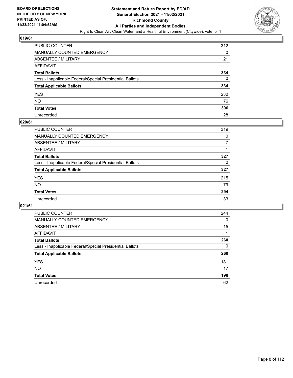

| PUBLIC COUNTER                                           | 312 |
|----------------------------------------------------------|-----|
| MANUALLY COUNTED EMERGENCY                               | 0   |
| ABSENTEE / MILITARY                                      | 21  |
| AFFIDAVIT                                                |     |
| Total Ballots                                            | 334 |
| Less - Inapplicable Federal/Special Presidential Ballots | 0   |
| <b>Total Applicable Ballots</b>                          | 334 |
| YES                                                      | 230 |
| NO.                                                      | 76  |
| <b>Total Votes</b>                                       | 306 |
| Unrecorded                                               | 28  |

#### **020/61**

| <b>PUBLIC COUNTER</b>                                    | 319      |
|----------------------------------------------------------|----------|
| <b>MANUALLY COUNTED EMERGENCY</b>                        | $\Omega$ |
| ABSENTEE / MILITARY                                      |          |
| AFFIDAVIT                                                |          |
| <b>Total Ballots</b>                                     | 327      |
| Less - Inapplicable Federal/Special Presidential Ballots | $\Omega$ |
| <b>Total Applicable Ballots</b>                          | 327      |
| <b>YES</b>                                               | 215      |
| <b>NO</b>                                                | 79       |
| <b>Total Votes</b>                                       | 294      |
| Unrecorded                                               | 33       |

| PUBLIC COUNTER                                           | 244      |
|----------------------------------------------------------|----------|
| MANUALLY COUNTED EMERGENCY                               | $\Omega$ |
| ABSENTEE / MILITARY                                      | 15       |
| AFFIDAVIT                                                |          |
| <b>Total Ballots</b>                                     | 260      |
| Less - Inapplicable Federal/Special Presidential Ballots | 0        |
| <b>Total Applicable Ballots</b>                          | 260      |
| <b>YES</b>                                               | 181      |
| NO.                                                      | 17       |
| <b>Total Votes</b>                                       | 198      |
| Unrecorded                                               | 62       |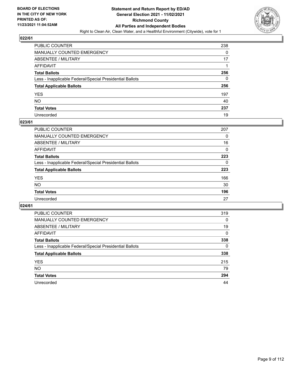

| PUBLIC COUNTER                                           | 238 |
|----------------------------------------------------------|-----|
| MANUALLY COUNTED EMERGENCY                               | 0   |
| ABSENTEE / MILITARY                                      | 17  |
| AFFIDAVIT                                                |     |
| Total Ballots                                            | 256 |
| Less - Inapplicable Federal/Special Presidential Ballots | 0   |
| <b>Total Applicable Ballots</b>                          | 256 |
| YES                                                      | 197 |
| NO.                                                      | 40  |
| <b>Total Votes</b>                                       | 237 |
| Unrecorded                                               | 19  |

#### **023/61**

| <b>PUBLIC COUNTER</b>                                    | 207      |
|----------------------------------------------------------|----------|
| <b>MANUALLY COUNTED EMERGENCY</b>                        | 0        |
| ABSENTEE / MILITARY                                      | 16       |
| AFFIDAVIT                                                | 0        |
| <b>Total Ballots</b>                                     | 223      |
| Less - Inapplicable Federal/Special Presidential Ballots | $\Omega$ |
| <b>Total Applicable Ballots</b>                          | 223      |
| <b>YES</b>                                               | 166      |
| <b>NO</b>                                                | 30       |
| <b>Total Votes</b>                                       | 196      |
| Unrecorded                                               | 27       |

| PUBLIC COUNTER                                           | 319      |
|----------------------------------------------------------|----------|
| <b>MANUALLY COUNTED EMERGENCY</b>                        | $\Omega$ |
| ABSENTEE / MILITARY                                      | 19       |
| AFFIDAVIT                                                | $\Omega$ |
| <b>Total Ballots</b>                                     | 338      |
| Less - Inapplicable Federal/Special Presidential Ballots | $\Omega$ |
| <b>Total Applicable Ballots</b>                          | 338      |
| <b>YES</b>                                               | 215      |
| <b>NO</b>                                                | 79       |
| <b>Total Votes</b>                                       | 294      |
| Unrecorded                                               | 44       |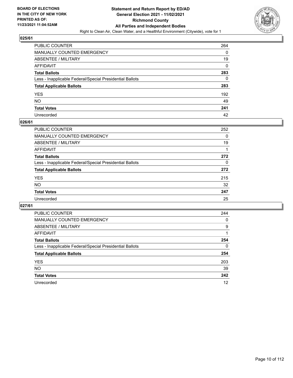

| PUBLIC COUNTER                                           | 264 |
|----------------------------------------------------------|-----|
| MANUALLY COUNTED EMERGENCY                               | 0   |
| ABSENTEE / MILITARY                                      | 19  |
| AFFIDAVIT                                                | 0   |
| Total Ballots                                            | 283 |
| Less - Inapplicable Federal/Special Presidential Ballots | 0   |
| <b>Total Applicable Ballots</b>                          | 283 |
| YES                                                      | 192 |
| NO.                                                      | 49  |
| <b>Total Votes</b>                                       | 241 |
| Unrecorded                                               | 42  |

#### **026/61**

| <b>PUBLIC COUNTER</b>                                    | 252      |
|----------------------------------------------------------|----------|
| MANUALLY COUNTED EMERGENCY                               | 0        |
| ABSENTEE / MILITARY                                      | 19       |
| AFFIDAVIT                                                |          |
| <b>Total Ballots</b>                                     | 272      |
| Less - Inapplicable Federal/Special Presidential Ballots | $\Omega$ |
| <b>Total Applicable Ballots</b>                          | 272      |
| <b>YES</b>                                               | 215      |
| <b>NO</b>                                                | 32       |
| <b>Total Votes</b>                                       | 247      |
| Unrecorded                                               | 25       |

| PUBLIC COUNTER                                           | 244      |
|----------------------------------------------------------|----------|
| <b>MANUALLY COUNTED EMERGENCY</b>                        | $\Omega$ |
| ABSENTEE / MILITARY                                      | 9        |
| AFFIDAVIT                                                |          |
| <b>Total Ballots</b>                                     | 254      |
| Less - Inapplicable Federal/Special Presidential Ballots | $\Omega$ |
| <b>Total Applicable Ballots</b>                          | 254      |
| <b>YES</b>                                               | 203      |
| <b>NO</b>                                                | 39       |
| <b>Total Votes</b>                                       | 242      |
| Unrecorded                                               | 12       |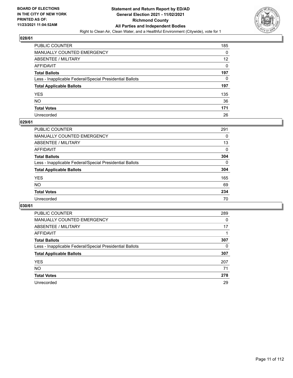

| PUBLIC COUNTER                                           | 185             |
|----------------------------------------------------------|-----------------|
| MANUALLY COUNTED EMERGENCY                               | 0               |
| ABSENTEE / MILITARY                                      | 12 <sup>°</sup> |
| AFFIDAVIT                                                | 0               |
| Total Ballots                                            | 197             |
| Less - Inapplicable Federal/Special Presidential Ballots | 0               |
| <b>Total Applicable Ballots</b>                          | 197             |
| YES                                                      | 135             |
| NO.                                                      | 36              |
| <b>Total Votes</b>                                       | 171             |
| Unrecorded                                               | 26              |

#### **029/61**

| <b>PUBLIC COUNTER</b>                                    | 291      |
|----------------------------------------------------------|----------|
| <b>MANUALLY COUNTED EMERGENCY</b>                        | 0        |
| ABSENTEE / MILITARY                                      | 13       |
| AFFIDAVIT                                                | 0        |
| <b>Total Ballots</b>                                     | 304      |
| Less - Inapplicable Federal/Special Presidential Ballots | $\Omega$ |
| <b>Total Applicable Ballots</b>                          | 304      |
| <b>YES</b>                                               | 165      |
| <b>NO</b>                                                | 69       |
| <b>Total Votes</b>                                       | 234      |
| Unrecorded                                               | 70       |

| PUBLIC COUNTER                                           | 289      |
|----------------------------------------------------------|----------|
| MANUALLY COUNTED EMERGENCY                               | $\Omega$ |
| ABSENTEE / MILITARY                                      | 17       |
| AFFIDAVIT                                                |          |
| <b>Total Ballots</b>                                     | 307      |
| Less - Inapplicable Federal/Special Presidential Ballots | $\Omega$ |
| <b>Total Applicable Ballots</b>                          | 307      |
| <b>YES</b>                                               | 207      |
| NO.                                                      | 71       |
| <b>Total Votes</b>                                       | 278      |
| Unrecorded                                               | 29       |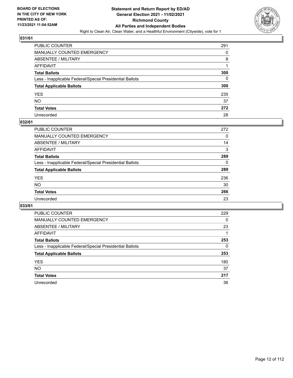

| PUBLIC COUNTER                                           | 291 |
|----------------------------------------------------------|-----|
| MANUALLY COUNTED EMERGENCY                               | 0   |
| ABSENTEE / MILITARY                                      | 8   |
| AFFIDAVIT                                                |     |
| Total Ballots                                            | 300 |
| Less - Inapplicable Federal/Special Presidential Ballots | 0   |
| <b>Total Applicable Ballots</b>                          | 300 |
| YES                                                      | 235 |
| NO.                                                      | 37  |
| <b>Total Votes</b>                                       | 272 |
| Unrecorded                                               | 28  |

#### **032/61**

| <b>PUBLIC COUNTER</b>                                    | 272      |
|----------------------------------------------------------|----------|
| <b>MANUALLY COUNTED EMERGENCY</b>                        | $\Omega$ |
| ABSENTEE / MILITARY                                      | 14       |
| AFFIDAVIT                                                | 3        |
| <b>Total Ballots</b>                                     | 289      |
| Less - Inapplicable Federal/Special Presidential Ballots | $\Omega$ |
| <b>Total Applicable Ballots</b>                          | 289      |
| <b>YES</b>                                               | 236      |
| <b>NO</b>                                                | 30       |
| <b>Total Votes</b>                                       | 266      |
| Unrecorded                                               | 23       |

| PUBLIC COUNTER                                           | 229 |
|----------------------------------------------------------|-----|
| MANUALLY COUNTED EMERGENCY                               | 0   |
| ABSENTEE / MILITARY                                      | 23  |
| AFFIDAVIT                                                |     |
| <b>Total Ballots</b>                                     | 253 |
| Less - Inapplicable Federal/Special Presidential Ballots | 0   |
| <b>Total Applicable Ballots</b>                          | 253 |
| <b>YES</b>                                               | 180 |
| <b>NO</b>                                                | 37  |
| <b>Total Votes</b>                                       | 217 |
| Unrecorded                                               | 36  |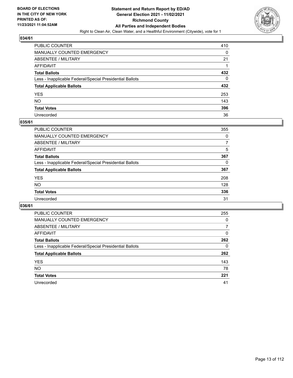

| PUBLIC COUNTER                                           | 410 |
|----------------------------------------------------------|-----|
| MANUALLY COUNTED EMERGENCY                               | 0   |
| <b>ABSENTEE / MILITARY</b>                               | 21  |
| AFFIDAVIT                                                |     |
| <b>Total Ballots</b>                                     | 432 |
| Less - Inapplicable Federal/Special Presidential Ballots | 0   |
| <b>Total Applicable Ballots</b>                          | 432 |
| YES                                                      | 253 |
| NO.                                                      | 143 |
| <b>Total Votes</b>                                       | 396 |
| Unrecorded                                               | 36  |

#### **035/61**

| <b>PUBLIC COUNTER</b>                                    | 355      |
|----------------------------------------------------------|----------|
| <b>MANUALLY COUNTED EMERGENCY</b>                        | 0        |
| ABSENTEE / MILITARY                                      | 7        |
| AFFIDAVIT                                                | 5        |
| <b>Total Ballots</b>                                     | 367      |
| Less - Inapplicable Federal/Special Presidential Ballots | $\Omega$ |
| <b>Total Applicable Ballots</b>                          | 367      |
| <b>YES</b>                                               | 208      |
| <b>NO</b>                                                | 128      |
| <b>Total Votes</b>                                       | 336      |
| Unrecorded                                               | 31       |

| PUBLIC COUNTER                                           | 255      |
|----------------------------------------------------------|----------|
| <b>MANUALLY COUNTED EMERGENCY</b>                        | $\Omega$ |
| ABSENTEE / MILITARY                                      | 7        |
| AFFIDAVIT                                                | $\Omega$ |
| <b>Total Ballots</b>                                     | 262      |
| Less - Inapplicable Federal/Special Presidential Ballots | $\Omega$ |
| <b>Total Applicable Ballots</b>                          | 262      |
| <b>YES</b>                                               | 143      |
| <b>NO</b>                                                | 78       |
| <b>Total Votes</b>                                       | 221      |
| Unrecorded                                               | 41       |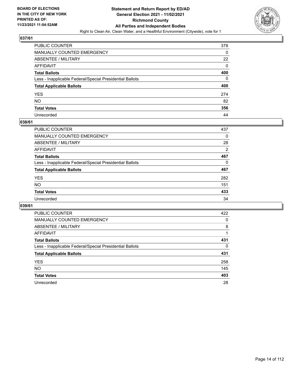

| PUBLIC COUNTER                                           | 378               |
|----------------------------------------------------------|-------------------|
| MANUALLY COUNTED EMERGENCY                               | 0                 |
| ABSENTEE / MILITARY                                      | $22 \overline{ }$ |
| AFFIDAVIT                                                | 0                 |
| Total Ballots                                            | 400               |
| Less - Inapplicable Federal/Special Presidential Ballots | $\Omega$          |
| <b>Total Applicable Ballots</b>                          | 400               |
| YES                                                      | 274               |
| NO.                                                      | 82                |
| <b>Total Votes</b>                                       | 356               |
| Unrecorded                                               | 44                |

#### **038/61**

| <b>PUBLIC COUNTER</b>                                    | 437            |
|----------------------------------------------------------|----------------|
| <b>MANUALLY COUNTED EMERGENCY</b>                        | $\Omega$       |
| ABSENTEE / MILITARY                                      | 28             |
| AFFIDAVIT                                                | $\overline{2}$ |
| <b>Total Ballots</b>                                     | 467            |
| Less - Inapplicable Federal/Special Presidential Ballots | 0              |
| <b>Total Applicable Ballots</b>                          | 467            |
| <b>YES</b>                                               | 282            |
| <b>NO</b>                                                | 151            |
| <b>Total Votes</b>                                       | 433            |
| Unrecorded                                               | 34             |

| PUBLIC COUNTER                                           | 422      |
|----------------------------------------------------------|----------|
| MANUALLY COUNTED EMERGENCY                               | 0        |
| ABSENTEE / MILITARY                                      | 8        |
| AFFIDAVIT                                                |          |
| <b>Total Ballots</b>                                     | 431      |
| Less - Inapplicable Federal/Special Presidential Ballots | $\Omega$ |
| <b>Total Applicable Ballots</b>                          | 431      |
| <b>YES</b>                                               | 258      |
| NO.                                                      | 145      |
| <b>Total Votes</b>                                       | 403      |
| Unrecorded                                               | 28       |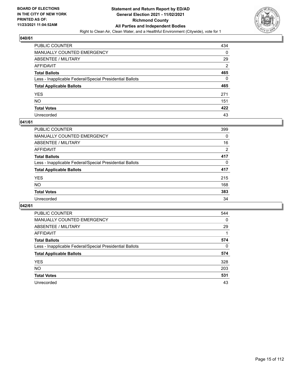

| PUBLIC COUNTER                                           | 434            |
|----------------------------------------------------------|----------------|
| MANUALLY COUNTED EMERGENCY                               | 0              |
| <b>ABSENTEE / MILITARY</b>                               | 29             |
| AFFIDAVIT                                                | $\overline{2}$ |
| <b>Total Ballots</b>                                     | 465            |
| Less - Inapplicable Federal/Special Presidential Ballots | 0              |
| <b>Total Applicable Ballots</b>                          | 465            |
| YES                                                      | 271            |
| NO.                                                      | 151            |
| <b>Total Votes</b>                                       | 422            |
| Unrecorded                                               | 43             |

#### **041/61**

| <b>PUBLIC COUNTER</b>                                    | 399      |
|----------------------------------------------------------|----------|
| <b>MANUALLY COUNTED EMERGENCY</b>                        | $\Omega$ |
| ABSENTEE / MILITARY                                      | 16       |
| AFFIDAVIT                                                | 2        |
| <b>Total Ballots</b>                                     | 417      |
| Less - Inapplicable Federal/Special Presidential Ballots | $\Omega$ |
| <b>Total Applicable Ballots</b>                          | 417      |
| <b>YES</b>                                               | 215      |
| <b>NO</b>                                                | 168      |
| <b>Total Votes</b>                                       | 383      |
| Unrecorded                                               | 34       |

| PUBLIC COUNTER                                           | 544      |
|----------------------------------------------------------|----------|
| <b>MANUALLY COUNTED EMERGENCY</b>                        | $\Omega$ |
| ABSENTEE / MILITARY                                      | 29       |
| AFFIDAVIT                                                |          |
| <b>Total Ballots</b>                                     | 574      |
| Less - Inapplicable Federal/Special Presidential Ballots | 0        |
| <b>Total Applicable Ballots</b>                          | 574      |
| <b>YES</b>                                               | 328      |
| NO.                                                      | 203      |
| <b>Total Votes</b>                                       | 531      |
| Unrecorded                                               | 43       |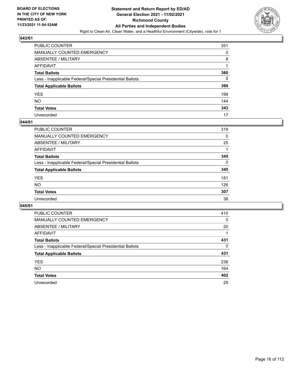

| PUBLIC COUNTER                                           | 351      |
|----------------------------------------------------------|----------|
| MANUALLY COUNTED EMERGENCY                               | 0        |
| ABSENTEE / MILITARY                                      | 8        |
| AFFIDAVIT                                                |          |
| Total Ballots                                            | 360      |
| Less - Inapplicable Federal/Special Presidential Ballots | $\Omega$ |
| <b>Total Applicable Ballots</b>                          | 360      |
| YES                                                      | 199      |
| NO.                                                      | 144      |
| <b>Total Votes</b>                                       | 343      |
| Unrecorded                                               | 17       |

#### **044/61**

| <b>PUBLIC COUNTER</b>                                    | 319      |
|----------------------------------------------------------|----------|
| <b>MANUALLY COUNTED EMERGENCY</b>                        | 0        |
| ABSENTEE / MILITARY                                      | 25       |
| AFFIDAVIT                                                |          |
| <b>Total Ballots</b>                                     | 345      |
| Less - Inapplicable Federal/Special Presidential Ballots | $\Omega$ |
| <b>Total Applicable Ballots</b>                          | 345      |
| <b>YES</b>                                               | 181      |
| <b>NO</b>                                                | 126      |
| <b>Total Votes</b>                                       | 307      |
| Unrecorded                                               | 38       |

| PUBLIC COUNTER                                           | 410      |
|----------------------------------------------------------|----------|
| MANUALLY COUNTED EMERGENCY                               | 0        |
| ABSENTEE / MILITARY                                      | 20       |
| AFFIDAVIT                                                |          |
| <b>Total Ballots</b>                                     | 431      |
| Less - Inapplicable Federal/Special Presidential Ballots | $\Omega$ |
| <b>Total Applicable Ballots</b>                          | 431      |
| <b>YES</b>                                               | 238      |
| NO.                                                      | 164      |
| <b>Total Votes</b>                                       | 402      |
| Unrecorded                                               | 29       |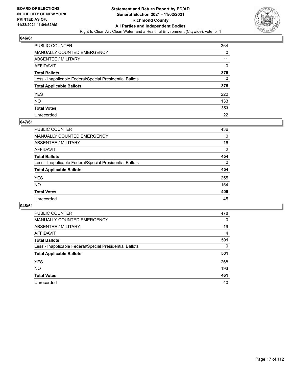

| PUBLIC COUNTER                                           | 364 |
|----------------------------------------------------------|-----|
| MANUALLY COUNTED EMERGENCY                               | 0   |
| ABSENTEE / MILITARY                                      | 11  |
| <b>AFFIDAVIT</b>                                         | 0   |
| <b>Total Ballots</b>                                     | 375 |
| Less - Inapplicable Federal/Special Presidential Ballots | 0   |
| <b>Total Applicable Ballots</b>                          | 375 |
| YES                                                      | 220 |
| NO.                                                      | 133 |
| <b>Total Votes</b>                                       | 353 |
| Unrecorded                                               | 22  |

#### **047/61**

| PUBLIC COUNTER                                           | 436            |
|----------------------------------------------------------|----------------|
| <b>MANUALLY COUNTED EMERGENCY</b>                        | $\Omega$       |
| ABSENTEE / MILITARY                                      | 16             |
| AFFIDAVIT                                                | $\overline{2}$ |
| <b>Total Ballots</b>                                     | 454            |
| Less - Inapplicable Federal/Special Presidential Ballots | $\Omega$       |
| <b>Total Applicable Ballots</b>                          | 454            |
| <b>YES</b>                                               | 255            |
| <b>NO</b>                                                | 154            |
| <b>Total Votes</b>                                       | 409            |
| Unrecorded                                               | 45             |

| PUBLIC COUNTER                                           | 478      |
|----------------------------------------------------------|----------|
| MANUALLY COUNTED EMERGENCY                               | 0        |
| ABSENTEE / MILITARY                                      | 19       |
| AFFIDAVIT                                                | 4        |
| <b>Total Ballots</b>                                     | 501      |
| Less - Inapplicable Federal/Special Presidential Ballots | $\Omega$ |
| <b>Total Applicable Ballots</b>                          | 501      |
| <b>YES</b>                                               | 268      |
| <b>NO</b>                                                | 193      |
| <b>Total Votes</b>                                       | 461      |
|                                                          |          |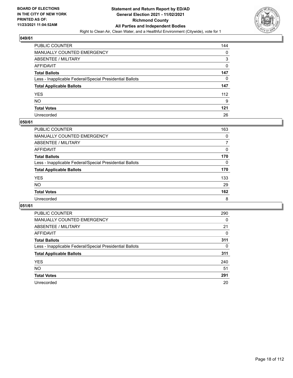

| PUBLIC COUNTER                                           | 144 |
|----------------------------------------------------------|-----|
| MANUALLY COUNTED EMERGENCY                               | 0   |
| <b>ABSENTEE / MILITARY</b>                               | 3   |
| AFFIDAVIT                                                | 0   |
| <b>Total Ballots</b>                                     | 147 |
| Less - Inapplicable Federal/Special Presidential Ballots | 0   |
| <b>Total Applicable Ballots</b>                          | 147 |
| YES.                                                     | 112 |
| NO                                                       | 9   |
| <b>Total Votes</b>                                       | 121 |
| Unrecorded                                               | 26  |

#### **050/61**

| <b>PUBLIC COUNTER</b>                                    | 163      |
|----------------------------------------------------------|----------|
| <b>MANUALLY COUNTED EMERGENCY</b>                        | 0        |
| ABSENTEE / MILITARY                                      | 7        |
| AFFIDAVIT                                                | $\Omega$ |
| <b>Total Ballots</b>                                     | 170      |
| Less - Inapplicable Federal/Special Presidential Ballots | $\Omega$ |
| <b>Total Applicable Ballots</b>                          | 170      |
| <b>YES</b>                                               | 133      |
| <b>NO</b>                                                | 29       |
| <b>Total Votes</b>                                       | 162      |
| Unrecorded                                               | 8        |

| PUBLIC COUNTER                                           | 290      |
|----------------------------------------------------------|----------|
| MANUALLY COUNTED EMERGENCY                               | $\Omega$ |
| ABSENTEE / MILITARY                                      | 21       |
| AFFIDAVIT                                                | 0        |
| <b>Total Ballots</b>                                     | 311      |
| Less - Inapplicable Federal/Special Presidential Ballots | $\Omega$ |
| <b>Total Applicable Ballots</b>                          | 311      |
| <b>YES</b>                                               | 240      |
| NO.                                                      | 51       |
| <b>Total Votes</b>                                       | 291      |
| Unrecorded                                               | 20       |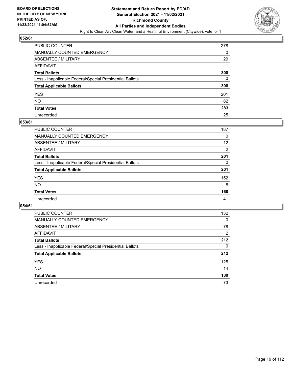

| PUBLIC COUNTER                                           | 278      |
|----------------------------------------------------------|----------|
| MANUALLY COUNTED EMERGENCY                               | 0        |
| ABSENTEE / MILITARY                                      | 29       |
| AFFIDAVIT                                                |          |
| <b>Total Ballots</b>                                     | 308      |
| Less - Inapplicable Federal/Special Presidential Ballots | $\Omega$ |
| <b>Total Applicable Ballots</b>                          | 308      |
| YES                                                      | 201      |
| NO.                                                      | 82       |
| <b>Total Votes</b>                                       | 283      |
| Unrecorded                                               | 25       |

#### **053/61**

| <b>PUBLIC COUNTER</b>                                    | 187            |
|----------------------------------------------------------|----------------|
| MANUALLY COUNTED EMERGENCY                               | 0              |
| ABSENTEE / MILITARY                                      | 12             |
| AFFIDAVIT                                                | $\overline{2}$ |
| <b>Total Ballots</b>                                     | 201            |
| Less - Inapplicable Federal/Special Presidential Ballots | $\Omega$       |
| <b>Total Applicable Ballots</b>                          | 201            |
| <b>YES</b>                                               | 152            |
| <b>NO</b>                                                | 8              |
| <b>Total Votes</b>                                       | 160            |
| Unrecorded                                               | 41             |

| PUBLIC COUNTER                                           | 132      |
|----------------------------------------------------------|----------|
| <b>MANUALLY COUNTED EMERGENCY</b>                        | $\Omega$ |
| ABSENTEE / MILITARY                                      | 78       |
| AFFIDAVIT                                                | 2        |
| <b>Total Ballots</b>                                     | 212      |
| Less - Inapplicable Federal/Special Presidential Ballots | $\Omega$ |
| <b>Total Applicable Ballots</b>                          | 212      |
| <b>YES</b>                                               | 125      |
| <b>NO</b>                                                | 14       |
| <b>Total Votes</b>                                       | 139      |
| Unrecorded                                               | 73       |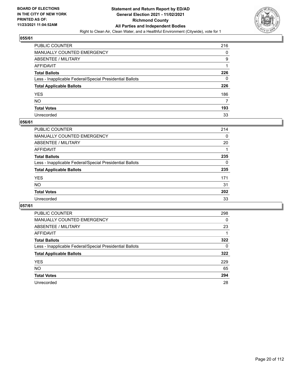

| PUBLIC COUNTER                                           | 216 |
|----------------------------------------------------------|-----|
| MANUALLY COUNTED EMERGENCY                               | 0   |
| ABSENTEE / MILITARY                                      | 9   |
| AFFIDAVIT                                                |     |
| Total Ballots                                            | 226 |
| Less - Inapplicable Federal/Special Presidential Ballots | 0   |
| <b>Total Applicable Ballots</b>                          | 226 |
| YES                                                      | 186 |
| NO.                                                      | 7   |
| <b>Total Votes</b>                                       | 193 |
| Unrecorded                                               | 33  |

#### **056/61**

| <b>PUBLIC COUNTER</b>                                    | 214 |
|----------------------------------------------------------|-----|
| <b>MANUALLY COUNTED EMERGENCY</b>                        | 0   |
| ABSENTEE / MILITARY                                      | 20  |
| AFFIDAVIT                                                |     |
| <b>Total Ballots</b>                                     | 235 |
| Less - Inapplicable Federal/Special Presidential Ballots | 0   |
| <b>Total Applicable Ballots</b>                          | 235 |
| <b>YES</b>                                               | 171 |
| <b>NO</b>                                                | 31  |
| <b>Total Votes</b>                                       | 202 |
| Unrecorded                                               | 33  |

| PUBLIC COUNTER                                           | 298      |
|----------------------------------------------------------|----------|
| MANUALLY COUNTED EMERGENCY                               | $\Omega$ |
| ABSENTEE / MILITARY                                      | 23       |
| AFFIDAVIT                                                |          |
| <b>Total Ballots</b>                                     | 322      |
| Less - Inapplicable Federal/Special Presidential Ballots | 0        |
| <b>Total Applicable Ballots</b>                          | 322      |
| <b>YES</b>                                               | 229      |
| NO.                                                      | 65       |
| <b>Total Votes</b>                                       | 294      |
| Unrecorded                                               | 28       |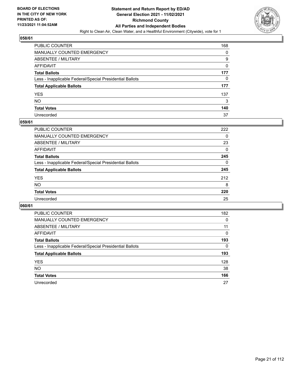

| PUBLIC COUNTER                                           | 168 |
|----------------------------------------------------------|-----|
| MANUALLY COUNTED EMERGENCY                               | 0   |
| ABSENTEE / MILITARY                                      | 9   |
| AFFIDAVIT                                                | 0   |
| Total Ballots                                            | 177 |
| Less - Inapplicable Federal/Special Presidential Ballots | 0   |
| <b>Total Applicable Ballots</b>                          | 177 |
| YES                                                      | 137 |
| NO.                                                      | 3   |
| <b>Total Votes</b>                                       | 140 |
| Unrecorded                                               | 37  |

#### **059/61**

| <b>PUBLIC COUNTER</b>                                    | 222      |
|----------------------------------------------------------|----------|
| <b>MANUALLY COUNTED EMERGENCY</b>                        | $\Omega$ |
| ABSENTEE / MILITARY                                      | 23       |
| AFFIDAVIT                                                | 0        |
| <b>Total Ballots</b>                                     | 245      |
| Less - Inapplicable Federal/Special Presidential Ballots | $\Omega$ |
| <b>Total Applicable Ballots</b>                          | 245      |
| <b>YES</b>                                               | 212      |
| <b>NO</b>                                                | 8        |
| <b>Total Votes</b>                                       | 220      |
| Unrecorded                                               | 25       |

| PUBLIC COUNTER                                           | 182      |
|----------------------------------------------------------|----------|
| <b>MANUALLY COUNTED EMERGENCY</b>                        | 0        |
| ABSENTEE / MILITARY                                      | 11       |
| AFFIDAVIT                                                | $\Omega$ |
| <b>Total Ballots</b>                                     | 193      |
| Less - Inapplicable Federal/Special Presidential Ballots | $\Omega$ |
| <b>Total Applicable Ballots</b>                          | 193      |
| <b>YES</b>                                               | 128      |
| <b>NO</b>                                                | 38       |
| <b>Total Votes</b>                                       | 166      |
| Unrecorded                                               | 27       |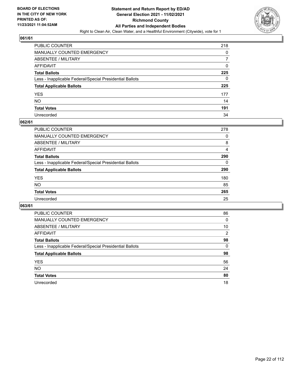

| PUBLIC COUNTER                                           | 218 |
|----------------------------------------------------------|-----|
| MANUALLY COUNTED EMERGENCY                               | 0   |
| ABSENTEE / MILITARY                                      |     |
| AFFIDAVIT                                                | 0   |
| <b>Total Ballots</b>                                     | 225 |
| Less - Inapplicable Federal/Special Presidential Ballots | 0   |
| <b>Total Applicable Ballots</b>                          | 225 |
| YES                                                      | 177 |
| NO.                                                      | 14  |
| <b>Total Votes</b>                                       | 191 |
| Unrecorded                                               | 34  |

#### **062/61**

| <b>PUBLIC COUNTER</b>                                    | 278      |
|----------------------------------------------------------|----------|
| <b>MANUALLY COUNTED EMERGENCY</b>                        | $\Omega$ |
| ABSENTEE / MILITARY                                      | 8        |
| AFFIDAVIT                                                | 4        |
| <b>Total Ballots</b>                                     | 290      |
| Less - Inapplicable Federal/Special Presidential Ballots | 0        |
| <b>Total Applicable Ballots</b>                          | 290      |
| <b>YES</b>                                               | 180      |
| <b>NO</b>                                                | 85       |
| <b>Total Votes</b>                                       | 265      |
| Unrecorded                                               | 25       |

| PUBLIC COUNTER                                           | 86       |
|----------------------------------------------------------|----------|
| MANUALLY COUNTED EMERGENCY                               | 0        |
| ABSENTEE / MILITARY                                      | 10       |
| AFFIDAVIT                                                | 2        |
| <b>Total Ballots</b>                                     | 98       |
| Less - Inapplicable Federal/Special Presidential Ballots | $\Omega$ |
| <b>Total Applicable Ballots</b>                          | 98       |
| <b>YES</b>                                               | 56       |
| <b>NO</b>                                                | 24       |
| <b>Total Votes</b>                                       | 80       |
| Unrecorded                                               | 18       |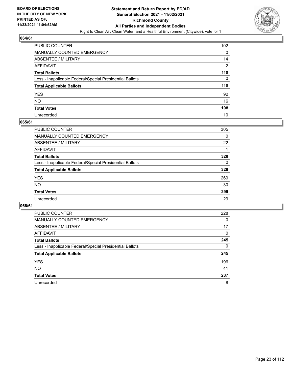

| PUBLIC COUNTER                                           | 102            |
|----------------------------------------------------------|----------------|
| MANUALLY COUNTED EMERGENCY                               | 0              |
| <b>ABSENTEE / MILITARY</b>                               | 14             |
| <b>AFFIDAVIT</b>                                         | $\overline{2}$ |
| <b>Total Ballots</b>                                     | 118            |
| Less - Inapplicable Federal/Special Presidential Ballots | 0              |
| <b>Total Applicable Ballots</b>                          | 118            |
| YES                                                      | 92             |
| <b>NO</b>                                                | 16             |
| <b>Total Votes</b>                                       | 108            |
| Unrecorded                                               | 10             |

#### **065/61**

| PUBLIC COUNTER                                           | 305      |
|----------------------------------------------------------|----------|
| <b>MANUALLY COUNTED EMERGENCY</b>                        | $\Omega$ |
| ABSENTEE / MILITARY                                      | 22       |
| AFFIDAVIT                                                |          |
| <b>Total Ballots</b>                                     | 328      |
| Less - Inapplicable Federal/Special Presidential Ballots | $\Omega$ |
| <b>Total Applicable Ballots</b>                          | 328      |
| <b>YES</b>                                               | 269      |
| <b>NO</b>                                                | 30       |
| <b>Total Votes</b>                                       | 299      |
| Unrecorded                                               | 29       |

| PUBLIC COUNTER                                           | 228      |
|----------------------------------------------------------|----------|
| <b>MANUALLY COUNTED EMERGENCY</b>                        | $\Omega$ |
| ABSENTEE / MILITARY                                      | 17       |
| AFFIDAVIT                                                | $\Omega$ |
| <b>Total Ballots</b>                                     | 245      |
| Less - Inapplicable Federal/Special Presidential Ballots | $\Omega$ |
| <b>Total Applicable Ballots</b>                          | 245      |
| <b>YES</b>                                               | 196      |
| NO.                                                      | 41       |
| <b>Total Votes</b>                                       | 237      |
| Unrecorded                                               | 8        |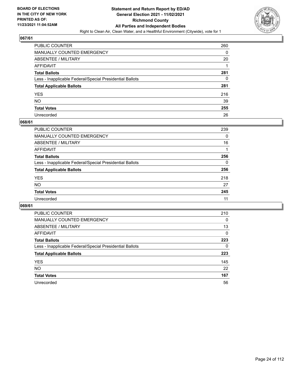

| PUBLIC COUNTER                                           | 260 |
|----------------------------------------------------------|-----|
| MANUALLY COUNTED EMERGENCY                               | 0   |
| ABSENTEE / MILITARY                                      | 20  |
| <b>AFFIDAVIT</b>                                         |     |
| <b>Total Ballots</b>                                     | 281 |
| Less - Inapplicable Federal/Special Presidential Ballots | 0   |
| <b>Total Applicable Ballots</b>                          | 281 |
| YES                                                      | 216 |
| NO.                                                      | 39  |
| <b>Total Votes</b>                                       | 255 |
| Unrecorded                                               | 26  |

#### **068/61**

| <b>PUBLIC COUNTER</b>                                    | 239      |
|----------------------------------------------------------|----------|
| <b>MANUALLY COUNTED EMERGENCY</b>                        | $\Omega$ |
| ABSENTEE / MILITARY                                      | 16       |
| AFFIDAVIT                                                |          |
| <b>Total Ballots</b>                                     | 256      |
| Less - Inapplicable Federal/Special Presidential Ballots | $\Omega$ |
| <b>Total Applicable Ballots</b>                          | 256      |
| <b>YES</b>                                               | 218      |
| <b>NO</b>                                                | 27       |
| <b>Total Votes</b>                                       | 245      |
| Unrecorded                                               | 11       |

| PUBLIC COUNTER                                           | 210      |
|----------------------------------------------------------|----------|
| MANUALLY COUNTED EMERGENCY                               | 0        |
| ABSENTEE / MILITARY                                      | 13       |
| AFFIDAVIT                                                | $\Omega$ |
| <b>Total Ballots</b>                                     | 223      |
| Less - Inapplicable Federal/Special Presidential Ballots | 0        |
| <b>Total Applicable Ballots</b>                          | 223      |
| <b>YES</b>                                               | 145      |
| <b>NO</b>                                                | 22       |
| <b>Total Votes</b>                                       | 167      |
| Unrecorded                                               | 56       |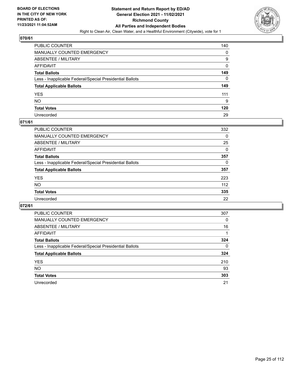

| PUBLIC COUNTER                                           | 140 |
|----------------------------------------------------------|-----|
| MANUALLY COUNTED EMERGENCY                               | 0   |
| ABSENTEE / MILITARY                                      | 9   |
| AFFIDAVIT                                                | 0   |
| Total Ballots                                            | 149 |
| Less - Inapplicable Federal/Special Presidential Ballots | 0   |
| <b>Total Applicable Ballots</b>                          | 149 |
| YES                                                      | 111 |
| NO.                                                      | 9   |
| <b>Total Votes</b>                                       | 120 |
| Unrecorded                                               | 29  |

#### **071/61**

| <b>PUBLIC COUNTER</b>                                    | 332      |
|----------------------------------------------------------|----------|
| MANUALLY COUNTED EMERGENCY                               | 0        |
| ABSENTEE / MILITARY                                      | 25       |
| AFFIDAVIT                                                | 0        |
| <b>Total Ballots</b>                                     | 357      |
| Less - Inapplicable Federal/Special Presidential Ballots | $\Omega$ |
| <b>Total Applicable Ballots</b>                          | 357      |
| <b>YES</b>                                               | 223      |
| <b>NO</b>                                                | 112      |
| <b>Total Votes</b>                                       | 335      |
| Unrecorded                                               | 22       |

| PUBLIC COUNTER                                           | 307      |
|----------------------------------------------------------|----------|
| <b>MANUALLY COUNTED EMERGENCY</b>                        | $\Omega$ |
| ABSENTEE / MILITARY                                      | 16       |
| AFFIDAVIT                                                |          |
| <b>Total Ballots</b>                                     | 324      |
| Less - Inapplicable Federal/Special Presidential Ballots | 0        |
| <b>Total Applicable Ballots</b>                          | 324      |
| <b>YES</b>                                               | 210      |
| NO.                                                      | 93       |
| <b>Total Votes</b>                                       | 303      |
| Unrecorded                                               | 21       |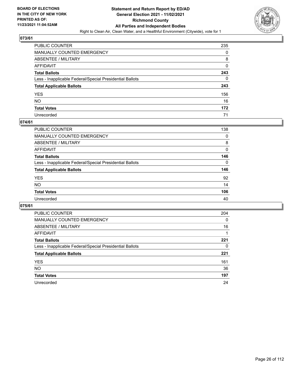

| PUBLIC COUNTER                                           | 235 |
|----------------------------------------------------------|-----|
| MANUALLY COUNTED EMERGENCY                               | 0   |
| ABSENTEE / MILITARY                                      | 8   |
| AFFIDAVIT                                                | 0   |
| <b>Total Ballots</b>                                     | 243 |
| Less - Inapplicable Federal/Special Presidential Ballots | 0   |
| <b>Total Applicable Ballots</b>                          | 243 |
| YES                                                      | 156 |
| NO.                                                      | 16  |
| <b>Total Votes</b>                                       | 172 |
| Unrecorded                                               | 71  |

#### **074/61**

| <b>PUBLIC COUNTER</b>                                    | 138      |
|----------------------------------------------------------|----------|
| MANUALLY COUNTED EMERGENCY                               | 0        |
| ABSENTEE / MILITARY                                      | 8        |
| AFFIDAVIT                                                | 0        |
| <b>Total Ballots</b>                                     | 146      |
| Less - Inapplicable Federal/Special Presidential Ballots | $\Omega$ |
| <b>Total Applicable Ballots</b>                          | 146      |
| <b>YES</b>                                               | 92       |
| <b>NO</b>                                                | 14       |
| <b>Total Votes</b>                                       | 106      |
| Unrecorded                                               | 40       |

| PUBLIC COUNTER                                           | 204      |
|----------------------------------------------------------|----------|
| MANUALLY COUNTED EMERGENCY                               | $\Omega$ |
| ABSENTEE / MILITARY                                      | 16       |
| AFFIDAVIT                                                |          |
| <b>Total Ballots</b>                                     | 221      |
| Less - Inapplicable Federal/Special Presidential Ballots | 0        |
| <b>Total Applicable Ballots</b>                          | 221      |
| <b>YES</b>                                               | 161      |
| NO.                                                      | 36       |
| <b>Total Votes</b>                                       | 197      |
| Unrecorded                                               | 24       |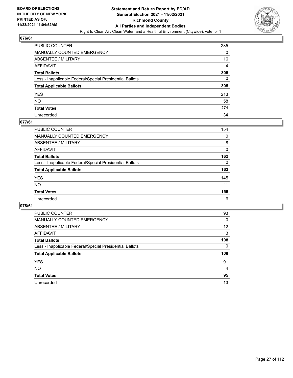

| PUBLIC COUNTER                                           | 285 |
|----------------------------------------------------------|-----|
| MANUALLY COUNTED EMERGENCY                               | 0   |
| ABSENTEE / MILITARY                                      | 16  |
| AFFIDAVIT                                                | 4   |
| <b>Total Ballots</b>                                     | 305 |
| Less - Inapplicable Federal/Special Presidential Ballots | 0   |
| <b>Total Applicable Ballots</b>                          | 305 |
| YES                                                      | 213 |
| NO.                                                      | 58  |
| <b>Total Votes</b>                                       | 271 |
| Unrecorded                                               | 34  |

#### **077/61**

| <b>PUBLIC COUNTER</b>                                    | 154      |
|----------------------------------------------------------|----------|
| <b>MANUALLY COUNTED EMERGENCY</b>                        | 0        |
| ABSENTEE / MILITARY                                      | 8        |
| AFFIDAVIT                                                | 0        |
| <b>Total Ballots</b>                                     | 162      |
| Less - Inapplicable Federal/Special Presidential Ballots | $\Omega$ |
| <b>Total Applicable Ballots</b>                          | 162      |
| <b>YES</b>                                               | 145      |
| <b>NO</b>                                                | 11       |
| <b>Total Votes</b>                                       | 156      |
| Unrecorded                                               | 6        |

| <b>PUBLIC COUNTER</b>                                    | 93       |
|----------------------------------------------------------|----------|
| MANUALLY COUNTED EMERGENCY                               | 0        |
| ABSENTEE / MILITARY                                      | 12       |
| AFFIDAVIT                                                | 3        |
| <b>Total Ballots</b>                                     | 108      |
| Less - Inapplicable Federal/Special Presidential Ballots | $\Omega$ |
| <b>Total Applicable Ballots</b>                          | 108      |
| <b>YES</b>                                               | 91       |
| NO.                                                      | 4        |
| <b>Total Votes</b>                                       | 95       |
| Unrecorded                                               | 13       |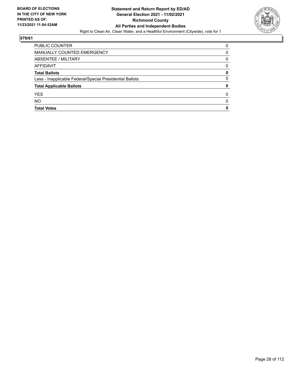

| <b>PUBLIC COUNTER</b>                                    | 0            |
|----------------------------------------------------------|--------------|
| MANUALLY COUNTED EMERGENCY                               | 0            |
| ABSENTEE / MILITARY                                      | 0            |
| AFFIDAVIT                                                | 0            |
| <b>Total Ballots</b>                                     | 0            |
| Less - Inapplicable Federal/Special Presidential Ballots | 0            |
| <b>Total Applicable Ballots</b>                          | 0            |
| <b>YES</b>                                               | <sup>0</sup> |
| <b>NO</b>                                                | <sup>0</sup> |
| <b>Total Votes</b>                                       | 0            |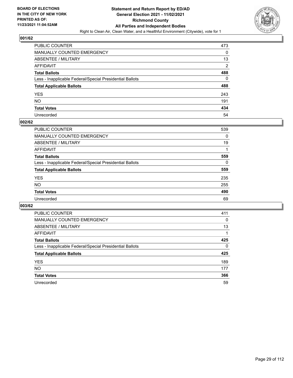

| PUBLIC COUNTER                                           | 473            |
|----------------------------------------------------------|----------------|
| MANUALLY COUNTED EMERGENCY                               | 0              |
| ABSENTEE / MILITARY                                      | 13             |
| AFFIDAVIT                                                | $\overline{2}$ |
| Total Ballots                                            | 488            |
| Less - Inapplicable Federal/Special Presidential Ballots | 0              |
| <b>Total Applicable Ballots</b>                          | 488            |
| YES                                                      | 243            |
| NO.                                                      | 191            |
| <b>Total Votes</b>                                       | 434            |
| Unrecorded                                               | 54             |

#### **002/62**

| <b>PUBLIC COUNTER</b>                                    | 539      |
|----------------------------------------------------------|----------|
| <b>MANUALLY COUNTED EMERGENCY</b>                        | 0        |
| ABSENTEE / MILITARY                                      | 19       |
| AFFIDAVIT                                                |          |
| <b>Total Ballots</b>                                     | 559      |
| Less - Inapplicable Federal/Special Presidential Ballots | $\Omega$ |
| <b>Total Applicable Ballots</b>                          | 559      |
| <b>YES</b>                                               | 235      |
| <b>NO</b>                                                | 255      |
| <b>Total Votes</b>                                       | 490      |
| Unrecorded                                               | 69       |

| <b>PUBLIC COUNTER</b>                                    | 411      |
|----------------------------------------------------------|----------|
| <b>MANUALLY COUNTED EMERGENCY</b>                        | 0        |
| ABSENTEE / MILITARY                                      | 13       |
| AFFIDAVIT                                                |          |
| <b>Total Ballots</b>                                     | 425      |
| Less - Inapplicable Federal/Special Presidential Ballots | $\Omega$ |
| <b>Total Applicable Ballots</b>                          | 425      |
| <b>YES</b>                                               | 189      |
| <b>NO</b>                                                | 177      |
| <b>Total Votes</b>                                       | 366      |
| Unrecorded                                               | 59       |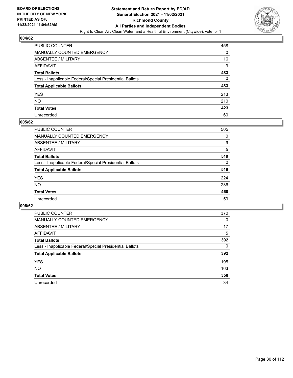

| PUBLIC COUNTER                                           | 458 |
|----------------------------------------------------------|-----|
| MANUALLY COUNTED EMERGENCY                               | 0   |
| ABSENTEE / MILITARY                                      | 16  |
| AFFIDAVIT                                                | 9   |
| <b>Total Ballots</b>                                     | 483 |
| Less - Inapplicable Federal/Special Presidential Ballots | 0   |
| <b>Total Applicable Ballots</b>                          | 483 |
| YES                                                      | 213 |
| NO.                                                      | 210 |
| <b>Total Votes</b>                                       | 423 |
| Unrecorded                                               | 60  |

#### **005/62**

| PUBLIC COUNTER                                           | 505      |
|----------------------------------------------------------|----------|
| <b>MANUALLY COUNTED EMERGENCY</b>                        | $\Omega$ |
| ABSENTEE / MILITARY                                      | 9        |
| AFFIDAVIT                                                | 5        |
| <b>Total Ballots</b>                                     | 519      |
| Less - Inapplicable Federal/Special Presidential Ballots | $\Omega$ |
| <b>Total Applicable Ballots</b>                          | 519      |
| <b>YES</b>                                               | 224      |
| <b>NO</b>                                                | 236      |
| <b>Total Votes</b>                                       | 460      |
| Unrecorded                                               | 59       |

| <b>PUBLIC COUNTER</b>                                    | 370      |
|----------------------------------------------------------|----------|
| <b>MANUALLY COUNTED EMERGENCY</b>                        | $\Omega$ |
| ABSENTEE / MILITARY                                      | 17       |
| AFFIDAVIT                                                | 5        |
| <b>Total Ballots</b>                                     | 392      |
| Less - Inapplicable Federal/Special Presidential Ballots | $\Omega$ |
| <b>Total Applicable Ballots</b>                          | 392      |
| <b>YES</b>                                               | 195      |
| <b>NO</b>                                                | 163      |
| <b>Total Votes</b>                                       | 358      |
| Unrecorded                                               | 34       |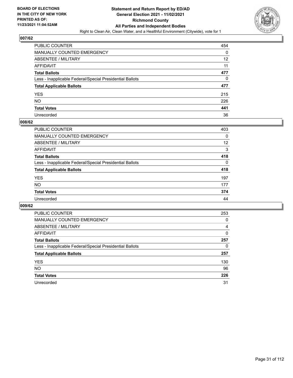

| PUBLIC COUNTER                                           | 454 |
|----------------------------------------------------------|-----|
| MANUALLY COUNTED EMERGENCY                               | 0   |
| <b>ABSENTEE / MILITARY</b>                               | 12  |
| <b>AFFIDAVIT</b>                                         | 11  |
| <b>Total Ballots</b>                                     | 477 |
| Less - Inapplicable Federal/Special Presidential Ballots | 0   |
| <b>Total Applicable Ballots</b>                          | 477 |
| YES                                                      | 215 |
| <b>NO</b>                                                | 226 |
| <b>Total Votes</b>                                       | 441 |
| Unrecorded                                               | 36  |

#### **008/62**

| <b>PUBLIC COUNTER</b>                                    | 403      |
|----------------------------------------------------------|----------|
| <b>MANUALLY COUNTED EMERGENCY</b>                        | 0        |
| ABSENTEE / MILITARY                                      | 12       |
| AFFIDAVIT                                                | 3        |
| <b>Total Ballots</b>                                     | 418      |
| Less - Inapplicable Federal/Special Presidential Ballots | $\Omega$ |
| <b>Total Applicable Ballots</b>                          | 418      |
| <b>YES</b>                                               | 197      |
| <b>NO</b>                                                | 177      |
| <b>Total Votes</b>                                       | 374      |
| Unrecorded                                               | 44       |

| <b>PUBLIC COUNTER</b>                                    | 253      |
|----------------------------------------------------------|----------|
| <b>MANUALLY COUNTED EMERGENCY</b>                        | 0        |
| ABSENTEE / MILITARY                                      | 4        |
| AFFIDAVIT                                                | $\Omega$ |
| <b>Total Ballots</b>                                     | 257      |
| Less - Inapplicable Federal/Special Presidential Ballots | 0        |
| <b>Total Applicable Ballots</b>                          | 257      |
| <b>YES</b>                                               | 130      |
| <b>NO</b>                                                | 96       |
| <b>Total Votes</b>                                       | 226      |
| Unrecorded                                               | 31       |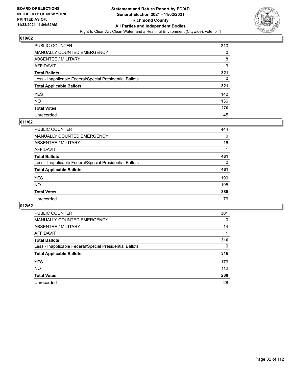

| PUBLIC COUNTER                                           | 310 |
|----------------------------------------------------------|-----|
| MANUALLY COUNTED EMERGENCY                               | 0   |
| ABSENTEE / MILITARY                                      | 8   |
| AFFIDAVIT                                                | 3   |
| Total Ballots                                            | 321 |
| Less - Inapplicable Federal/Special Presidential Ballots | 0   |
| <b>Total Applicable Ballots</b>                          | 321 |
| YES                                                      | 140 |
| NO.                                                      | 136 |
| <b>Total Votes</b>                                       | 276 |
| Unrecorded                                               | 45  |

#### **011/62**

| <b>PUBLIC COUNTER</b>                                    | 444      |
|----------------------------------------------------------|----------|
| <b>MANUALLY COUNTED EMERGENCY</b>                        | $\Omega$ |
| ABSENTEE / MILITARY                                      | 16       |
| AFFIDAVIT                                                |          |
| <b>Total Ballots</b>                                     | 461      |
| Less - Inapplicable Federal/Special Presidential Ballots | 0        |
| <b>Total Applicable Ballots</b>                          | 461      |
| <b>YES</b>                                               | 190      |
| <b>NO</b>                                                | 195      |
| <b>Total Votes</b>                                       | 385      |
| Unrecorded                                               | 76       |

| <b>PUBLIC COUNTER</b>                                    | 301      |
|----------------------------------------------------------|----------|
| <b>MANUALLY COUNTED EMERGENCY</b>                        | 0        |
| ABSENTEE / MILITARY                                      | 14       |
| AFFIDAVIT                                                |          |
| <b>Total Ballots</b>                                     | 316      |
| Less - Inapplicable Federal/Special Presidential Ballots | $\Omega$ |
| <b>Total Applicable Ballots</b>                          | 316      |
| <b>YES</b>                                               | 176      |
| NO.                                                      | 112      |
| <b>Total Votes</b>                                       | 288      |
| Unrecorded                                               | 28       |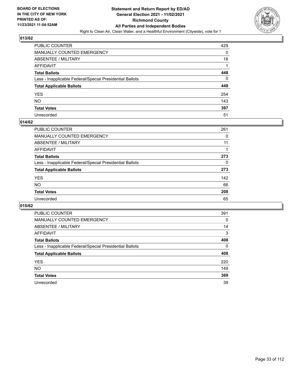

| PUBLIC COUNTER                                           | 429 |
|----------------------------------------------------------|-----|
| MANUALLY COUNTED EMERGENCY                               | 0   |
| ABSENTEE / MILITARY                                      | 18  |
| AFFIDAVIT                                                |     |
| Total Ballots                                            | 448 |
| Less - Inapplicable Federal/Special Presidential Ballots | 0   |
| <b>Total Applicable Ballots</b>                          | 448 |
| YES                                                      | 254 |
| NO.                                                      | 143 |
| <b>Total Votes</b>                                       | 397 |
| Unrecorded                                               | 51  |

#### **014/62**

| <b>PUBLIC COUNTER</b>                                    | 261      |
|----------------------------------------------------------|----------|
| <b>MANUALLY COUNTED EMERGENCY</b>                        | 0        |
| ABSENTEE / MILITARY                                      | 11       |
| AFFIDAVIT                                                |          |
| <b>Total Ballots</b>                                     | 273      |
| Less - Inapplicable Federal/Special Presidential Ballots | $\Omega$ |
| <b>Total Applicable Ballots</b>                          | 273      |
| <b>YES</b>                                               | 142      |
| <b>NO</b>                                                | 66       |
| <b>Total Votes</b>                                       | 208      |
| Unrecorded                                               | 65       |

| <b>PUBLIC COUNTER</b>                                    | 391      |
|----------------------------------------------------------|----------|
| MANUALLY COUNTED EMERGENCY                               | 0        |
| ABSENTEE / MILITARY                                      | 14       |
| AFFIDAVIT                                                | 3        |
| <b>Total Ballots</b>                                     | 408      |
| Less - Inapplicable Federal/Special Presidential Ballots | $\Omega$ |
| <b>Total Applicable Ballots</b>                          | 408      |
| <b>YES</b>                                               | 220      |
| NO.                                                      | 149      |
| <b>Total Votes</b>                                       | 369      |
| Unrecorded                                               | 39       |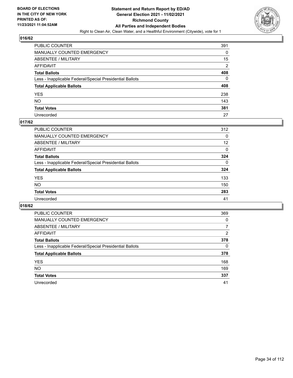

| PUBLIC COUNTER                                           | 391            |
|----------------------------------------------------------|----------------|
| MANUALLY COUNTED EMERGENCY                               | 0              |
| ABSENTEE / MILITARY                                      | 15             |
| AFFIDAVIT                                                | $\overline{2}$ |
| <b>Total Ballots</b>                                     | 408            |
| Less - Inapplicable Federal/Special Presidential Ballots | 0              |
| <b>Total Applicable Ballots</b>                          | 408            |
| YES                                                      | 238            |
| NO.                                                      | 143            |
| <b>Total Votes</b>                                       | 381            |
| Unrecorded                                               | 27             |

#### **017/62**

| 312      |
|----------|
| 0        |
| 12       |
| 0        |
| 324      |
| $\Omega$ |
| 324      |
| 133      |
| 150      |
| 283      |
| 41       |
|          |

| <b>PUBLIC COUNTER</b>                                    | 369      |
|----------------------------------------------------------|----------|
| <b>MANUALLY COUNTED EMERGENCY</b>                        | $\Omega$ |
| ABSENTEE / MILITARY                                      | 7        |
| AFFIDAVIT                                                | 2        |
| <b>Total Ballots</b>                                     | 378      |
| Less - Inapplicable Federal/Special Presidential Ballots | $\Omega$ |
| <b>Total Applicable Ballots</b>                          | 378      |
| <b>YES</b>                                               | 168      |
| <b>NO</b>                                                | 169      |
| <b>Total Votes</b>                                       | 337      |
| Unrecorded                                               | 41       |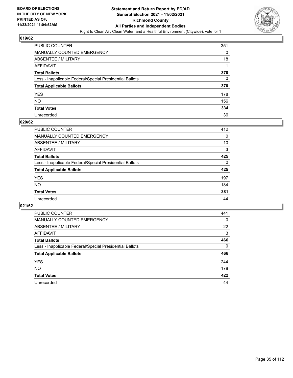

| PUBLIC COUNTER                                           | 351 |
|----------------------------------------------------------|-----|
| MANUALLY COUNTED EMERGENCY                               | 0   |
| ABSENTEE / MILITARY                                      | 18  |
| AFFIDAVIT                                                |     |
| <b>Total Ballots</b>                                     | 370 |
| Less - Inapplicable Federal/Special Presidential Ballots | 0   |
| <b>Total Applicable Ballots</b>                          | 370 |
| YES                                                      | 178 |
| NO.                                                      | 156 |
| <b>Total Votes</b>                                       | 334 |
| Unrecorded                                               | 36  |

#### **020/62**

| <b>PUBLIC COUNTER</b>                                    | 412      |
|----------------------------------------------------------|----------|
| MANUALLY COUNTED EMERGENCY                               | 0        |
| ABSENTEE / MILITARY                                      | 10       |
| AFFIDAVIT                                                | 3        |
| <b>Total Ballots</b>                                     | 425      |
| Less - Inapplicable Federal/Special Presidential Ballots | $\Omega$ |
| <b>Total Applicable Ballots</b>                          | 425      |
| <b>YES</b>                                               | 197      |
| <b>NO</b>                                                | 184      |
| <b>Total Votes</b>                                       | 381      |
| Unrecorded                                               | 44       |

| PUBLIC COUNTER                                           | 441      |
|----------------------------------------------------------|----------|
| <b>MANUALLY COUNTED EMERGENCY</b>                        | $\Omega$ |
| ABSENTEE / MILITARY                                      | 22       |
| AFFIDAVIT                                                | 3        |
| <b>Total Ballots</b>                                     | 466      |
| Less - Inapplicable Federal/Special Presidential Ballots | $\Omega$ |
| <b>Total Applicable Ballots</b>                          | 466      |
| <b>YES</b>                                               | 244      |
| <b>NO</b>                                                | 178      |
| <b>Total Votes</b>                                       | 422      |
| Unrecorded                                               | 44       |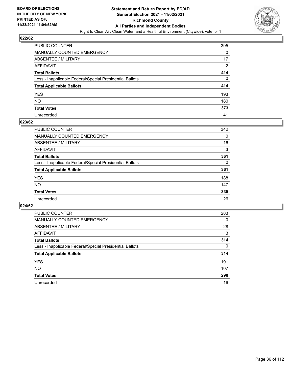

| PUBLIC COUNTER                                           | 395            |
|----------------------------------------------------------|----------------|
| MANUALLY COUNTED EMERGENCY                               | 0              |
| ABSENTEE / MILITARY                                      | 17             |
| AFFIDAVIT                                                | $\overline{2}$ |
| Total Ballots                                            | 414            |
| Less - Inapplicable Federal/Special Presidential Ballots | 0              |
| <b>Total Applicable Ballots</b>                          | 414            |
| YES                                                      | 193            |
| NO.                                                      | 180            |
| <b>Total Votes</b>                                       | 373            |
| Unrecorded                                               | 41             |

#### **023/62**

| <b>PUBLIC COUNTER</b>                                    | 342      |
|----------------------------------------------------------|----------|
| <b>MANUALLY COUNTED EMERGENCY</b>                        | 0        |
| ABSENTEE / MILITARY                                      | 16       |
| AFFIDAVIT                                                | 3        |
| <b>Total Ballots</b>                                     | 361      |
| Less - Inapplicable Federal/Special Presidential Ballots | $\Omega$ |
| <b>Total Applicable Ballots</b>                          | 361      |
| <b>YES</b>                                               | 188      |
| <b>NO</b>                                                | 147      |
| <b>Total Votes</b>                                       | 335      |
| Unrecorded                                               | 26       |

| PUBLIC COUNTER                                           | 283      |
|----------------------------------------------------------|----------|
| <b>MANUALLY COUNTED EMERGENCY</b>                        | $\Omega$ |
| ABSENTEE / MILITARY                                      | 28       |
| AFFIDAVIT                                                | 3        |
| <b>Total Ballots</b>                                     | 314      |
| Less - Inapplicable Federal/Special Presidential Ballots | $\Omega$ |
| <b>Total Applicable Ballots</b>                          | 314      |
| <b>YES</b>                                               | 191      |
| <b>NO</b>                                                | 107      |
| <b>Total Votes</b>                                       | 298      |
| Unrecorded                                               | 16       |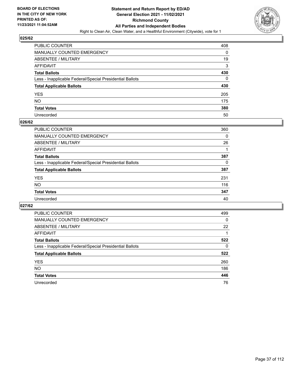

| PUBLIC COUNTER                                           | 408      |
|----------------------------------------------------------|----------|
| MANUALLY COUNTED EMERGENCY                               | 0        |
| ABSENTEE / MILITARY                                      | 19       |
| AFFIDAVIT                                                | 3        |
| Total Ballots                                            | 430      |
| Less - Inapplicable Federal/Special Presidential Ballots | $\Omega$ |
| <b>Total Applicable Ballots</b>                          | 430      |
| YES                                                      | 205      |
| NO.                                                      | 175      |
| <b>Total Votes</b>                                       | 380      |
| Unrecorded                                               | 50       |

#### **026/62**

| PUBLIC COUNTER                                           | 360      |
|----------------------------------------------------------|----------|
| <b>MANUALLY COUNTED EMERGENCY</b>                        | 0        |
| <b>ABSENTEE / MILITARY</b>                               | 26       |
| AFFIDAVIT                                                |          |
| <b>Total Ballots</b>                                     | 387      |
| Less - Inapplicable Federal/Special Presidential Ballots | $\Omega$ |
| <b>Total Applicable Ballots</b>                          | 387      |
| <b>YES</b>                                               | 231      |
| <b>NO</b>                                                | 116      |
| <b>Total Votes</b>                                       | 347      |
| Unrecorded                                               | 40       |

| <b>PUBLIC COUNTER</b>                                    | 499      |
|----------------------------------------------------------|----------|
| MANUALLY COUNTED EMERGENCY                               | $\Omega$ |
| ABSENTEE / MILITARY                                      | 22       |
| AFFIDAVIT                                                |          |
| <b>Total Ballots</b>                                     | 522      |
| Less - Inapplicable Federal/Special Presidential Ballots | 0        |
| <b>Total Applicable Ballots</b>                          | 522      |
| <b>YES</b>                                               | 260      |
| NO.                                                      | 186      |
| <b>Total Votes</b>                                       | 446      |
| Unrecorded                                               | 76       |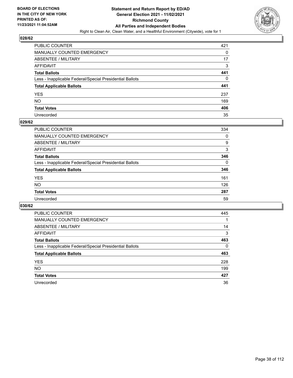

| PUBLIC COUNTER                                           | 421 |
|----------------------------------------------------------|-----|
| <b>MANUALLY COUNTED EMERGENCY</b>                        | 0   |
| ABSENTEE / MILITARY                                      | 17  |
| AFFIDAVIT                                                | 3   |
| <b>Total Ballots</b>                                     | 441 |
| Less - Inapplicable Federal/Special Presidential Ballots | 0   |
| <b>Total Applicable Ballots</b>                          | 441 |
| YES                                                      | 237 |
| NO.                                                      | 169 |
| <b>Total Votes</b>                                       | 406 |
| Unrecorded                                               | 35  |

#### **029/62**

| <b>PUBLIC COUNTER</b>                                    | 334      |
|----------------------------------------------------------|----------|
| MANUALLY COUNTED EMERGENCY                               | 0        |
| ABSENTEE / MILITARY                                      | 9        |
| AFFIDAVIT                                                | 3        |
| <b>Total Ballots</b>                                     | 346      |
| Less - Inapplicable Federal/Special Presidential Ballots | $\Omega$ |
| <b>Total Applicable Ballots</b>                          | 346      |
| <b>YES</b>                                               | 161      |
| <b>NO</b>                                                | 126      |
| <b>Total Votes</b>                                       | 287      |
| Unrecorded                                               | 59       |

| PUBLIC COUNTER                                           | 445      |
|----------------------------------------------------------|----------|
| <b>MANUALLY COUNTED EMERGENCY</b>                        |          |
| ABSENTEE / MILITARY                                      | 14       |
| AFFIDAVIT                                                | 3        |
| <b>Total Ballots</b>                                     | 463      |
| Less - Inapplicable Federal/Special Presidential Ballots | $\Omega$ |
| <b>Total Applicable Ballots</b>                          | 463      |
| <b>YES</b>                                               | 228      |
| <b>NO</b>                                                | 199      |
| <b>Total Votes</b>                                       | 427      |
| Unrecorded                                               | 36       |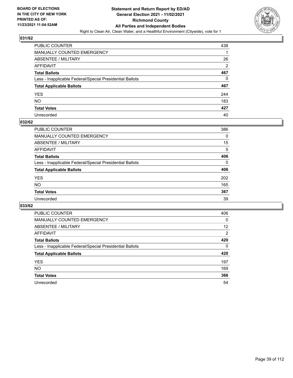

| PUBLIC COUNTER                                           | 438            |
|----------------------------------------------------------|----------------|
| MANUALLY COUNTED EMERGENCY                               |                |
| <b>ABSENTEE / MILITARY</b>                               | 26             |
| AFFIDAVIT                                                | $\overline{2}$ |
| <b>Total Ballots</b>                                     | 467            |
| Less - Inapplicable Federal/Special Presidential Ballots | 0              |
| <b>Total Applicable Ballots</b>                          | 467            |
| YES                                                      | 244            |
| NO.                                                      | 183            |
| <b>Total Votes</b>                                       | 427            |
| Unrecorded                                               | 40             |

#### **032/62**

| PUBLIC COUNTER                                           | 386      |
|----------------------------------------------------------|----------|
| MANUALLY COUNTED EMERGENCY                               | 0        |
| ABSENTEE / MILITARY                                      | 15       |
| AFFIDAVIT                                                | 5        |
| <b>Total Ballots</b>                                     | 406      |
| Less - Inapplicable Federal/Special Presidential Ballots | $\Omega$ |
| <b>Total Applicable Ballots</b>                          | 406      |
| <b>YES</b>                                               | 202      |
| <b>NO</b>                                                | 165      |
| <b>Total Votes</b>                                       | 367      |
| Unrecorded                                               | 39       |

| <b>PUBLIC COUNTER</b>                                    | 406      |
|----------------------------------------------------------|----------|
| MANUALLY COUNTED EMERGENCY                               | 0        |
| ABSENTEE / MILITARY                                      | 12       |
| AFFIDAVIT                                                | 2        |
| <b>Total Ballots</b>                                     | 420      |
| Less - Inapplicable Federal/Special Presidential Ballots | $\Omega$ |
| <b>Total Applicable Ballots</b>                          | 420      |
| <b>YES</b>                                               | 197      |
| <b>NO</b>                                                | 169      |
| <b>Total Votes</b>                                       | 366      |
| Unrecorded                                               | 54       |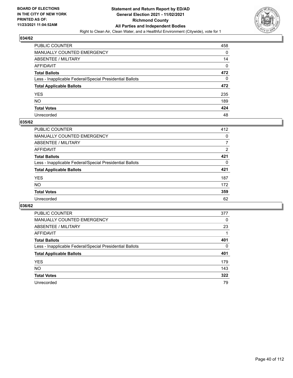

| PUBLIC COUNTER                                           | 458 |
|----------------------------------------------------------|-----|
| MANUALLY COUNTED EMERGENCY                               | 0   |
| ABSENTEE / MILITARY                                      | 14  |
| AFFIDAVIT                                                | 0   |
| <b>Total Ballots</b>                                     | 472 |
| Less - Inapplicable Federal/Special Presidential Ballots | 0   |
| <b>Total Applicable Ballots</b>                          | 472 |
| YES                                                      | 235 |
| NO.                                                      | 189 |
| <b>Total Votes</b>                                       | 424 |
| Unrecorded                                               | 48  |

#### **035/62**

| <b>PUBLIC COUNTER</b>                                    | 412      |
|----------------------------------------------------------|----------|
| <b>MANUALLY COUNTED EMERGENCY</b>                        | 0        |
| ABSENTEE / MILITARY                                      | 7        |
| AFFIDAVIT                                                | 2        |
| <b>Total Ballots</b>                                     | 421      |
| Less - Inapplicable Federal/Special Presidential Ballots | $\Omega$ |
| <b>Total Applicable Ballots</b>                          | 421      |
| <b>YES</b>                                               | 187      |
| <b>NO</b>                                                | 172      |
| <b>Total Votes</b>                                       | 359      |
| Unrecorded                                               | 62       |

| <b>PUBLIC COUNTER</b>                                    | 377      |
|----------------------------------------------------------|----------|
| MANUALLY COUNTED EMERGENCY                               | $\Omega$ |
| ABSENTEE / MILITARY                                      | 23       |
| AFFIDAVIT                                                |          |
| <b>Total Ballots</b>                                     | 401      |
| Less - Inapplicable Federal/Special Presidential Ballots | $\Omega$ |
| <b>Total Applicable Ballots</b>                          | 401      |
| <b>YES</b>                                               | 179      |
| NO.                                                      | 143      |
| <b>Total Votes</b>                                       | 322      |
| Unrecorded                                               | 79       |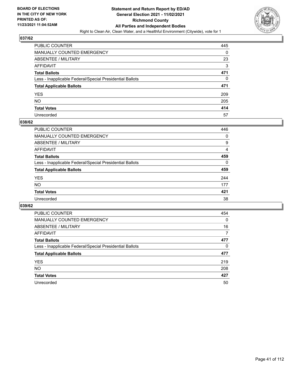

| PUBLIC COUNTER                                           | 445 |
|----------------------------------------------------------|-----|
| MANUALLY COUNTED EMERGENCY                               | 0   |
| ABSENTEE / MILITARY                                      | 23  |
| AFFIDAVIT                                                | 3   |
| <b>Total Ballots</b>                                     | 471 |
| Less - Inapplicable Federal/Special Presidential Ballots | 0   |
| <b>Total Applicable Ballots</b>                          | 471 |
| YES                                                      | 209 |
| NO.                                                      | 205 |
| <b>Total Votes</b>                                       | 414 |
| Unrecorded                                               | 57  |

#### **038/62**

| <b>PUBLIC COUNTER</b>                                    | 446      |
|----------------------------------------------------------|----------|
| <b>MANUALLY COUNTED EMERGENCY</b>                        | $\Omega$ |
| ABSENTEE / MILITARY                                      | 9        |
| AFFIDAVIT                                                | 4        |
| <b>Total Ballots</b>                                     | 459      |
| Less - Inapplicable Federal/Special Presidential Ballots | $\Omega$ |
| <b>Total Applicable Ballots</b>                          | 459      |
| <b>YES</b>                                               | 244      |
| <b>NO</b>                                                | 177      |
| <b>Total Votes</b>                                       | 421      |
| Unrecorded                                               | 38       |

| <b>PUBLIC COUNTER</b>                                    | 454      |
|----------------------------------------------------------|----------|
| <b>MANUALLY COUNTED EMERGENCY</b>                        | $\Omega$ |
| ABSENTEE / MILITARY                                      | 16       |
| AFFIDAVIT                                                | 7        |
| <b>Total Ballots</b>                                     | 477      |
| Less - Inapplicable Federal/Special Presidential Ballots | $\Omega$ |
| <b>Total Applicable Ballots</b>                          | 477      |
| <b>YES</b>                                               | 219      |
| <b>NO</b>                                                | 208      |
| <b>Total Votes</b>                                       | 427      |
| Unrecorded                                               | 50       |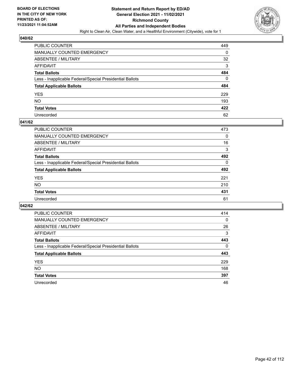

| PUBLIC COUNTER                                           | 449 |
|----------------------------------------------------------|-----|
| MANUALLY COUNTED EMERGENCY                               | 0   |
| ABSENTEE / MILITARY                                      | 32  |
| AFFIDAVIT                                                | 3   |
| <b>Total Ballots</b>                                     | 484 |
| Less - Inapplicable Federal/Special Presidential Ballots | 0   |
| <b>Total Applicable Ballots</b>                          | 484 |
| YES                                                      | 229 |
| NO.                                                      | 193 |
| <b>Total Votes</b>                                       | 422 |
| Unrecorded                                               | 62  |

#### **041/62**

| <b>PUBLIC COUNTER</b>                                    | 473      |
|----------------------------------------------------------|----------|
| <b>MANUALLY COUNTED EMERGENCY</b>                        | 0        |
| ABSENTEE / MILITARY                                      | 16       |
| AFFIDAVIT                                                | 3        |
| <b>Total Ballots</b>                                     | 492      |
| Less - Inapplicable Federal/Special Presidential Ballots | $\Omega$ |
| <b>Total Applicable Ballots</b>                          | 492      |
| <b>YES</b>                                               | 221      |
| <b>NO</b>                                                | 210      |
| <b>Total Votes</b>                                       | 431      |
| Unrecorded                                               | 61       |

| <b>PUBLIC COUNTER</b>                                    | 414      |
|----------------------------------------------------------|----------|
| MANUALLY COUNTED EMERGENCY                               | 0        |
| ABSENTEE / MILITARY                                      | 26       |
| AFFIDAVIT                                                | 3        |
| <b>Total Ballots</b>                                     | 443      |
| Less - Inapplicable Federal/Special Presidential Ballots | $\Omega$ |
| <b>Total Applicable Ballots</b>                          | 443      |
| <b>YES</b>                                               | 229      |
| <b>NO</b>                                                | 168      |
| <b>Total Votes</b>                                       | 397      |
| Unrecorded                                               | 46       |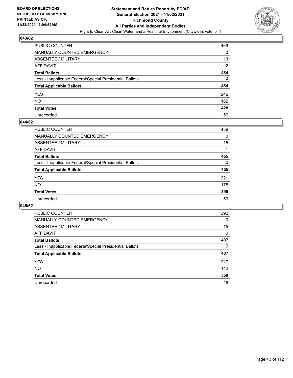

| PUBLIC COUNTER                                           | 469            |
|----------------------------------------------------------|----------------|
| MANUALLY COUNTED EMERGENCY                               | 0              |
| ABSENTEE / MILITARY                                      | 13             |
| AFFIDAVIT                                                | $\overline{2}$ |
| <b>Total Ballots</b>                                     | 484            |
| Less - Inapplicable Federal/Special Presidential Ballots | 0              |
| <b>Total Applicable Ballots</b>                          | 484            |
| YES                                                      | 246            |
| NO.                                                      | 182            |
| <b>Total Votes</b>                                       | 428            |
| Unrecorded                                               | 56             |

#### **044/62**

| PUBLIC COUNTER                                           | 439      |
|----------------------------------------------------------|----------|
| <b>MANUALLY COUNTED EMERGENCY</b>                        | $\Omega$ |
| ABSENTEE / MILITARY                                      | 15       |
| AFFIDAVIT                                                |          |
| <b>Total Ballots</b>                                     | 455      |
| Less - Inapplicable Federal/Special Presidential Ballots | $\Omega$ |
| <b>Total Applicable Ballots</b>                          | 455      |
| <b>YES</b>                                               | 221      |
| <b>NO</b>                                                | 178      |
| <b>Total Votes</b>                                       | 399      |
| Unrecorded                                               | 56       |

| <b>PUBLIC COUNTER</b>                                    | 392      |
|----------------------------------------------------------|----------|
| <b>MANUALLY COUNTED EMERGENCY</b>                        | $\Omega$ |
| ABSENTEE / MILITARY                                      | 15       |
| AFFIDAVIT                                                | $\Omega$ |
| <b>Total Ballots</b>                                     | 407      |
| Less - Inapplicable Federal/Special Presidential Ballots | $\Omega$ |
| <b>Total Applicable Ballots</b>                          | 407      |
| <b>YES</b>                                               | 217      |
| <b>NO</b>                                                | 142      |
| <b>Total Votes</b>                                       | 359      |
| Unrecorded                                               | 48       |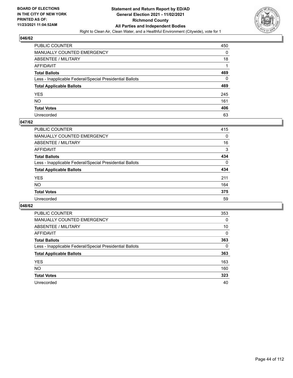

| PUBLIC COUNTER                                           | 450 |
|----------------------------------------------------------|-----|
| MANUALLY COUNTED EMERGENCY                               | 0   |
| ABSENTEE / MILITARY                                      | 18  |
| AFFIDAVIT                                                |     |
| <b>Total Ballots</b>                                     | 469 |
| Less - Inapplicable Federal/Special Presidential Ballots | 0   |
| <b>Total Applicable Ballots</b>                          | 469 |
| YES                                                      | 245 |
| NO.                                                      | 161 |
| <b>Total Votes</b>                                       | 406 |
| Unrecorded                                               | 63  |

#### **047/62**

| <b>PUBLIC COUNTER</b>                                    | 415      |
|----------------------------------------------------------|----------|
| MANUALLY COUNTED EMERGENCY                               | 0        |
| ABSENTEE / MILITARY                                      | 16       |
| AFFIDAVIT                                                | 3        |
| <b>Total Ballots</b>                                     | 434      |
| Less - Inapplicable Federal/Special Presidential Ballots | $\Omega$ |
| <b>Total Applicable Ballots</b>                          | 434      |
| <b>YES</b>                                               | 211      |
| <b>NO</b>                                                | 164      |
| <b>Total Votes</b>                                       | 375      |
| Unrecorded                                               | 59       |

| <b>PUBLIC COUNTER</b>                                    | 353      |
|----------------------------------------------------------|----------|
| MANUALLY COUNTED EMERGENCY                               | 0        |
| ABSENTEE / MILITARY                                      | 10       |
| AFFIDAVIT                                                | $\Omega$ |
| <b>Total Ballots</b>                                     | 363      |
| Less - Inapplicable Federal/Special Presidential Ballots | $\Omega$ |
| <b>Total Applicable Ballots</b>                          | 363      |
| <b>YES</b>                                               | 163      |
| <b>NO</b>                                                | 160      |
| <b>Total Votes</b>                                       | 323      |
| Unrecorded                                               | 40       |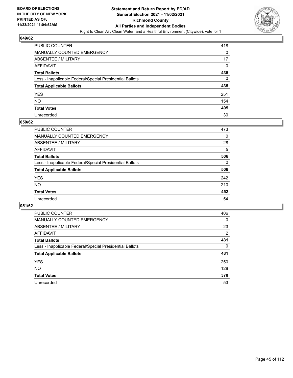

| PUBLIC COUNTER                                           | 418 |
|----------------------------------------------------------|-----|
| MANUALLY COUNTED EMERGENCY                               | 0   |
| ABSENTEE / MILITARY                                      | 17  |
| AFFIDAVIT                                                | 0   |
| <b>Total Ballots</b>                                     | 435 |
| Less - Inapplicable Federal/Special Presidential Ballots | 0   |
| <b>Total Applicable Ballots</b>                          | 435 |
| YES                                                      | 251 |
| NO.                                                      | 154 |
| <b>Total Votes</b>                                       | 405 |
| Unrecorded                                               | 30  |

#### **050/62**

| PUBLIC COUNTER                                           | 473      |
|----------------------------------------------------------|----------|
| MANUALLY COUNTED EMERGENCY                               | 0        |
| ABSENTEE / MILITARY                                      | 28       |
| AFFIDAVIT                                                | 5        |
| <b>Total Ballots</b>                                     | 506      |
| Less - Inapplicable Federal/Special Presidential Ballots | $\Omega$ |
| <b>Total Applicable Ballots</b>                          | 506      |
| <b>YES</b>                                               | 242      |
| <b>NO</b>                                                | 210      |
| <b>Total Votes</b>                                       | 452      |
| Unrecorded                                               | 54       |

| <b>PUBLIC COUNTER</b>                                    | 406      |
|----------------------------------------------------------|----------|
| MANUALLY COUNTED EMERGENCY                               | $\Omega$ |
| ABSENTEE / MILITARY                                      | 23       |
| AFFIDAVIT                                                | 2        |
| <b>Total Ballots</b>                                     | 431      |
| Less - Inapplicable Federal/Special Presidential Ballots | $\Omega$ |
| <b>Total Applicable Ballots</b>                          | 431      |
| <b>YES</b>                                               | 250      |
| NO.                                                      | 128      |
| <b>Total Votes</b>                                       | 378      |
| Unrecorded                                               | 53       |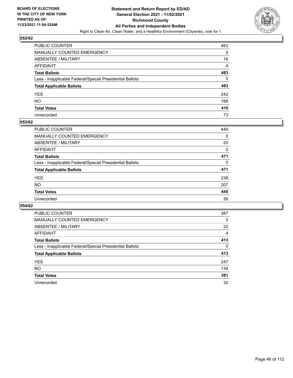

| PUBLIC COUNTER                                           | 463 |
|----------------------------------------------------------|-----|
| MANUALLY COUNTED EMERGENCY                               | 0   |
| ABSENTEE / MILITARY                                      | 16  |
| AFFIDAVIT                                                | 4   |
| <b>Total Ballots</b>                                     | 483 |
| Less - Inapplicable Federal/Special Presidential Ballots | 0   |
| <b>Total Applicable Ballots</b>                          | 483 |
| YES                                                      | 242 |
| NO.                                                      | 168 |
| <b>Total Votes</b>                                       | 410 |
| Unrecorded                                               | 73  |

#### **053/62**

| PUBLIC COUNTER                                           | 449            |
|----------------------------------------------------------|----------------|
| <b>MANUALLY COUNTED EMERGENCY</b>                        | $\Omega$       |
| ABSENTEE / MILITARY                                      | 20             |
| AFFIDAVIT                                                | $\overline{2}$ |
| <b>Total Ballots</b>                                     | 471            |
| Less - Inapplicable Federal/Special Presidential Ballots | 0              |
| <b>Total Applicable Ballots</b>                          | 471            |
| <b>YES</b>                                               | 238            |
| <b>NO</b>                                                | 207            |
| <b>Total Votes</b>                                       | 445            |
| Unrecorded                                               | 26             |

| PUBLIC COUNTER                                           | 387      |
|----------------------------------------------------------|----------|
| MANUALLY COUNTED EMERGENCY                               | $\Omega$ |
| ABSENTEE / MILITARY                                      | 22       |
| AFFIDAVIT                                                | 4        |
| <b>Total Ballots</b>                                     | 413      |
| Less - Inapplicable Federal/Special Presidential Ballots | $\Omega$ |
| <b>Total Applicable Ballots</b>                          | 413      |
| <b>YES</b>                                               | 247      |
| NO.                                                      | 134      |
| <b>Total Votes</b>                                       | 381      |
| Unrecorded                                               | 32       |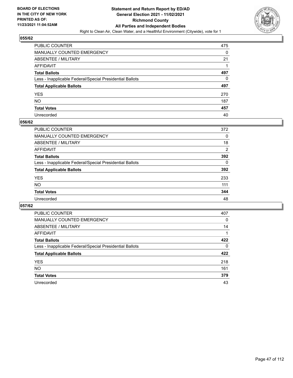

| PUBLIC COUNTER                                           | 475 |
|----------------------------------------------------------|-----|
| MANUALLY COUNTED EMERGENCY                               | 0   |
| ABSENTEE / MILITARY                                      | 21  |
| AFFIDAVIT                                                |     |
| <b>Total Ballots</b>                                     | 497 |
| Less - Inapplicable Federal/Special Presidential Ballots | 0   |
| <b>Total Applicable Ballots</b>                          | 497 |
| YES                                                      | 270 |
| NO.                                                      | 187 |
| <b>Total Votes</b>                                       | 457 |
| Unrecorded                                               | 40  |

#### **056/62**

| <b>PUBLIC COUNTER</b>                                    | 372 |
|----------------------------------------------------------|-----|
| <b>MANUALLY COUNTED EMERGENCY</b>                        | 0   |
| ABSENTEE / MILITARY                                      | 18  |
| AFFIDAVIT                                                | 2   |
| <b>Total Ballots</b>                                     | 392 |
| Less - Inapplicable Federal/Special Presidential Ballots | 0   |
| <b>Total Applicable Ballots</b>                          | 392 |
| <b>YES</b>                                               | 233 |
| <b>NO</b>                                                | 111 |
| <b>Total Votes</b>                                       | 344 |
| Unrecorded                                               | 48  |

| PUBLIC COUNTER                                           | 407      |
|----------------------------------------------------------|----------|
| MANUALLY COUNTED EMERGENCY                               | 0        |
| ABSENTEE / MILITARY                                      | 14       |
| AFFIDAVIT                                                |          |
| <b>Total Ballots</b>                                     | 422      |
| Less - Inapplicable Federal/Special Presidential Ballots | $\Omega$ |
| <b>Total Applicable Ballots</b>                          | 422      |
| <b>YES</b>                                               | 218      |
| NO.                                                      | 161      |
| <b>Total Votes</b>                                       | 379      |
| Unrecorded                                               | 43       |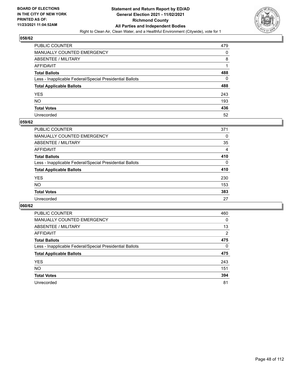

| PUBLIC COUNTER                                           | 479 |
|----------------------------------------------------------|-----|
| MANUALLY COUNTED EMERGENCY                               | 0   |
| ABSENTEE / MILITARY                                      | 8   |
| AFFIDAVIT                                                |     |
| <b>Total Ballots</b>                                     | 488 |
| Less - Inapplicable Federal/Special Presidential Ballots | 0   |
| <b>Total Applicable Ballots</b>                          | 488 |
| YES                                                      | 243 |
| NO.                                                      | 193 |
| <b>Total Votes</b>                                       | 436 |
| Unrecorded                                               | 52  |

#### **059/62**

| PUBLIC COUNTER                                           | 371      |
|----------------------------------------------------------|----------|
| <b>MANUALLY COUNTED EMERGENCY</b>                        | 0        |
| ABSENTEE / MILITARY                                      | 35       |
| AFFIDAVIT                                                | 4        |
| <b>Total Ballots</b>                                     | 410      |
| Less - Inapplicable Federal/Special Presidential Ballots | $\Omega$ |
| <b>Total Applicable Ballots</b>                          | 410      |
| <b>YES</b>                                               | 230      |
| <b>NO</b>                                                | 153      |
| <b>Total Votes</b>                                       | 383      |
| Unrecorded                                               | 27       |

| PUBLIC COUNTER                                           | 460            |
|----------------------------------------------------------|----------------|
| <b>MANUALLY COUNTED EMERGENCY</b>                        | $\Omega$       |
| ABSENTEE / MILITARY                                      | 13             |
| AFFIDAVIT                                                | $\overline{2}$ |
| <b>Total Ballots</b>                                     | 475            |
| Less - Inapplicable Federal/Special Presidential Ballots | $\Omega$       |
| <b>Total Applicable Ballots</b>                          | 475            |
| <b>YES</b>                                               | 243            |
| <b>NO</b>                                                | 151            |
| <b>Total Votes</b>                                       | 394            |
| Unrecorded                                               | 81             |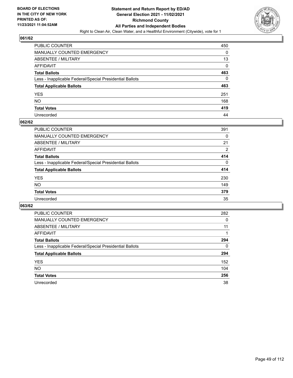

| PUBLIC COUNTER                                           | 450      |
|----------------------------------------------------------|----------|
| MANUALLY COUNTED EMERGENCY                               | 0        |
| <b>ABSENTEE / MILITARY</b>                               | 13       |
| AFFIDAVIT                                                | $\Omega$ |
| <b>Total Ballots</b>                                     | 463      |
| Less - Inapplicable Federal/Special Presidential Ballots | 0        |
| <b>Total Applicable Ballots</b>                          | 463      |
| YES                                                      | 251      |
| NO.                                                      | 168      |
| <b>Total Votes</b>                                       | 419      |
| Unrecorded                                               | 44       |

#### **062/62**

| <b>PUBLIC COUNTER</b>                                    | 391            |
|----------------------------------------------------------|----------------|
| <b>MANUALLY COUNTED EMERGENCY</b>                        | 0              |
| ABSENTEE / MILITARY                                      | 21             |
| AFFIDAVIT                                                | $\overline{2}$ |
| <b>Total Ballots</b>                                     | 414            |
| Less - Inapplicable Federal/Special Presidential Ballots | $\Omega$       |
| <b>Total Applicable Ballots</b>                          | 414            |
| <b>YES</b>                                               | 230            |
| <b>NO</b>                                                | 149            |
| <b>Total Votes</b>                                       | 379            |
| Unrecorded                                               | 35             |

| PUBLIC COUNTER                                           | 282      |
|----------------------------------------------------------|----------|
| <b>MANUALLY COUNTED EMERGENCY</b>                        | 0        |
| ABSENTEE / MILITARY                                      | 11       |
| AFFIDAVIT                                                |          |
| <b>Total Ballots</b>                                     | 294      |
| Less - Inapplicable Federal/Special Presidential Ballots | $\Omega$ |
| <b>Total Applicable Ballots</b>                          | 294      |
| <b>YES</b>                                               | 152      |
| <b>NO</b>                                                | 104      |
| <b>Total Votes</b>                                       | 256      |
| Unrecorded                                               | 38       |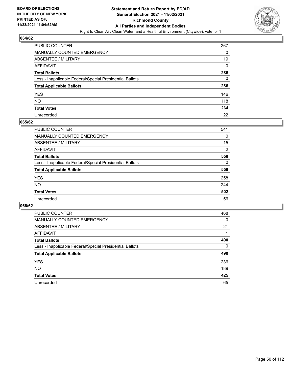

| PUBLIC COUNTER                                           | 267 |
|----------------------------------------------------------|-----|
| MANUALLY COUNTED EMERGENCY                               | 0   |
| ABSENTEE / MILITARY                                      | 19  |
| AFFIDAVIT                                                | 0   |
| Total Ballots                                            | 286 |
| Less - Inapplicable Federal/Special Presidential Ballots | 0   |
| <b>Total Applicable Ballots</b>                          | 286 |
| YES                                                      | 146 |
| NO.                                                      | 118 |
| <b>Total Votes</b>                                       | 264 |
| Unrecorded                                               | 22  |

#### **065/62**

| PUBLIC COUNTER                                           | 541            |
|----------------------------------------------------------|----------------|
| <b>MANUALLY COUNTED EMERGENCY</b>                        | 0              |
| ABSENTEE / MILITARY                                      | 15             |
| AFFIDAVIT                                                | $\overline{2}$ |
| <b>Total Ballots</b>                                     | 558            |
| Less - Inapplicable Federal/Special Presidential Ballots | $\Omega$       |
| <b>Total Applicable Ballots</b>                          | 558            |
| <b>YES</b>                                               | 258            |
| <b>NO</b>                                                | 244            |
| <b>Total Votes</b>                                       | 502            |
| Unrecorded                                               | 56             |

| PUBLIC COUNTER                                           | 468      |
|----------------------------------------------------------|----------|
| <b>MANUALLY COUNTED EMERGENCY</b>                        | 0        |
| ABSENTEE / MILITARY                                      | 21       |
| AFFIDAVIT                                                |          |
| <b>Total Ballots</b>                                     | 490      |
| Less - Inapplicable Federal/Special Presidential Ballots | $\Omega$ |
| <b>Total Applicable Ballots</b>                          | 490      |
| <b>YES</b>                                               | 236      |
| <b>NO</b>                                                | 189      |
| <b>Total Votes</b>                                       | 425      |
| Unrecorded                                               | 65       |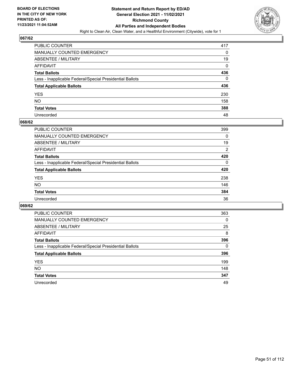

| PUBLIC COUNTER                                           | 417 |
|----------------------------------------------------------|-----|
| MANUALLY COUNTED EMERGENCY                               | 0   |
| <b>ABSENTEE / MILITARY</b>                               | 19  |
| AFFIDAVIT                                                | 0   |
| <b>Total Ballots</b>                                     | 436 |
| Less - Inapplicable Federal/Special Presidential Ballots | 0   |
| <b>Total Applicable Ballots</b>                          | 436 |
| YES                                                      | 230 |
| <b>NO</b>                                                | 158 |
| <b>Total Votes</b>                                       | 388 |
| Unrecorded                                               | 48  |

#### **068/62**

| PUBLIC COUNTER                                           | 399            |
|----------------------------------------------------------|----------------|
| <b>MANUALLY COUNTED EMERGENCY</b>                        | $\Omega$       |
| ABSENTEE / MILITARY                                      | 19             |
| AFFIDAVIT                                                | $\overline{2}$ |
| <b>Total Ballots</b>                                     | 420            |
| Less - Inapplicable Federal/Special Presidential Ballots | $\Omega$       |
| <b>Total Applicable Ballots</b>                          | 420            |
| <b>YES</b>                                               | 238            |
| <b>NO</b>                                                | 146            |
| <b>Total Votes</b>                                       | 384            |
| Unrecorded                                               | 36             |

| PUBLIC COUNTER                                           | 363      |
|----------------------------------------------------------|----------|
| <b>MANUALLY COUNTED EMERGENCY</b>                        | 0        |
| ABSENTEE / MILITARY                                      | 25       |
| AFFIDAVIT                                                | 8        |
| <b>Total Ballots</b>                                     | 396      |
| Less - Inapplicable Federal/Special Presidential Ballots | $\Omega$ |
| <b>Total Applicable Ballots</b>                          | 396      |
| <b>YES</b>                                               | 199      |
| <b>NO</b>                                                | 148      |
| <b>Total Votes</b>                                       | 347      |
| Unrecorded                                               | 49       |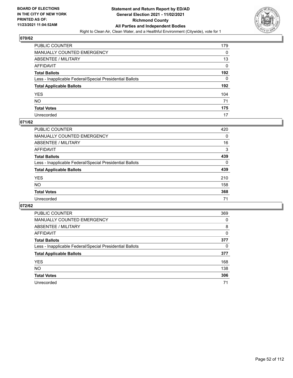

| PUBLIC COUNTER                                           | 179 |
|----------------------------------------------------------|-----|
| MANUALLY COUNTED EMERGENCY                               | 0   |
| ABSENTEE / MILITARY                                      | 13  |
| AFFIDAVIT                                                | 0   |
| <b>Total Ballots</b>                                     | 192 |
| Less - Inapplicable Federal/Special Presidential Ballots | 0   |
| <b>Total Applicable Ballots</b>                          | 192 |
| YES                                                      | 104 |
| NO.                                                      | 71  |
| <b>Total Votes</b>                                       | 175 |
| Unrecorded                                               | 17  |

## **071/62**

| <b>PUBLIC COUNTER</b>                                    | 420      |
|----------------------------------------------------------|----------|
| <b>MANUALLY COUNTED EMERGENCY</b>                        | 0        |
| ABSENTEE / MILITARY                                      | 16       |
| AFFIDAVIT                                                | 3        |
| <b>Total Ballots</b>                                     | 439      |
| Less - Inapplicable Federal/Special Presidential Ballots | $\Omega$ |
| <b>Total Applicable Ballots</b>                          | 439      |
| <b>YES</b>                                               | 210      |
| <b>NO</b>                                                | 158      |
| <b>Total Votes</b>                                       | 368      |
| Unrecorded                                               | 71       |

| PUBLIC COUNTER                                           | 369 |
|----------------------------------------------------------|-----|
| <b>MANUALLY COUNTED EMERGENCY</b>                        | 0   |
| ABSENTEE / MILITARY                                      | 8   |
| AFFIDAVIT                                                | 0   |
| <b>Total Ballots</b>                                     | 377 |
| Less - Inapplicable Federal/Special Presidential Ballots | 0   |
| <b>Total Applicable Ballots</b>                          | 377 |
| <b>YES</b>                                               | 168 |
| <b>NO</b>                                                | 138 |
| <b>Total Votes</b>                                       | 306 |
| Unrecorded                                               | 71  |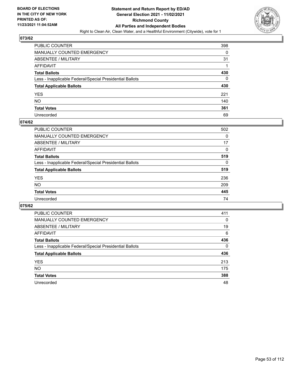

| PUBLIC COUNTER                                           | 398 |
|----------------------------------------------------------|-----|
| MANUALLY COUNTED EMERGENCY                               | 0   |
| ABSENTEE / MILITARY                                      | 31  |
| AFFIDAVIT                                                |     |
| Total Ballots                                            | 430 |
| Less - Inapplicable Federal/Special Presidential Ballots | 0   |
| <b>Total Applicable Ballots</b>                          | 430 |
| YES                                                      | 221 |
| NO.                                                      | 140 |
| <b>Total Votes</b>                                       | 361 |
| Unrecorded                                               | 69  |

#### **074/62**

| <b>PUBLIC COUNTER</b>                                    | 502      |
|----------------------------------------------------------|----------|
| <b>MANUALLY COUNTED EMERGENCY</b>                        | 0        |
| ABSENTEE / MILITARY                                      | 17       |
| AFFIDAVIT                                                | $\Omega$ |
| <b>Total Ballots</b>                                     | 519      |
| Less - Inapplicable Federal/Special Presidential Ballots | $\Omega$ |
| <b>Total Applicable Ballots</b>                          | 519      |
| <b>YES</b>                                               | 236      |
| <b>NO</b>                                                | 209      |
| <b>Total Votes</b>                                       | 445      |
| Unrecorded                                               | 74       |

| PUBLIC COUNTER                                           | 411      |
|----------------------------------------------------------|----------|
| <b>MANUALLY COUNTED EMERGENCY</b>                        | 0        |
| ABSENTEE / MILITARY                                      | 19       |
| AFFIDAVIT                                                | 6        |
| <b>Total Ballots</b>                                     | 436      |
| Less - Inapplicable Federal/Special Presidential Ballots | $\Omega$ |
| <b>Total Applicable Ballots</b>                          | 436      |
| <b>YES</b>                                               | 213      |
| <b>NO</b>                                                | 175      |
| <b>Total Votes</b>                                       | 388      |
| Unrecorded                                               | 48       |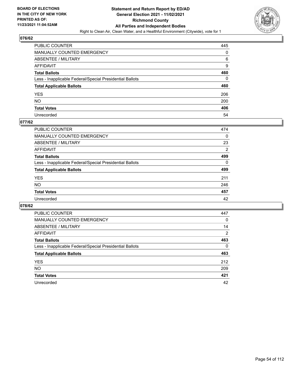

| PUBLIC COUNTER                                           | 445 |
|----------------------------------------------------------|-----|
| MANUALLY COUNTED EMERGENCY                               | 0   |
| ABSENTEE / MILITARY                                      | 6   |
| AFFIDAVIT                                                | 9   |
| Total Ballots                                            | 460 |
| Less - Inapplicable Federal/Special Presidential Ballots | 0   |
| <b>Total Applicable Ballots</b>                          | 460 |
| YES                                                      | 206 |
| NO.                                                      | 200 |
| <b>Total Votes</b>                                       | 406 |
| Unrecorded                                               | 54  |

## **077/62**

| <b>PUBLIC COUNTER</b>                                    | 474            |
|----------------------------------------------------------|----------------|
| <b>MANUALLY COUNTED EMERGENCY</b>                        | 0              |
| ABSENTEE / MILITARY                                      | 23             |
| AFFIDAVIT                                                | $\overline{2}$ |
| <b>Total Ballots</b>                                     | 499            |
| Less - Inapplicable Federal/Special Presidential Ballots | $\Omega$       |
| <b>Total Applicable Ballots</b>                          | 499            |
| <b>YES</b>                                               | 211            |
| <b>NO</b>                                                | 246            |
| <b>Total Votes</b>                                       | 457            |
| Unrecorded                                               | 42             |

| PUBLIC COUNTER                                           | 447      |
|----------------------------------------------------------|----------|
| <b>MANUALLY COUNTED EMERGENCY</b>                        | 0        |
| ABSENTEE / MILITARY                                      | 14       |
| AFFIDAVIT                                                | 2        |
| <b>Total Ballots</b>                                     | 463      |
| Less - Inapplicable Federal/Special Presidential Ballots | $\Omega$ |
| <b>Total Applicable Ballots</b>                          | 463      |
| <b>YES</b>                                               | 212      |
| <b>NO</b>                                                | 209      |
| <b>Total Votes</b>                                       | 421      |
| Unrecorded                                               | 42       |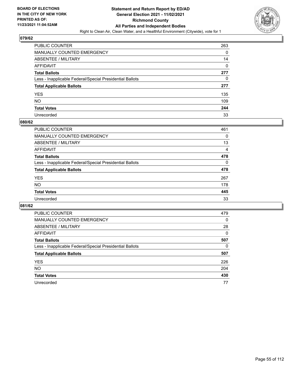

| PUBLIC COUNTER                                           | 263 |
|----------------------------------------------------------|-----|
| MANUALLY COUNTED EMERGENCY                               | 0   |
| <b>ABSENTEE / MILITARY</b>                               | 14  |
| AFFIDAVIT                                                | 0   |
| <b>Total Ballots</b>                                     | 277 |
| Less - Inapplicable Federal/Special Presidential Ballots | 0   |
| <b>Total Applicable Ballots</b>                          | 277 |
| YES                                                      | 135 |
| NO.                                                      | 109 |
| <b>Total Votes</b>                                       | 244 |
| Unrecorded                                               | 33  |

#### **080/62**

| PUBLIC COUNTER                                           | 461      |
|----------------------------------------------------------|----------|
| <b>MANUALLY COUNTED EMERGENCY</b>                        | 0        |
| ABSENTEE / MILITARY                                      | 13       |
| AFFIDAVIT                                                | 4        |
| <b>Total Ballots</b>                                     | 478      |
| Less - Inapplicable Federal/Special Presidential Ballots | $\Omega$ |
| <b>Total Applicable Ballots</b>                          | 478      |
| <b>YES</b>                                               | 267      |
| <b>NO</b>                                                | 178      |
| <b>Total Votes</b>                                       | 445      |
| Unrecorded                                               | 33       |

| PUBLIC COUNTER                                           | 479      |
|----------------------------------------------------------|----------|
| <b>MANUALLY COUNTED EMERGENCY</b>                        | $\Omega$ |
| ABSENTEE / MILITARY                                      | 28       |
| AFFIDAVIT                                                | $\Omega$ |
| <b>Total Ballots</b>                                     | 507      |
| Less - Inapplicable Federal/Special Presidential Ballots | 0        |
| <b>Total Applicable Ballots</b>                          | 507      |
| <b>YES</b>                                               | 226      |
| <b>NO</b>                                                | 204      |
| <b>Total Votes</b>                                       | 430      |
| Unrecorded                                               | 77       |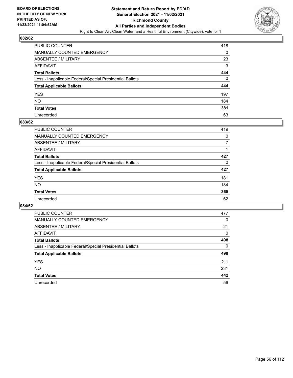

| PUBLIC COUNTER                                           | 418 |
|----------------------------------------------------------|-----|
| MANUALLY COUNTED EMERGENCY                               | 0   |
| ABSENTEE / MILITARY                                      | 23  |
| AFFIDAVIT                                                | 3   |
| <b>Total Ballots</b>                                     | 444 |
| Less - Inapplicable Federal/Special Presidential Ballots | 0   |
| <b>Total Applicable Ballots</b>                          | 444 |
| YES                                                      | 197 |
| NO.                                                      | 184 |
| <b>Total Votes</b>                                       | 381 |
| Unrecorded                                               | 63  |

#### **083/62**

| PUBLIC COUNTER                                           | 419      |
|----------------------------------------------------------|----------|
| <b>MANUALLY COUNTED EMERGENCY</b>                        | $\Omega$ |
| ABSENTEE / MILITARY                                      | 7        |
| AFFIDAVIT                                                |          |
| <b>Total Ballots</b>                                     | 427      |
| Less - Inapplicable Federal/Special Presidential Ballots | 0        |
| <b>Total Applicable Ballots</b>                          | 427      |
| <b>YES</b>                                               | 181      |
| <b>NO</b>                                                | 184      |
| <b>Total Votes</b>                                       | 365      |
| Unrecorded                                               | 62       |

| PUBLIC COUNTER                                           | 477      |
|----------------------------------------------------------|----------|
| <b>MANUALLY COUNTED EMERGENCY</b>                        | $\Omega$ |
| ABSENTEE / MILITARY                                      | 21       |
| AFFIDAVIT                                                | 0        |
| <b>Total Ballots</b>                                     | 498      |
| Less - Inapplicable Federal/Special Presidential Ballots | 0        |
| <b>Total Applicable Ballots</b>                          | 498      |
| <b>YES</b>                                               | 211      |
| NO.                                                      | 231      |
| <b>Total Votes</b>                                       | 442      |
| Unrecorded                                               | 56       |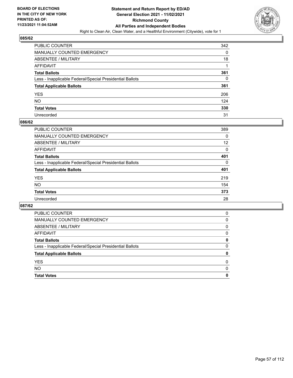

| PUBLIC COUNTER                                           | 342 |
|----------------------------------------------------------|-----|
| MANUALLY COUNTED EMERGENCY                               | 0   |
| ABSENTEE / MILITARY                                      | 18  |
| AFFIDAVIT                                                |     |
| <b>Total Ballots</b>                                     | 361 |
| Less - Inapplicable Federal/Special Presidential Ballots | 0   |
| <b>Total Applicable Ballots</b>                          | 361 |
| YES                                                      | 206 |
| NO.                                                      | 124 |
| <b>Total Votes</b>                                       | 330 |
| Unrecorded                                               | 31  |

#### **086/62**

| PUBLIC COUNTER                                           | 389      |
|----------------------------------------------------------|----------|
| <b>MANUALLY COUNTED EMERGENCY</b>                        | $\Omega$ |
| <b>ABSENTEE / MILITARY</b>                               | 12       |
| <b>AFFIDAVIT</b>                                         | $\Omega$ |
| <b>Total Ballots</b>                                     | 401      |
| Less - Inapplicable Federal/Special Presidential Ballots | 0        |
| <b>Total Applicable Ballots</b>                          | 401      |
| <b>YES</b>                                               | 219      |
| <b>NO</b>                                                | 154      |
| <b>Total Votes</b>                                       | 373      |
| Unrecorded                                               | 28       |

| <b>Total Votes</b>                                       | 0        |
|----------------------------------------------------------|----------|
| <b>NO</b>                                                | 0        |
| <b>YES</b>                                               | 0        |
| <b>Total Applicable Ballots</b>                          | 0        |
| Less - Inapplicable Federal/Special Presidential Ballots | 0        |
| <b>Total Ballots</b>                                     | 0        |
| AFFIDAVIT                                                | 0        |
| ABSENTEE / MILITARY                                      | $\Omega$ |
| <b>MANUALLY COUNTED EMERGENCY</b>                        | 0        |
| PUBLIC COUNTER                                           | 0        |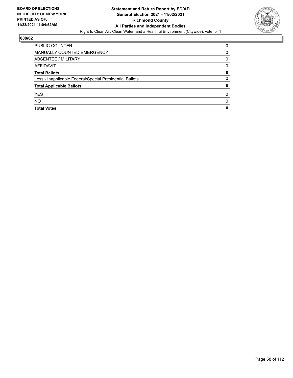

| PUBLIC COUNTER                                           | 0 |
|----------------------------------------------------------|---|
| MANUALLY COUNTED EMERGENCY                               | 0 |
| ABSENTEE / MILITARY                                      | 0 |
| AFFIDAVIT                                                | 0 |
| <b>Total Ballots</b>                                     | 0 |
| Less - Inapplicable Federal/Special Presidential Ballots | 0 |
| <b>Total Applicable Ballots</b>                          | 0 |
| <b>YES</b>                                               | O |
| <b>NO</b>                                                | 0 |
| <b>Total Votes</b>                                       | 0 |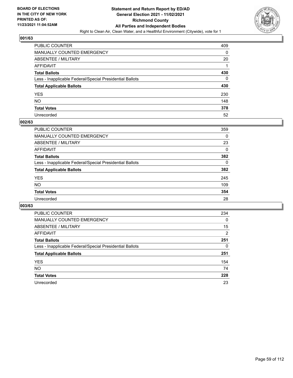

| PUBLIC COUNTER                                           | 409 |
|----------------------------------------------------------|-----|
| MANUALLY COUNTED EMERGENCY                               | 0   |
| ABSENTEE / MILITARY                                      | 20  |
| AFFIDAVIT                                                |     |
| Total Ballots                                            | 430 |
| Less - Inapplicable Federal/Special Presidential Ballots | 0   |
| <b>Total Applicable Ballots</b>                          | 430 |
| YES                                                      | 230 |
| NO.                                                      | 148 |
| <b>Total Votes</b>                                       | 378 |
| Unrecorded                                               | 52  |

#### **002/63**

| <b>PUBLIC COUNTER</b>                                    | 359      |
|----------------------------------------------------------|----------|
| <b>MANUALLY COUNTED EMERGENCY</b>                        | 0        |
| ABSENTEE / MILITARY                                      | 23       |
| AFFIDAVIT                                                | 0        |
| <b>Total Ballots</b>                                     | 382      |
| Less - Inapplicable Federal/Special Presidential Ballots | $\Omega$ |
| <b>Total Applicable Ballots</b>                          | 382      |
| <b>YES</b>                                               | 245      |
| <b>NO</b>                                                | 109      |
| <b>Total Votes</b>                                       | 354      |
| Unrecorded                                               | 28       |

| PUBLIC COUNTER                                           | 234      |
|----------------------------------------------------------|----------|
| <b>MANUALLY COUNTED EMERGENCY</b>                        | $\Omega$ |
| ABSENTEE / MILITARY                                      | 15       |
| AFFIDAVIT                                                | 2        |
| <b>Total Ballots</b>                                     | 251      |
| Less - Inapplicable Federal/Special Presidential Ballots | 0        |
| <b>Total Applicable Ballots</b>                          | 251      |
| <b>YES</b>                                               | 154      |
| NO.                                                      | 74       |
| <b>Total Votes</b>                                       | 228      |
| Unrecorded                                               | 23       |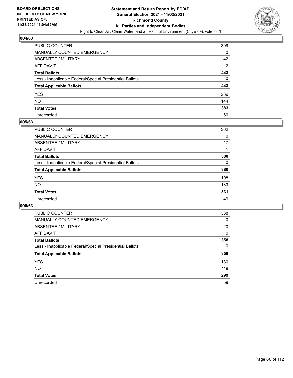

| PUBLIC COUNTER                                           | 399            |
|----------------------------------------------------------|----------------|
| MANUALLY COUNTED EMERGENCY                               | 0              |
| <b>ABSENTEE / MILITARY</b>                               | 42             |
| <b>AFFIDAVIT</b>                                         | $\overline{2}$ |
| <b>Total Ballots</b>                                     | 443            |
| Less - Inapplicable Federal/Special Presidential Ballots | 0              |
| <b>Total Applicable Ballots</b>                          | 443            |
| YES                                                      | 239            |
| <b>NO</b>                                                | 144            |
| <b>Total Votes</b>                                       | 383            |
| Unrecorded                                               | 60             |

#### **005/63**

| PUBLIC COUNTER                                           | 362 |
|----------------------------------------------------------|-----|
| <b>MANUALLY COUNTED EMERGENCY</b>                        | 0   |
| ABSENTEE / MILITARY                                      | 17  |
| AFFIDAVIT                                                |     |
| <b>Total Ballots</b>                                     | 380 |
| Less - Inapplicable Federal/Special Presidential Ballots | 0   |
| <b>Total Applicable Ballots</b>                          | 380 |
| <b>YES</b>                                               | 198 |
| <b>NO</b>                                                | 133 |
| <b>Total Votes</b>                                       | 331 |
| Unrecorded                                               | 49  |

| PUBLIC COUNTER                                           | 338      |
|----------------------------------------------------------|----------|
| <b>MANUALLY COUNTED EMERGENCY</b>                        | 0        |
| ABSENTEE / MILITARY                                      | 20       |
| AFFIDAVIT                                                | $\Omega$ |
| <b>Total Ballots</b>                                     | 358      |
| Less - Inapplicable Federal/Special Presidential Ballots | $\Omega$ |
| <b>Total Applicable Ballots</b>                          | 358      |
| <b>YES</b>                                               | 180      |
| <b>NO</b>                                                | 119      |
| <b>Total Votes</b>                                       | 299      |
| Unrecorded                                               | 59       |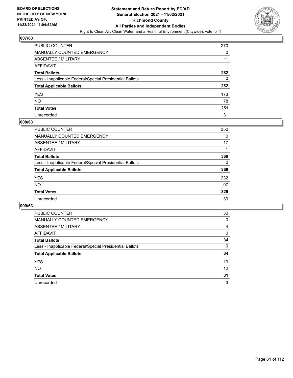

| PUBLIC COUNTER                                           | 270 |
|----------------------------------------------------------|-----|
| MANUALLY COUNTED EMERGENCY                               | 0   |
| ABSENTEE / MILITARY                                      | 11  |
| AFFIDAVIT                                                |     |
| Total Ballots                                            | 282 |
| Less - Inapplicable Federal/Special Presidential Ballots | 0   |
| <b>Total Applicable Ballots</b>                          | 282 |
| YES                                                      | 173 |
| NO.                                                      | 78  |
| <b>Total Votes</b>                                       | 251 |
| Unrecorded                                               | 31  |

#### **008/63**

| PUBLIC COUNTER                                           | 350      |
|----------------------------------------------------------|----------|
| <b>MANUALLY COUNTED EMERGENCY</b>                        | 0        |
| ABSENTEE / MILITARY                                      | 17       |
| AFFIDAVIT                                                |          |
| <b>Total Ballots</b>                                     | 368      |
| Less - Inapplicable Federal/Special Presidential Ballots | $\Omega$ |
| <b>Total Applicable Ballots</b>                          | 368      |
| <b>YES</b>                                               | 232      |
| <b>NO</b>                                                | 97       |
| <b>Total Votes</b>                                       | 329      |
| Unrecorded                                               | 39       |

| PUBLIC COUNTER                                           | 30       |
|----------------------------------------------------------|----------|
| <b>MANUALLY COUNTED EMERGENCY</b>                        | 0        |
| ABSENTEE / MILITARY                                      | 4        |
| AFFIDAVIT                                                | 0        |
| <b>Total Ballots</b>                                     | 34       |
| Less - Inapplicable Federal/Special Presidential Ballots | $\Omega$ |
| <b>Total Applicable Ballots</b>                          | 34       |
| <b>YES</b>                                               | 19       |
| NO.                                                      | 12       |
| <b>Total Votes</b>                                       | 31       |
| Unrecorded                                               | 3        |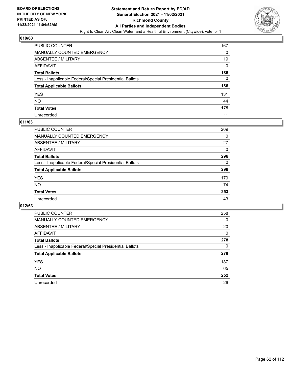

| PUBLIC COUNTER                                           | 167 |
|----------------------------------------------------------|-----|
| MANUALLY COUNTED EMERGENCY                               | 0   |
| ABSENTEE / MILITARY                                      | 19  |
| AFFIDAVIT                                                | 0   |
| Total Ballots                                            | 186 |
| Less - Inapplicable Federal/Special Presidential Ballots | 0   |
| <b>Total Applicable Ballots</b>                          | 186 |
| YES                                                      | 131 |
| NO.                                                      | 44  |
| <b>Total Votes</b>                                       | 175 |
| Unrecorded                                               | 11  |

#### **011/63**

| PUBLIC COUNTER                                           | 269      |
|----------------------------------------------------------|----------|
| MANUALLY COUNTED EMERGENCY                               | 0        |
| ABSENTEE / MILITARY                                      | 27       |
| AFFIDAVIT                                                | $\Omega$ |
| <b>Total Ballots</b>                                     | 296      |
| Less - Inapplicable Federal/Special Presidential Ballots | $\Omega$ |
| <b>Total Applicable Ballots</b>                          | 296      |
| <b>YES</b>                                               | 179      |
| <b>NO</b>                                                | 74       |
| <b>Total Votes</b>                                       | 253      |
| Unrecorded                                               | 43       |

| PUBLIC COUNTER                                           | 258      |
|----------------------------------------------------------|----------|
| MANUALLY COUNTED EMERGENCY                               | $\Omega$ |
| ABSENTEE / MILITARY                                      | 20       |
| AFFIDAVIT                                                | $\Omega$ |
| <b>Total Ballots</b>                                     | 278      |
| Less - Inapplicable Federal/Special Presidential Ballots | $\Omega$ |
| <b>Total Applicable Ballots</b>                          | 278      |
| <b>YES</b>                                               | 187      |
| <b>NO</b>                                                | 65       |
| <b>Total Votes</b>                                       | 252      |
| Unrecorded                                               | 26       |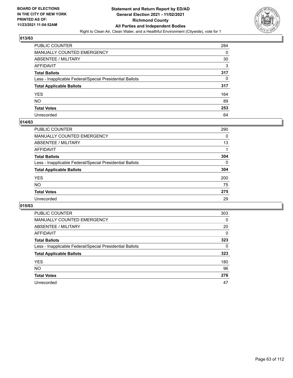

| PUBLIC COUNTER                                           | 284 |
|----------------------------------------------------------|-----|
| MANUALLY COUNTED EMERGENCY                               | 0   |
| <b>ABSENTEE / MILITARY</b>                               | 30  |
| AFFIDAVIT                                                | 3   |
| <b>Total Ballots</b>                                     | 317 |
| Less - Inapplicable Federal/Special Presidential Ballots | 0   |
| <b>Total Applicable Ballots</b>                          | 317 |
| YES                                                      | 164 |
| <b>NO</b>                                                | 89  |
| <b>Total Votes</b>                                       | 253 |
| Unrecorded                                               | 64  |

#### **014/63**

| PUBLIC COUNTER                                           | 290      |
|----------------------------------------------------------|----------|
| <b>MANUALLY COUNTED EMERGENCY</b>                        | 0        |
| <b>ABSENTEE / MILITARY</b>                               | 13       |
| AFFIDAVIT                                                |          |
| <b>Total Ballots</b>                                     | 304      |
| Less - Inapplicable Federal/Special Presidential Ballots | $\Omega$ |
| <b>Total Applicable Ballots</b>                          | 304      |
| <b>YES</b>                                               | 200      |
| NO                                                       | 75       |
| <b>Total Votes</b>                                       | 275      |
| Unrecorded                                               | 29       |

| PUBLIC COUNTER                                           | 303      |
|----------------------------------------------------------|----------|
| MANUALLY COUNTED EMERGENCY                               | 0        |
| ABSENTEE / MILITARY                                      | 20       |
| AFFIDAVIT                                                | 0        |
| <b>Total Ballots</b>                                     | 323      |
| Less - Inapplicable Federal/Special Presidential Ballots | $\Omega$ |
| <b>Total Applicable Ballots</b>                          | 323      |
| <b>YES</b>                                               | 180      |
| <b>NO</b>                                                | 96       |
| <b>Total Votes</b>                                       | 276      |
| Unrecorded                                               | 47       |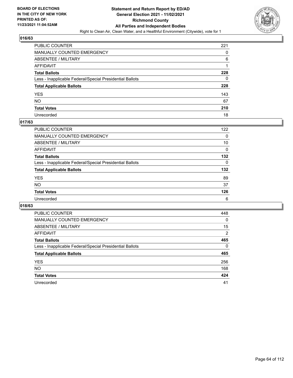

| PUBLIC COUNTER                                           | 221 |
|----------------------------------------------------------|-----|
| MANUALLY COUNTED EMERGENCY                               | 0   |
| ABSENTEE / MILITARY                                      | 6   |
| AFFIDAVIT                                                |     |
| Total Ballots                                            | 228 |
| Less - Inapplicable Federal/Special Presidential Ballots | 0   |
| <b>Total Applicable Ballots</b>                          | 228 |
| YES                                                      | 143 |
| NO.                                                      | 67  |
| <b>Total Votes</b>                                       | 210 |
| Unrecorded                                               | 18  |

#### **017/63**

| <b>PUBLIC COUNTER</b>                                    | 122      |
|----------------------------------------------------------|----------|
| <b>MANUALLY COUNTED EMERGENCY</b>                        | 0        |
| ABSENTEE / MILITARY                                      | 10       |
| AFFIDAVIT                                                | $\Omega$ |
| <b>Total Ballots</b>                                     | 132      |
| Less - Inapplicable Federal/Special Presidential Ballots | $\Omega$ |
| <b>Total Applicable Ballots</b>                          | 132      |
| <b>YES</b>                                               | 89       |
| <b>NO</b>                                                | 37       |
| <b>Total Votes</b>                                       | 126      |
| Unrecorded                                               | 6        |

| PUBLIC COUNTER                                           | 448            |
|----------------------------------------------------------|----------------|
| <b>MANUALLY COUNTED EMERGENCY</b>                        | $\Omega$       |
| ABSENTEE / MILITARY                                      | 15             |
| AFFIDAVIT                                                | $\overline{2}$ |
| <b>Total Ballots</b>                                     | 465            |
| Less - Inapplicable Federal/Special Presidential Ballots | $\Omega$       |
| <b>Total Applicable Ballots</b>                          | 465            |
| <b>YES</b>                                               | 256            |
| <b>NO</b>                                                | 168            |
| <b>Total Votes</b>                                       | 424            |
| Unrecorded                                               | 41             |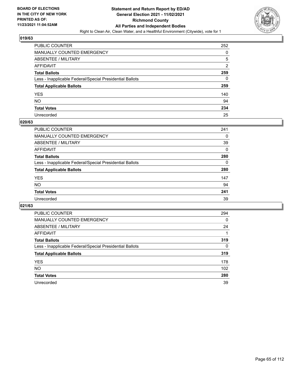

| PUBLIC COUNTER                                           | 252            |
|----------------------------------------------------------|----------------|
| MANUALLY COUNTED EMERGENCY                               | 0              |
| ABSENTEE / MILITARY                                      | 5              |
| AFFIDAVIT                                                | $\overline{2}$ |
| <b>Total Ballots</b>                                     | 259            |
| Less - Inapplicable Federal/Special Presidential Ballots | 0              |
| <b>Total Applicable Ballots</b>                          | 259            |
| YES                                                      | 140            |
| NO.                                                      | 94             |
| <b>Total Votes</b>                                       | 234            |
| Unrecorded                                               | 25             |

#### **020/63**

| <b>PUBLIC COUNTER</b>                                    | 241      |
|----------------------------------------------------------|----------|
| <b>MANUALLY COUNTED EMERGENCY</b>                        | 0        |
| ABSENTEE / MILITARY                                      | 39       |
| AFFIDAVIT                                                | 0        |
| <b>Total Ballots</b>                                     | 280      |
| Less - Inapplicable Federal/Special Presidential Ballots | $\Omega$ |
| <b>Total Applicable Ballots</b>                          | 280      |
| <b>YES</b>                                               | 147      |
| <b>NO</b>                                                | 94       |
| <b>Total Votes</b>                                       | 241      |
| Unrecorded                                               | 39       |

| PUBLIC COUNTER                                           | 294      |
|----------------------------------------------------------|----------|
| MANUALLY COUNTED EMERGENCY                               | 0        |
| ABSENTEE / MILITARY                                      | 24       |
| AFFIDAVIT                                                |          |
| <b>Total Ballots</b>                                     | 319      |
| Less - Inapplicable Federal/Special Presidential Ballots | $\Omega$ |
| <b>Total Applicable Ballots</b>                          | 319      |
| <b>YES</b>                                               | 178      |
| NO.                                                      | 102      |
| <b>Total Votes</b>                                       | 280      |
| Unrecorded                                               | 39       |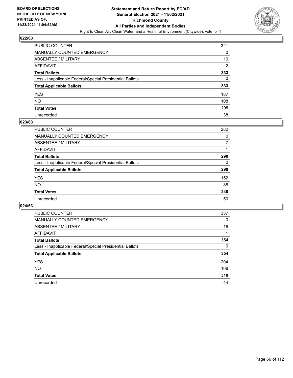

| PUBLIC COUNTER                                           | 321 |
|----------------------------------------------------------|-----|
| MANUALLY COUNTED EMERGENCY                               | 0   |
| ABSENTEE / MILITARY                                      | 10  |
| AFFIDAVIT                                                | 2   |
| Total Ballots                                            | 333 |
| Less - Inapplicable Federal/Special Presidential Ballots | 0   |
| <b>Total Applicable Ballots</b>                          | 333 |
| YES                                                      | 187 |
| NO.                                                      | 108 |
| <b>Total Votes</b>                                       | 295 |
| Unrecorded                                               | 38  |

#### **023/63**

| PUBLIC COUNTER                                           | 282      |
|----------------------------------------------------------|----------|
| MANUALLY COUNTED EMERGENCY                               | 0        |
| ABSENTEE / MILITARY                                      |          |
| AFFIDAVIT                                                |          |
| <b>Total Ballots</b>                                     | 290      |
| Less - Inapplicable Federal/Special Presidential Ballots | $\Omega$ |
| <b>Total Applicable Ballots</b>                          | 290      |
| <b>YES</b>                                               | 152      |
| <b>NO</b>                                                | 88       |
| <b>Total Votes</b>                                       | 240      |
| Unrecorded                                               | 50       |

| PUBLIC COUNTER                                           | 337      |
|----------------------------------------------------------|----------|
| <b>MANUALLY COUNTED EMERGENCY</b>                        | $\Omega$ |
| ABSENTEE / MILITARY                                      | 16       |
| AFFIDAVIT                                                |          |
| <b>Total Ballots</b>                                     | 354      |
| Less - Inapplicable Federal/Special Presidential Ballots | $\Omega$ |
| <b>Total Applicable Ballots</b>                          | 354      |
| <b>YES</b>                                               | 204      |
| <b>NO</b>                                                | 106      |
| <b>Total Votes</b>                                       | 310      |
| Unrecorded                                               | 44       |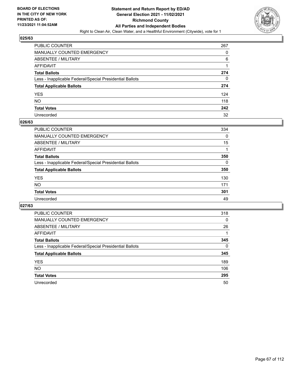

| PUBLIC COUNTER                                           | 267      |
|----------------------------------------------------------|----------|
| MANUALLY COUNTED EMERGENCY                               | 0        |
| ABSENTEE / MILITARY                                      | 6        |
| AFFIDAVIT                                                |          |
| Total Ballots                                            | 274      |
| Less - Inapplicable Federal/Special Presidential Ballots | $\Omega$ |
| <b>Total Applicable Ballots</b>                          | 274      |
| YES                                                      | 124      |
| NO.                                                      | 118      |
| <b>Total Votes</b>                                       | 242      |
| Unrecorded                                               | 32       |

#### **026/63**

| <b>PUBLIC COUNTER</b>                                    | 334      |
|----------------------------------------------------------|----------|
| MANUALLY COUNTED EMERGENCY                               | $\Omega$ |
| ABSENTEE / MILITARY                                      | 15       |
| AFFIDAVIT                                                |          |
| <b>Total Ballots</b>                                     | 350      |
| Less - Inapplicable Federal/Special Presidential Ballots | $\Omega$ |
| <b>Total Applicable Ballots</b>                          | 350      |
| <b>YES</b>                                               | 130      |
| <b>NO</b>                                                | 171      |
| <b>Total Votes</b>                                       | 301      |
| Unrecorded                                               | 49       |

| PUBLIC COUNTER                                           | 318      |
|----------------------------------------------------------|----------|
| <b>MANUALLY COUNTED EMERGENCY</b>                        | $\Omega$ |
| ABSENTEE / MILITARY                                      | 26       |
| AFFIDAVIT                                                |          |
| <b>Total Ballots</b>                                     | 345      |
| Less - Inapplicable Federal/Special Presidential Ballots | $\Omega$ |
| <b>Total Applicable Ballots</b>                          | 345      |
| <b>YES</b>                                               | 189      |
| NO.                                                      | 106      |
| <b>Total Votes</b>                                       | 295      |
| Unrecorded                                               | 50       |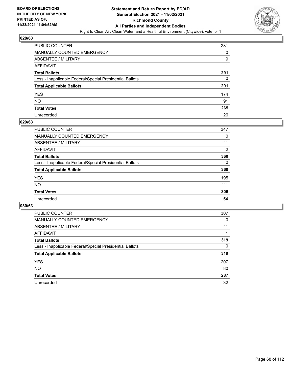

| PUBLIC COUNTER                                           | 281 |
|----------------------------------------------------------|-----|
| <b>MANUALLY COUNTED EMERGENCY</b>                        | 0   |
| <b>ABSENTEE / MILITARY</b>                               | 9   |
| AFFIDAVIT                                                |     |
| <b>Total Ballots</b>                                     | 291 |
| Less - Inapplicable Federal/Special Presidential Ballots | 0   |
| <b>Total Applicable Ballots</b>                          | 291 |
| YES.                                                     | 174 |
| NO.                                                      | 91  |
| <b>Total Votes</b>                                       | 265 |
| Unrecorded                                               | 26  |

#### **029/63**

| <b>PUBLIC COUNTER</b>                                    | 347            |
|----------------------------------------------------------|----------------|
| <b>MANUALLY COUNTED EMERGENCY</b>                        | 0              |
| ABSENTEE / MILITARY                                      | 11             |
| AFFIDAVIT                                                | $\overline{2}$ |
| <b>Total Ballots</b>                                     | 360            |
| Less - Inapplicable Federal/Special Presidential Ballots | $\Omega$       |
| <b>Total Applicable Ballots</b>                          | 360            |
| <b>YES</b>                                               | 195            |
| <b>NO</b>                                                | 111            |
| <b>Total Votes</b>                                       | 306            |
| Unrecorded                                               | 54             |

| PUBLIC COUNTER                                           | 307 |
|----------------------------------------------------------|-----|
| MANUALLY COUNTED EMERGENCY                               | 0   |
| ABSENTEE / MILITARY                                      | 11  |
| AFFIDAVIT                                                |     |
| <b>Total Ballots</b>                                     | 319 |
| Less - Inapplicable Federal/Special Presidential Ballots | 0   |
| <b>Total Applicable Ballots</b>                          | 319 |
| <b>YES</b>                                               | 207 |
| NO.                                                      | 80  |
| <b>Total Votes</b>                                       | 287 |
| Unrecorded                                               | 32  |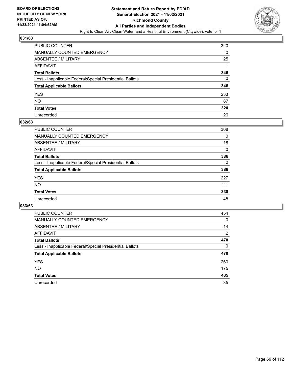

| PUBLIC COUNTER                                           | 320 |
|----------------------------------------------------------|-----|
| MANUALLY COUNTED EMERGENCY                               | 0   |
| ABSENTEE / MILITARY                                      | 25  |
| AFFIDAVIT                                                |     |
| <b>Total Ballots</b>                                     | 346 |
| Less - Inapplicable Federal/Special Presidential Ballots | 0   |
| <b>Total Applicable Ballots</b>                          | 346 |
| YES                                                      | 233 |
| NO.                                                      | 87  |
| <b>Total Votes</b>                                       | 320 |
| Unrecorded                                               | 26  |

#### **032/63**

| <b>PUBLIC COUNTER</b>                                    | 368      |
|----------------------------------------------------------|----------|
| MANUALLY COUNTED EMERGENCY                               | 0        |
| ABSENTEE / MILITARY                                      | 18       |
| AFFIDAVIT                                                | $\Omega$ |
| <b>Total Ballots</b>                                     | 386      |
| Less - Inapplicable Federal/Special Presidential Ballots | $\Omega$ |
| <b>Total Applicable Ballots</b>                          | 386      |
| <b>YES</b>                                               | 227      |
| <b>NO</b>                                                | 111      |
| <b>Total Votes</b>                                       | 338      |
| Unrecorded                                               | 48       |

| PUBLIC COUNTER                                           | 454            |
|----------------------------------------------------------|----------------|
| MANUALLY COUNTED EMERGENCY                               | 0              |
| ABSENTEE / MILITARY                                      | 14             |
| AFFIDAVIT                                                | $\overline{2}$ |
| <b>Total Ballots</b>                                     | 470            |
| Less - Inapplicable Federal/Special Presidential Ballots | $\Omega$       |
| <b>Total Applicable Ballots</b>                          | 470            |
| <b>YES</b>                                               | 260            |
| NO.                                                      | 175            |
| <b>Total Votes</b>                                       | 435            |
| Unrecorded                                               | 35             |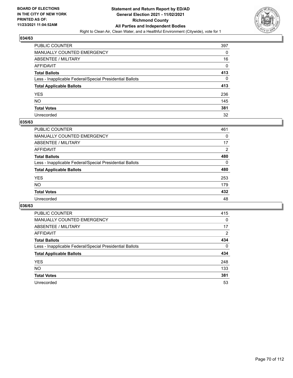

| PUBLIC COUNTER                                           | 397 |
|----------------------------------------------------------|-----|
| MANUALLY COUNTED EMERGENCY                               | 0   |
| ABSENTEE / MILITARY                                      | 16  |
| AFFIDAVIT                                                | 0   |
| Total Ballots                                            | 413 |
| Less - Inapplicable Federal/Special Presidential Ballots | 0   |
| <b>Total Applicable Ballots</b>                          | 413 |
| YES                                                      | 236 |
| NO.                                                      | 145 |
| <b>Total Votes</b>                                       | 381 |
| Unrecorded                                               | 32  |

#### **035/63**

| <b>PUBLIC COUNTER</b>                                    | 461            |
|----------------------------------------------------------|----------------|
| <b>MANUALLY COUNTED EMERGENCY</b>                        | 0              |
| ABSENTEE / MILITARY                                      | 17             |
| AFFIDAVIT                                                | $\overline{2}$ |
| <b>Total Ballots</b>                                     | 480            |
| Less - Inapplicable Federal/Special Presidential Ballots | $\Omega$       |
| <b>Total Applicable Ballots</b>                          | 480            |
| <b>YES</b>                                               | 253            |
| <b>NO</b>                                                | 179            |
| <b>Total Votes</b>                                       | 432            |
| Unrecorded                                               | 48             |

| PUBLIC COUNTER                                           | 415            |
|----------------------------------------------------------|----------------|
| <b>MANUALLY COUNTED EMERGENCY</b>                        | 0              |
| ABSENTEE / MILITARY                                      | 17             |
| AFFIDAVIT                                                | $\overline{2}$ |
| <b>Total Ballots</b>                                     | 434            |
| Less - Inapplicable Federal/Special Presidential Ballots | $\Omega$       |
| <b>Total Applicable Ballots</b>                          | 434            |
| <b>YES</b>                                               | 248            |
| NO.                                                      | 133            |
| <b>Total Votes</b>                                       | 381            |
| Unrecorded                                               |                |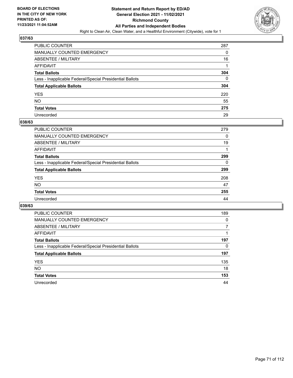

| PUBLIC COUNTER                                           | 287 |
|----------------------------------------------------------|-----|
| MANUALLY COUNTED EMERGENCY                               | 0   |
| ABSENTEE / MILITARY                                      | 16  |
| AFFIDAVIT                                                |     |
| <b>Total Ballots</b>                                     | 304 |
| Less - Inapplicable Federal/Special Presidential Ballots | 0   |
| <b>Total Applicable Ballots</b>                          | 304 |
| YES                                                      | 220 |
| NO.                                                      | 55  |
| <b>Total Votes</b>                                       | 275 |
| Unrecorded                                               | 29  |

#### **038/63**

| PUBLIC COUNTER                                           | 279      |
|----------------------------------------------------------|----------|
| <b>MANUALLY COUNTED EMERGENCY</b>                        | 0        |
| <b>ABSENTEE / MILITARY</b>                               | 19       |
| AFFIDAVIT                                                |          |
| <b>Total Ballots</b>                                     | 299      |
| Less - Inapplicable Federal/Special Presidential Ballots | $\Omega$ |
| <b>Total Applicable Ballots</b>                          | 299      |
| <b>YES</b>                                               | 208      |
| NO                                                       | 47       |
| <b>Total Votes</b>                                       | 255      |
| Unrecorded                                               | 44       |

| PUBLIC COUNTER                                           | 189      |
|----------------------------------------------------------|----------|
| <b>MANUALLY COUNTED EMERGENCY</b>                        | $\Omega$ |
| ABSENTEE / MILITARY                                      | 7        |
| AFFIDAVIT                                                |          |
| <b>Total Ballots</b>                                     | 197      |
| Less - Inapplicable Federal/Special Presidential Ballots | 0        |
| <b>Total Applicable Ballots</b>                          | 197      |
| <b>YES</b>                                               | 135      |
| <b>NO</b>                                                | 18       |
| <b>Total Votes</b>                                       | 153      |
| Unrecorded                                               | 44       |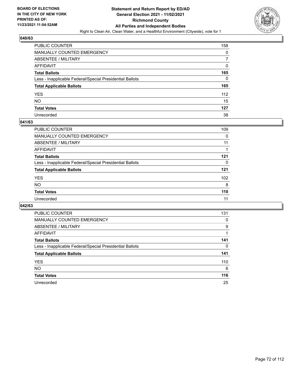

| PUBLIC COUNTER                                           | 158 |
|----------------------------------------------------------|-----|
| MANUALLY COUNTED EMERGENCY                               | 0   |
| <b>ABSENTEE / MILITARY</b>                               |     |
| <b>AFFIDAVIT</b>                                         | 0   |
| <b>Total Ballots</b>                                     | 165 |
| Less - Inapplicable Federal/Special Presidential Ballots | 0   |
| <b>Total Applicable Ballots</b>                          | 165 |
| YES                                                      | 112 |
| NO                                                       | 15  |
| <b>Total Votes</b>                                       | 127 |
| Unrecorded                                               | 38  |

#### **041/63**

| <b>PUBLIC COUNTER</b>                                    | 109 |
|----------------------------------------------------------|-----|
| <b>MANUALLY COUNTED EMERGENCY</b>                        | 0   |
| ABSENTEE / MILITARY                                      | 11  |
| AFFIDAVIT                                                |     |
| <b>Total Ballots</b>                                     | 121 |
| Less - Inapplicable Federal/Special Presidential Ballots | 0   |
| <b>Total Applicable Ballots</b>                          | 121 |
| <b>YES</b>                                               | 102 |
| <b>NO</b>                                                | 8   |
| <b>Total Votes</b>                                       | 110 |
| Unrecorded                                               | 11  |

| <b>PUBLIC COUNTER</b>                                    | 131      |
|----------------------------------------------------------|----------|
| <b>MANUALLY COUNTED EMERGENCY</b>                        | $\Omega$ |
| ABSENTEE / MILITARY                                      | 9        |
| AFFIDAVIT                                                |          |
| <b>Total Ballots</b>                                     | 141      |
| Less - Inapplicable Federal/Special Presidential Ballots | 0        |
| <b>Total Applicable Ballots</b>                          | 141      |
| <b>YES</b>                                               | 110      |
| <b>NO</b>                                                | 6        |
| <b>Total Votes</b>                                       | 116      |
| Unrecorded                                               | 25       |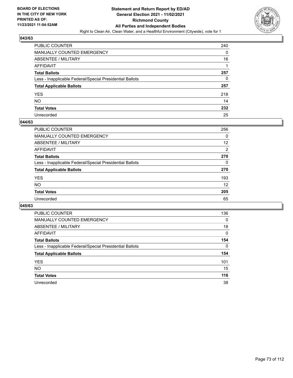

| PUBLIC COUNTER                                           | 240 |
|----------------------------------------------------------|-----|
| MANUALLY COUNTED EMERGENCY                               | 0   |
| ABSENTEE / MILITARY                                      | 16  |
| AFFIDAVIT                                                |     |
| <b>Total Ballots</b>                                     | 257 |
| Less - Inapplicable Federal/Special Presidential Ballots | 0   |
| <b>Total Applicable Ballots</b>                          | 257 |
| YES                                                      | 218 |
| NO.                                                      | 14  |
| <b>Total Votes</b>                                       | 232 |
| Unrecorded                                               | 25  |

### **044/63**

| <b>PUBLIC COUNTER</b>                                    | 256      |
|----------------------------------------------------------|----------|
| MANUALLY COUNTED EMERGENCY                               | 0        |
| ABSENTEE / MILITARY                                      | 12       |
| AFFIDAVIT                                                | 2        |
| <b>Total Ballots</b>                                     | 270      |
| Less - Inapplicable Federal/Special Presidential Ballots | $\Omega$ |
| <b>Total Applicable Ballots</b>                          | 270      |
| <b>YES</b>                                               | 193      |
| <b>NO</b>                                                | 12       |
| <b>Total Votes</b>                                       | 205      |
| Unrecorded                                               | 65       |

| <b>PUBLIC COUNTER</b>                                    | 136      |
|----------------------------------------------------------|----------|
| <b>MANUALLY COUNTED EMERGENCY</b>                        | $\Omega$ |
| ABSENTEE / MILITARY                                      | 18       |
| AFFIDAVIT                                                | 0        |
| <b>Total Ballots</b>                                     | 154      |
| Less - Inapplicable Federal/Special Presidential Ballots | $\Omega$ |
| <b>Total Applicable Ballots</b>                          | 154      |
| <b>YES</b>                                               | 101      |
| NO.                                                      | 15       |
| <b>Total Votes</b>                                       | 116      |
| Unrecorded                                               | 38       |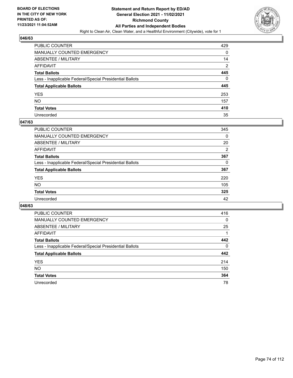

| PUBLIC COUNTER                                           | 429            |
|----------------------------------------------------------|----------------|
| MANUALLY COUNTED EMERGENCY                               | 0              |
| <b>ABSENTEE / MILITARY</b>                               | 14             |
| AFFIDAVIT                                                | $\overline{2}$ |
| <b>Total Ballots</b>                                     | 445            |
| Less - Inapplicable Federal/Special Presidential Ballots | 0              |
| <b>Total Applicable Ballots</b>                          | 445            |
| YES                                                      | 253            |
| <b>NO</b>                                                | 157            |
| <b>Total Votes</b>                                       | 410            |
| Unrecorded                                               | 35             |

### **047/63**

| <b>PUBLIC COUNTER</b>                                    | 345            |
|----------------------------------------------------------|----------------|
| <b>MANUALLY COUNTED EMERGENCY</b>                        | 0              |
| <b>ABSENTEE / MILITARY</b>                               | 20             |
| AFFIDAVIT                                                | $\overline{2}$ |
| <b>Total Ballots</b>                                     | 367            |
| Less - Inapplicable Federal/Special Presidential Ballots | $\Omega$       |
| <b>Total Applicable Ballots</b>                          | 367            |
| <b>YES</b>                                               | 220            |
| <b>NO</b>                                                | 105            |
| <b>Total Votes</b>                                       | 325            |
| Unrecorded                                               | 42             |

| <b>PUBLIC COUNTER</b>                                    | 416      |
|----------------------------------------------------------|----------|
| MANUALLY COUNTED EMERGENCY                               | 0        |
| ABSENTEE / MILITARY                                      | 25       |
| AFFIDAVIT                                                |          |
| <b>Total Ballots</b>                                     | 442      |
| Less - Inapplicable Federal/Special Presidential Ballots | $\Omega$ |
| <b>Total Applicable Ballots</b>                          | 442      |
| <b>YES</b>                                               | 214      |
| <b>NO</b>                                                | 150      |
| <b>Total Votes</b>                                       | 364      |
| Unrecorded                                               | 78       |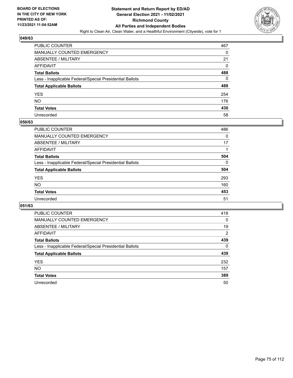

| PUBLIC COUNTER                                           | 467 |
|----------------------------------------------------------|-----|
| MANUALLY COUNTED EMERGENCY                               | 0   |
| ABSENTEE / MILITARY                                      | 21  |
| AFFIDAVIT                                                | 0   |
| <b>Total Ballots</b>                                     | 488 |
| Less - Inapplicable Federal/Special Presidential Ballots | 0   |
| <b>Total Applicable Ballots</b>                          | 488 |
| YES                                                      | 254 |
| NO.                                                      | 176 |
| <b>Total Votes</b>                                       | 430 |
| Unrecorded                                               | 58  |

### **050/63**

| <b>PUBLIC COUNTER</b>                                    | 486      |
|----------------------------------------------------------|----------|
| <b>MANUALLY COUNTED EMERGENCY</b>                        | 0        |
| ABSENTEE / MILITARY                                      | 17       |
| AFFIDAVIT                                                |          |
| <b>Total Ballots</b>                                     | 504      |
| Less - Inapplicable Federal/Special Presidential Ballots | $\Omega$ |
| <b>Total Applicable Ballots</b>                          | 504      |
| <b>YES</b>                                               | 293      |
| <b>NO</b>                                                | 160      |
| <b>Total Votes</b>                                       | 453      |
| Unrecorded                                               | 51       |

| <b>PUBLIC COUNTER</b>                                    | 418            |
|----------------------------------------------------------|----------------|
| <b>MANUALLY COUNTED EMERGENCY</b>                        | $\Omega$       |
| ABSENTEE / MILITARY                                      | 19             |
| AFFIDAVIT                                                | $\overline{2}$ |
| <b>Total Ballots</b>                                     | 439            |
| Less - Inapplicable Federal/Special Presidential Ballots | $\Omega$       |
| <b>Total Applicable Ballots</b>                          | 439            |
| <b>YES</b>                                               | 232            |
| <b>NO</b>                                                | 157            |
| <b>Total Votes</b>                                       | 389            |
| Unrecorded                                               | 50             |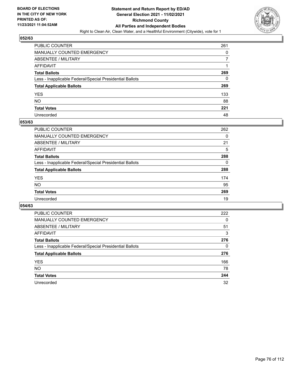

| PUBLIC COUNTER                                           | 261 |
|----------------------------------------------------------|-----|
| MANUALLY COUNTED EMERGENCY                               | 0   |
| ABSENTEE / MILITARY                                      |     |
| AFFIDAVIT                                                |     |
| <b>Total Ballots</b>                                     | 269 |
| Less - Inapplicable Federal/Special Presidential Ballots | 0   |
| <b>Total Applicable Ballots</b>                          | 269 |
| YES                                                      | 133 |
| NO.                                                      | 88  |
| <b>Total Votes</b>                                       | 221 |
| Unrecorded                                               | 48  |

### **053/63**

| <b>PUBLIC COUNTER</b>                                    | 262      |
|----------------------------------------------------------|----------|
| MANUALLY COUNTED EMERGENCY                               | 0        |
| ABSENTEE / MILITARY                                      | 21       |
| AFFIDAVIT                                                | 5        |
| <b>Total Ballots</b>                                     | 288      |
| Less - Inapplicable Federal/Special Presidential Ballots | $\Omega$ |
| <b>Total Applicable Ballots</b>                          | 288      |
| <b>YES</b>                                               | 174      |
| <b>NO</b>                                                | 95       |
| <b>Total Votes</b>                                       | 269      |
| Unrecorded                                               | 19       |

| <b>PUBLIC COUNTER</b>                                    | 222      |
|----------------------------------------------------------|----------|
| MANUALLY COUNTED EMERGENCY                               | $\Omega$ |
| ABSENTEE / MILITARY                                      | 51       |
| AFFIDAVIT                                                | 3        |
| <b>Total Ballots</b>                                     | 276      |
| Less - Inapplicable Federal/Special Presidential Ballots | 0        |
| <b>Total Applicable Ballots</b>                          | 276      |
| <b>YES</b>                                               | 166      |
| NO.                                                      | 78       |
| <b>Total Votes</b>                                       | 244      |
| Unrecorded                                               | 32       |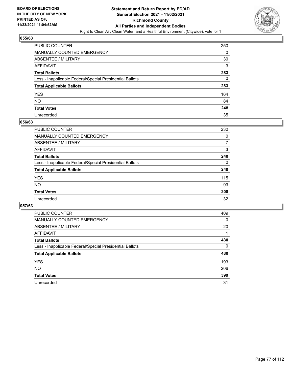

| PUBLIC COUNTER                                           | 250 |
|----------------------------------------------------------|-----|
| MANUALLY COUNTED EMERGENCY                               | 0   |
| <b>ABSENTEE / MILITARY</b>                               | 30  |
| AFFIDAVIT                                                | 3   |
| <b>Total Ballots</b>                                     | 283 |
| Less - Inapplicable Federal/Special Presidential Ballots | 0   |
| <b>Total Applicable Ballots</b>                          | 283 |
| YES                                                      | 164 |
| NO.                                                      | 84  |
| <b>Total Votes</b>                                       | 248 |
| Unrecorded                                               | 35  |

### **056/63**

| <b>PUBLIC COUNTER</b>                                    | 230      |
|----------------------------------------------------------|----------|
| MANUALLY COUNTED EMERGENCY                               | 0        |
| ABSENTEE / MILITARY                                      | 7        |
| AFFIDAVIT                                                | 3        |
| <b>Total Ballots</b>                                     | 240      |
| Less - Inapplicable Federal/Special Presidential Ballots | $\Omega$ |
| <b>Total Applicable Ballots</b>                          | 240      |
| <b>YES</b>                                               | 115      |
| <b>NO</b>                                                | 93       |
| <b>Total Votes</b>                                       | 208      |
| Unrecorded                                               | 32       |

| <b>PUBLIC COUNTER</b>                                    | 409      |
|----------------------------------------------------------|----------|
| <b>MANUALLY COUNTED EMERGENCY</b>                        | 0        |
| ABSENTEE / MILITARY                                      | 20       |
| AFFIDAVIT                                                |          |
| <b>Total Ballots</b>                                     | 430      |
| Less - Inapplicable Federal/Special Presidential Ballots | $\Omega$ |
| <b>Total Applicable Ballots</b>                          | 430      |
| <b>YES</b>                                               | 193      |
| <b>NO</b>                                                | 206      |
| <b>Total Votes</b>                                       | 399      |
| Unrecorded                                               | 31       |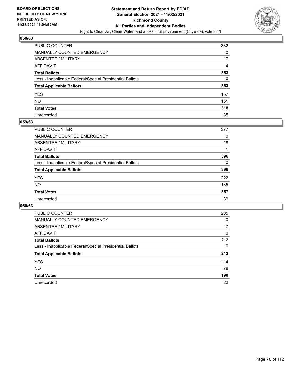

| PUBLIC COUNTER                                           | 332 |
|----------------------------------------------------------|-----|
| MANUALLY COUNTED EMERGENCY                               | 0   |
| <b>ABSENTEE / MILITARY</b>                               | 17  |
| AFFIDAVIT                                                | 4   |
| <b>Total Ballots</b>                                     | 353 |
| Less - Inapplicable Federal/Special Presidential Ballots | 0   |
| <b>Total Applicable Ballots</b>                          | 353 |
| YES                                                      | 157 |
| <b>NO</b>                                                | 161 |
| <b>Total Votes</b>                                       | 318 |
| Unrecorded                                               | 35  |

### **059/63**

| <b>PUBLIC COUNTER</b>                                    | 377      |
|----------------------------------------------------------|----------|
| MANUALLY COUNTED EMERGENCY                               | 0        |
| ABSENTEE / MILITARY                                      | 18       |
| AFFIDAVIT                                                |          |
| <b>Total Ballots</b>                                     | 396      |
| Less - Inapplicable Federal/Special Presidential Ballots | $\Omega$ |
| <b>Total Applicable Ballots</b>                          | 396      |
| <b>YES</b>                                               | 222      |
| <b>NO</b>                                                | 135      |
| <b>Total Votes</b>                                       | 357      |
| Unrecorded                                               | 39       |

| <b>PUBLIC COUNTER</b>                                    | 205 |
|----------------------------------------------------------|-----|
| <b>MANUALLY COUNTED EMERGENCY</b>                        | 0   |
| ABSENTEE / MILITARY                                      | 7   |
| AFFIDAVIT                                                | 0   |
| <b>Total Ballots</b>                                     | 212 |
| Less - Inapplicable Federal/Special Presidential Ballots | 0   |
| <b>Total Applicable Ballots</b>                          | 212 |
| <b>YES</b>                                               | 114 |
| <b>NO</b>                                                | 76  |
| <b>Total Votes</b>                                       | 190 |
| Unrecorded                                               | 22  |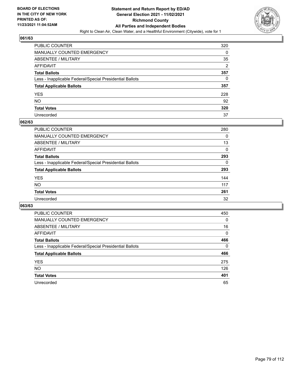

| PUBLIC COUNTER                                           | 320 |
|----------------------------------------------------------|-----|
| MANUALLY COUNTED EMERGENCY                               | 0   |
| ABSENTEE / MILITARY                                      | 35  |
| AFFIDAVIT                                                | 2   |
| Total Ballots                                            | 357 |
| Less - Inapplicable Federal/Special Presidential Ballots | 0   |
| <b>Total Applicable Ballots</b>                          | 357 |
| YES                                                      | 228 |
| NO.                                                      | 92  |
| <b>Total Votes</b>                                       | 320 |
| Unrecorded                                               | 37  |

### **062/63**

| <b>PUBLIC COUNTER</b>                                    | 280      |
|----------------------------------------------------------|----------|
| MANUALLY COUNTED EMERGENCY                               | 0        |
| ABSENTEE / MILITARY                                      | 13       |
| AFFIDAVIT                                                | $\Omega$ |
| <b>Total Ballots</b>                                     | 293      |
| Less - Inapplicable Federal/Special Presidential Ballots | $\Omega$ |
| <b>Total Applicable Ballots</b>                          | 293      |
| <b>YES</b>                                               | 144      |
| <b>NO</b>                                                | 117      |
| <b>Total Votes</b>                                       | 261      |
| Unrecorded                                               | 32       |

| <b>PUBLIC COUNTER</b>                                    | 450      |
|----------------------------------------------------------|----------|
| MANUALLY COUNTED EMERGENCY                               | 0        |
| ABSENTEE / MILITARY                                      | 16       |
| AFFIDAVIT                                                | $\Omega$ |
| <b>Total Ballots</b>                                     | 466      |
| Less - Inapplicable Federal/Special Presidential Ballots | $\Omega$ |
| <b>Total Applicable Ballots</b>                          | 466      |
| <b>YES</b>                                               | 275      |
| <b>NO</b>                                                | 126      |
| <b>Total Votes</b>                                       | 401      |
| Unrecorded                                               | 65       |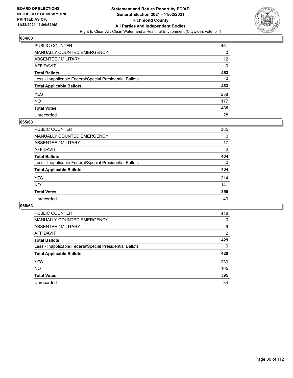

| PUBLIC COUNTER                                           | 451 |
|----------------------------------------------------------|-----|
| MANUALLY COUNTED EMERGENCY                               | 0   |
| ABSENTEE / MILITARY                                      | 12  |
| AFFIDAVIT                                                | 0   |
| Total Ballots                                            | 463 |
| Less - Inapplicable Federal/Special Presidential Ballots | 0   |
| <b>Total Applicable Ballots</b>                          | 463 |
| YES                                                      | 258 |
| NO.                                                      | 177 |
| <b>Total Votes</b>                                       | 435 |
| Unrecorded                                               | 28  |

### **065/63**

| <b>PUBLIC COUNTER</b>                                    | 385      |
|----------------------------------------------------------|----------|
| MANUALLY COUNTED EMERGENCY                               | 0        |
| ABSENTEE / MILITARY                                      | 17       |
| AFFIDAVIT                                                | 2        |
| <b>Total Ballots</b>                                     | 404      |
| Less - Inapplicable Federal/Special Presidential Ballots | $\Omega$ |
| <b>Total Applicable Ballots</b>                          | 404      |
| <b>YES</b>                                               | 214      |
| <b>NO</b>                                                | 141      |
| <b>Total Votes</b>                                       | 355      |
| Unrecorded                                               | 49       |

| <b>PUBLIC COUNTER</b>                                    | 418      |
|----------------------------------------------------------|----------|
| <b>MANUALLY COUNTED EMERGENCY</b>                        | 0        |
| ABSENTEE / MILITARY                                      | 9        |
| AFFIDAVIT                                                | 2        |
| <b>Total Ballots</b>                                     | 429      |
| Less - Inapplicable Federal/Special Presidential Ballots | $\Omega$ |
| <b>Total Applicable Ballots</b>                          | 429      |
| <b>YES</b>                                               | 230      |
| <b>NO</b>                                                | 165      |
| <b>Total Votes</b>                                       | 395      |
|                                                          |          |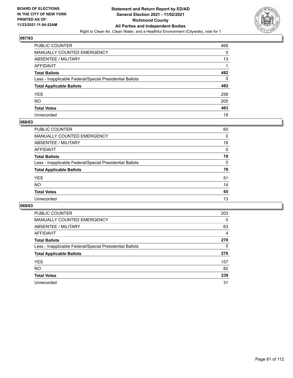

| PUBLIC COUNTER                                           | 468 |
|----------------------------------------------------------|-----|
| MANUALLY COUNTED EMERGENCY                               | 0   |
| ABSENTEE / MILITARY                                      | 13  |
| AFFIDAVIT                                                |     |
| <b>Total Ballots</b>                                     | 482 |
| Less - Inapplicable Federal/Special Presidential Ballots | 0   |
| <b>Total Applicable Ballots</b>                          | 482 |
| YES                                                      | 258 |
| NO.                                                      | 205 |
| <b>Total Votes</b>                                       | 463 |
| Unrecorded                                               | 19  |

### **068/63**

| PUBLIC COUNTER                                           | 60       |
|----------------------------------------------------------|----------|
| MANUALLY COUNTED EMERGENCY                               | 0        |
| ABSENTEE / MILITARY                                      | 18       |
| AFFIDAVIT                                                | $\Omega$ |
| <b>Total Ballots</b>                                     | 78       |
| Less - Inapplicable Federal/Special Presidential Ballots | $\Omega$ |
| <b>Total Applicable Ballots</b>                          | 78       |
| <b>YES</b>                                               | 51       |
| <b>NO</b>                                                | 14       |
| <b>Total Votes</b>                                       | 65       |
| Unrecorded                                               | 13       |

| <b>PUBLIC COUNTER</b>                                    | 203      |
|----------------------------------------------------------|----------|
| <b>MANUALLY COUNTED EMERGENCY</b>                        | $\Omega$ |
| ABSENTEE / MILITARY                                      | 63       |
| AFFIDAVIT                                                | 4        |
| <b>Total Ballots</b>                                     | 270      |
| Less - Inapplicable Federal/Special Presidential Ballots | $\Omega$ |
| <b>Total Applicable Ballots</b>                          | 270      |
| <b>YES</b>                                               | 157      |
| <b>NO</b>                                                | 82       |
| <b>Total Votes</b>                                       | 239      |
| Unrecorded                                               | 31       |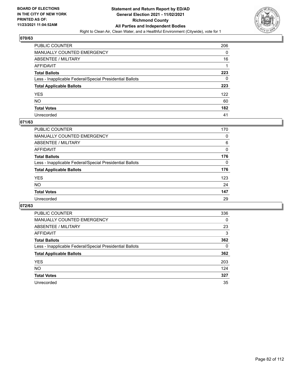

| PUBLIC COUNTER                                           | 206 |
|----------------------------------------------------------|-----|
| MANUALLY COUNTED EMERGENCY                               | 0   |
| ABSENTEE / MILITARY                                      | 16  |
| AFFIDAVIT                                                |     |
| Total Ballots                                            | 223 |
| Less - Inapplicable Federal/Special Presidential Ballots | 0   |
| <b>Total Applicable Ballots</b>                          | 223 |
| YES                                                      | 122 |
| NO.                                                      | 60  |
| <b>Total Votes</b>                                       | 182 |
| Unrecorded                                               | 41  |

### **071/63**

| <b>PUBLIC COUNTER</b>                                    | 170      |
|----------------------------------------------------------|----------|
| <b>MANUALLY COUNTED EMERGENCY</b>                        | 0        |
| ABSENTEE / MILITARY                                      | 6        |
| AFFIDAVIT                                                | 0        |
| <b>Total Ballots</b>                                     | 176      |
| Less - Inapplicable Federal/Special Presidential Ballots | $\Omega$ |
| <b>Total Applicable Ballots</b>                          | 176      |
| <b>YES</b>                                               | 123      |
| <b>NO</b>                                                | 24       |
| <b>Total Votes</b>                                       | 147      |
| Unrecorded                                               | 29       |

| PUBLIC COUNTER                                           | 336      |
|----------------------------------------------------------|----------|
| MANUALLY COUNTED EMERGENCY                               | $\Omega$ |
| ABSENTEE / MILITARY                                      | 23       |
| AFFIDAVIT                                                | 3        |
| <b>Total Ballots</b>                                     | 362      |
| Less - Inapplicable Federal/Special Presidential Ballots | $\Omega$ |
| <b>Total Applicable Ballots</b>                          | 362      |
| <b>YES</b>                                               | 203      |
| <b>NO</b>                                                | 124      |
| <b>Total Votes</b>                                       | 327      |
| Unrecorded                                               | 35       |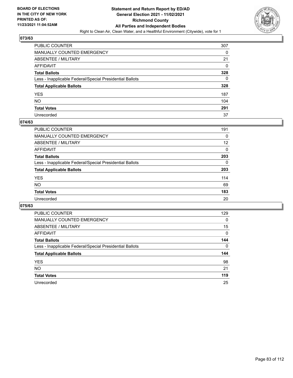

| PUBLIC COUNTER                                           | 307 |
|----------------------------------------------------------|-----|
| MANUALLY COUNTED EMERGENCY                               | 0   |
| ABSENTEE / MILITARY                                      | 21  |
| AFFIDAVIT                                                | 0   |
| Total Ballots                                            | 328 |
| Less - Inapplicable Federal/Special Presidential Ballots | 0   |
| <b>Total Applicable Ballots</b>                          | 328 |
| YES                                                      | 187 |
| NO.                                                      | 104 |
| <b>Total Votes</b>                                       | 291 |
| Unrecorded                                               | 37  |

#### **074/63**

| 191      |
|----------|
| 0        |
| 12       |
| $\Omega$ |
| 203      |
| $\Omega$ |
| 203      |
| 114      |
| 69       |
| 183      |
| 20       |
|          |

| <b>PUBLIC COUNTER</b>                                    | 129      |
|----------------------------------------------------------|----------|
| <b>MANUALLY COUNTED EMERGENCY</b>                        | $\Omega$ |
| ABSENTEE / MILITARY                                      | 15       |
| AFFIDAVIT                                                | 0        |
| <b>Total Ballots</b>                                     | 144      |
| Less - Inapplicable Federal/Special Presidential Ballots | $\Omega$ |
| <b>Total Applicable Ballots</b>                          | 144      |
| <b>YES</b>                                               | 98       |
| NO.                                                      | 21       |
| <b>Total Votes</b>                                       | 119      |
|                                                          |          |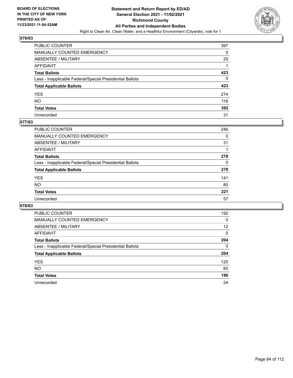

| PUBLIC COUNTER                                           | 397 |
|----------------------------------------------------------|-----|
| MANUALLY COUNTED EMERGENCY                               | 0   |
| ABSENTEE / MILITARY                                      | 25  |
| AFFIDAVIT                                                |     |
| Total Ballots                                            | 423 |
| Less - Inapplicable Federal/Special Presidential Ballots | 0   |
| <b>Total Applicable Ballots</b>                          | 423 |
| YES                                                      | 274 |
| NO.                                                      | 118 |
| <b>Total Votes</b>                                       | 392 |
| Unrecorded                                               | 31  |

#### **077/63**

| <b>PUBLIC COUNTER</b>                                    | 246      |
|----------------------------------------------------------|----------|
| <b>MANUALLY COUNTED EMERGENCY</b>                        | 0        |
| <b>ABSENTEE / MILITARY</b>                               | 31       |
| AFFIDAVIT                                                |          |
| <b>Total Ballots</b>                                     | 278      |
| Less - Inapplicable Federal/Special Presidential Ballots | $\Omega$ |
| <b>Total Applicable Ballots</b>                          | 278      |
| <b>YES</b>                                               | 141      |
| NO.                                                      | 80       |
| <b>Total Votes</b>                                       | 221      |
| Unrecorded                                               | 57       |

| PUBLIC COUNTER                                           | 192      |
|----------------------------------------------------------|----------|
| <b>MANUALLY COUNTED EMERGENCY</b>                        | $\Omega$ |
| ABSENTEE / MILITARY                                      | 12       |
| AFFIDAVIT                                                | 0        |
| <b>Total Ballots</b>                                     | 204      |
| Less - Inapplicable Federal/Special Presidential Ballots | $\Omega$ |
| <b>Total Applicable Ballots</b>                          | 204      |
| <b>YES</b>                                               | 120      |
| <b>NO</b>                                                | 60       |
| <b>Total Votes</b>                                       | 180      |
| Unrecorded                                               | 24       |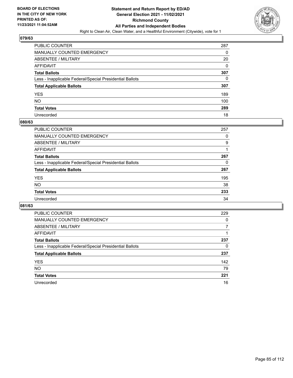

| PUBLIC COUNTER                                           | 287 |
|----------------------------------------------------------|-----|
| <b>MANUALLY COUNTED EMERGENCY</b>                        | 0   |
| ABSENTEE / MILITARY                                      | 20  |
| AFFIDAVIT                                                | 0   |
| <b>Total Ballots</b>                                     | 307 |
| Less - Inapplicable Federal/Special Presidential Ballots | 0   |
| <b>Total Applicable Ballots</b>                          | 307 |
| YES                                                      | 189 |
| NO.                                                      | 100 |
| <b>Total Votes</b>                                       | 289 |
| Unrecorded                                               | 18  |

### **080/63**

| <b>PUBLIC COUNTER</b>                                    | 257 |
|----------------------------------------------------------|-----|
| MANUALLY COUNTED EMERGENCY                               | 0   |
| ABSENTEE / MILITARY                                      | 9   |
| AFFIDAVIT                                                |     |
| <b>Total Ballots</b>                                     | 267 |
| Less - Inapplicable Federal/Special Presidential Ballots | 0   |
| <b>Total Applicable Ballots</b>                          | 267 |
| <b>YES</b>                                               | 195 |
| <b>NO</b>                                                | 38  |
| <b>Total Votes</b>                                       | 233 |
| Unrecorded                                               | 34  |

| <b>PUBLIC COUNTER</b>                                    | 229      |
|----------------------------------------------------------|----------|
| <b>MANUALLY COUNTED EMERGENCY</b>                        | $\Omega$ |
| ABSENTEE / MILITARY                                      |          |
| AFFIDAVIT                                                |          |
| <b>Total Ballots</b>                                     | 237      |
| Less - Inapplicable Federal/Special Presidential Ballots | 0        |
| <b>Total Applicable Ballots</b>                          | 237      |
| <b>YES</b>                                               | 142      |
| <b>NO</b>                                                | 79       |
| <b>Total Votes</b>                                       | 221      |
| Unrecorded                                               | 16       |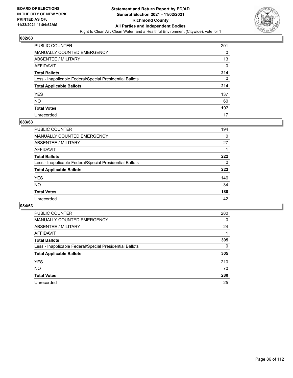

| PUBLIC COUNTER                                           | 201 |
|----------------------------------------------------------|-----|
| MANUALLY COUNTED EMERGENCY                               | 0   |
| ABSENTEE / MILITARY                                      | 13  |
| AFFIDAVIT                                                | 0   |
| Total Ballots                                            | 214 |
| Less - Inapplicable Federal/Special Presidential Ballots | 0   |
| <b>Total Applicable Ballots</b>                          | 214 |
| YES                                                      | 137 |
| NO.                                                      | 60  |
| <b>Total Votes</b>                                       | 197 |
| Unrecorded                                               | 17  |

### **083/63**

| <b>PUBLIC COUNTER</b>                                    | 194      |
|----------------------------------------------------------|----------|
| MANUALLY COUNTED EMERGENCY                               | $\Omega$ |
| ABSENTEE / MILITARY                                      | 27       |
| AFFIDAVIT                                                |          |
| <b>Total Ballots</b>                                     | 222      |
| Less - Inapplicable Federal/Special Presidential Ballots | $\Omega$ |
| <b>Total Applicable Ballots</b>                          | 222      |
| <b>YES</b>                                               | 146      |
| <b>NO</b>                                                | 34       |
| <b>Total Votes</b>                                       | 180      |
| Unrecorded                                               | 42       |

| <b>PUBLIC COUNTER</b>                                    | 280 |
|----------------------------------------------------------|-----|
| <b>MANUALLY COUNTED EMERGENCY</b>                        | 0   |
| ABSENTEE / MILITARY                                      | 24  |
| AFFIDAVIT                                                |     |
| <b>Total Ballots</b>                                     | 305 |
| Less - Inapplicable Federal/Special Presidential Ballots | 0   |
| <b>Total Applicable Ballots</b>                          | 305 |
| <b>YES</b>                                               | 210 |
| NO.                                                      | 70  |
| <b>Total Votes</b>                                       | 280 |
| Unrecorded                                               | 25  |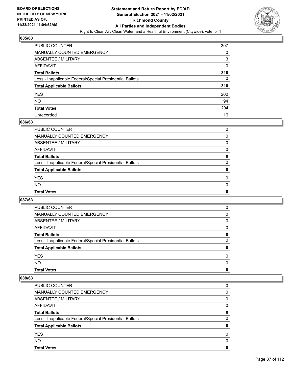

| PUBLIC COUNTER                                           | 307 |
|----------------------------------------------------------|-----|
| MANUALLY COUNTED EMERGENCY                               | 0   |
| <b>ABSENTEE / MILITARY</b>                               | 3   |
| AFFIDAVIT                                                | 0   |
| <b>Total Ballots</b>                                     | 310 |
| Less - Inapplicable Federal/Special Presidential Ballots | 0   |
| <b>Total Applicable Ballots</b>                          | 310 |
| YES                                                      | 200 |
| NO.                                                      | 94  |
| <b>Total Votes</b>                                       | 294 |
| Unrecorded                                               | 16  |

### **086/63**

| <b>Total Votes</b>                                       | 0        |
|----------------------------------------------------------|----------|
| <b>NO</b>                                                | $\Omega$ |
| <b>YES</b>                                               | 0        |
| <b>Total Applicable Ballots</b>                          | 0        |
| Less - Inapplicable Federal/Special Presidential Ballots | $\Omega$ |
| <b>Total Ballots</b>                                     | 0        |
| AFFIDAVIT                                                | 0        |
| ABSENTEE / MILITARY                                      | $\Omega$ |
| <b>MANUALLY COUNTED EMERGENCY</b>                        | 0        |
| PUBLIC COUNTER                                           | 0        |

## **087/63**

| PUBLIC COUNTER                                           | $\Omega$     |
|----------------------------------------------------------|--------------|
| <b>MANUALLY COUNTED EMERGENCY</b>                        | 0            |
| ABSENTEE / MILITARY                                      | 0            |
| AFFIDAVIT                                                | 0            |
| <b>Total Ballots</b>                                     | 0            |
| Less - Inapplicable Federal/Special Presidential Ballots | 0            |
| <b>Total Applicable Ballots</b>                          | 0            |
| <b>YES</b>                                               | 0            |
| <b>NO</b>                                                | <sup>0</sup> |
| <b>Total Votes</b>                                       | 0            |

| PUBLIC COUNTER                                           | 0 |
|----------------------------------------------------------|---|
| MANUALLY COUNTED EMERGENCY                               | 0 |
| <b>ABSENTEE / MILITARY</b>                               | 0 |
| AFFIDAVIT                                                | 0 |
| <b>Total Ballots</b>                                     | 0 |
| Less - Inapplicable Federal/Special Presidential Ballots | 0 |
| <b>Total Applicable Ballots</b>                          | 0 |
| <b>YES</b>                                               | 0 |
| <b>NO</b>                                                | 0 |
| <b>Total Votes</b>                                       | 0 |
|                                                          |   |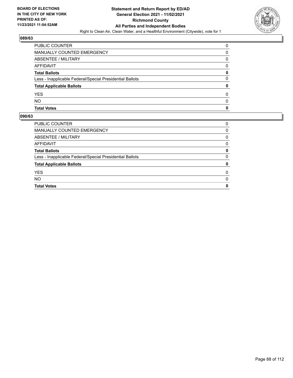

| PUBLIC COUNTER                                           | 0 |
|----------------------------------------------------------|---|
| <b>MANUALLY COUNTED EMERGENCY</b>                        | 0 |
| <b>ABSENTEE / MILITARY</b>                               | 0 |
| AFFIDAVIT                                                | 0 |
| <b>Total Ballots</b>                                     | 0 |
| Less - Inapplicable Federal/Special Presidential Ballots | 0 |
| <b>Total Applicable Ballots</b>                          | 0 |
| <b>YES</b>                                               | 0 |
| <b>NO</b>                                                | 0 |
| <b>Total Votes</b>                                       | 0 |

| <b>PUBLIC COUNTER</b>                                    | 0 |
|----------------------------------------------------------|---|
| MANUALLY COUNTED EMERGENCY                               | 0 |
| ABSENTEE / MILITARY                                      | 0 |
| AFFIDAVIT                                                | 0 |
| <b>Total Ballots</b>                                     | 0 |
| Less - Inapplicable Federal/Special Presidential Ballots | 0 |
| <b>Total Applicable Ballots</b>                          | 0 |
| <b>YES</b>                                               | 0 |
| <b>NO</b>                                                | 0 |
| <b>Total Votes</b>                                       | 0 |
|                                                          |   |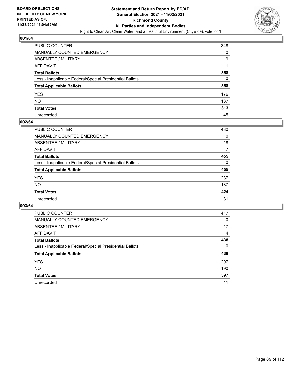

| PUBLIC COUNTER                                           | 348 |
|----------------------------------------------------------|-----|
| MANUALLY COUNTED EMERGENCY                               | 0   |
| ABSENTEE / MILITARY                                      | 9   |
| AFFIDAVIT                                                | 1   |
| Total Ballots                                            | 358 |
| Less - Inapplicable Federal/Special Presidential Ballots | 0   |
| <b>Total Applicable Ballots</b>                          | 358 |
| YES                                                      | 176 |
| NO.                                                      | 137 |
| <b>Total Votes</b>                                       | 313 |
| Unrecorded                                               | 45  |

### **002/64**

| <b>PUBLIC COUNTER</b>                                    | 430      |
|----------------------------------------------------------|----------|
| <b>MANUALLY COUNTED EMERGENCY</b>                        | 0        |
| ABSENTEE / MILITARY                                      | 18       |
| AFFIDAVIT                                                | 7        |
| <b>Total Ballots</b>                                     | 455      |
| Less - Inapplicable Federal/Special Presidential Ballots | $\Omega$ |
| <b>Total Applicable Ballots</b>                          | 455      |
| <b>YES</b>                                               | 237      |
| <b>NO</b>                                                | 187      |
| <b>Total Votes</b>                                       | 424      |
| Unrecorded                                               | 31       |

| <b>PUBLIC COUNTER</b>                                    | 417      |
|----------------------------------------------------------|----------|
| <b>MANUALLY COUNTED EMERGENCY</b>                        | $\Omega$ |
| ABSENTEE / MILITARY                                      | 17       |
| AFFIDAVIT                                                | 4        |
| <b>Total Ballots</b>                                     | 438      |
| Less - Inapplicable Federal/Special Presidential Ballots | $\Omega$ |
| <b>Total Applicable Ballots</b>                          | 438      |
| <b>YES</b>                                               | 207      |
| <b>NO</b>                                                | 190      |
| <b>Total Votes</b>                                       | 397      |
| Unrecorded                                               | 41       |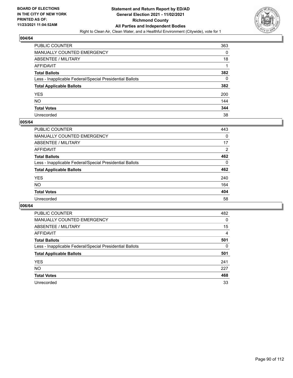

| PUBLIC COUNTER                                           | 363 |
|----------------------------------------------------------|-----|
| MANUALLY COUNTED EMERGENCY                               | 0   |
| ABSENTEE / MILITARY                                      | 18  |
| AFFIDAVIT                                                |     |
| <b>Total Ballots</b>                                     | 382 |
| Less - Inapplicable Federal/Special Presidential Ballots | 0   |
| <b>Total Applicable Ballots</b>                          | 382 |
| YES                                                      | 200 |
| NO.                                                      | 144 |
| <b>Total Votes</b>                                       | 344 |
| Unrecorded                                               | 38  |

### **005/64**

| <b>PUBLIC COUNTER</b>                                    | 443      |
|----------------------------------------------------------|----------|
| <b>MANUALLY COUNTED EMERGENCY</b>                        | 0        |
| ABSENTEE / MILITARY                                      | 17       |
| AFFIDAVIT                                                | 2        |
| <b>Total Ballots</b>                                     | 462      |
| Less - Inapplicable Federal/Special Presidential Ballots | $\Omega$ |
| <b>Total Applicable Ballots</b>                          | 462      |
| <b>YES</b>                                               | 240      |
| <b>NO</b>                                                | 164      |
| <b>Total Votes</b>                                       | 404      |
| Unrecorded                                               | 58       |

| <b>PUBLIC COUNTER</b>                                    | 482      |
|----------------------------------------------------------|----------|
| MANUALLY COUNTED EMERGENCY                               | $\Omega$ |
| ABSENTEE / MILITARY                                      | 15       |
| AFFIDAVIT                                                | 4        |
| <b>Total Ballots</b>                                     | 501      |
| Less - Inapplicable Federal/Special Presidential Ballots | 0        |
| <b>Total Applicable Ballots</b>                          | 501      |
| <b>YES</b>                                               | 241      |
| NO.                                                      | 227      |
| <b>Total Votes</b>                                       | 468      |
| Unrecorded                                               | 33       |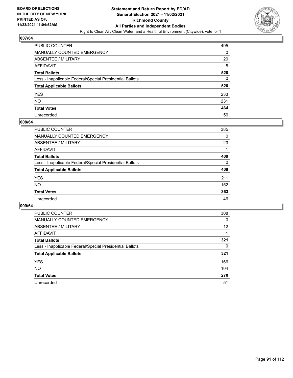

| PUBLIC COUNTER                                           | 495 |
|----------------------------------------------------------|-----|
| MANUALLY COUNTED EMERGENCY                               | 0   |
| <b>ABSENTEE / MILITARY</b>                               | 20  |
| AFFIDAVIT                                                | 5   |
| <b>Total Ballots</b>                                     | 520 |
| Less - Inapplicable Federal/Special Presidential Ballots | 0   |
| <b>Total Applicable Ballots</b>                          | 520 |
| YES                                                      | 233 |
| <b>NO</b>                                                | 231 |
| <b>Total Votes</b>                                       | 464 |
| Unrecorded                                               | 56  |

### **008/64**

| <b>PUBLIC COUNTER</b>                                    | 385      |
|----------------------------------------------------------|----------|
| <b>MANUALLY COUNTED EMERGENCY</b>                        | $\Omega$ |
| ABSENTEE / MILITARY                                      | 23       |
| AFFIDAVIT                                                |          |
| <b>Total Ballots</b>                                     | 409      |
| Less - Inapplicable Federal/Special Presidential Ballots | $\Omega$ |
| <b>Total Applicable Ballots</b>                          | 409      |
| <b>YES</b>                                               | 211      |
| <b>NO</b>                                                | 152      |
| <b>Total Votes</b>                                       | 363      |
| Unrecorded                                               | 46       |

| <b>PUBLIC COUNTER</b>                                    | 308 |
|----------------------------------------------------------|-----|
| MANUALLY COUNTED EMERGENCY                               | 0   |
| ABSENTEE / MILITARY                                      | 12  |
| AFFIDAVIT                                                |     |
| <b>Total Ballots</b>                                     | 321 |
| Less - Inapplicable Federal/Special Presidential Ballots | 0   |
| <b>Total Applicable Ballots</b>                          | 321 |
| <b>YES</b>                                               | 166 |
| <b>NO</b>                                                | 104 |
| <b>Total Votes</b>                                       | 270 |
| Unrecorded                                               | 51  |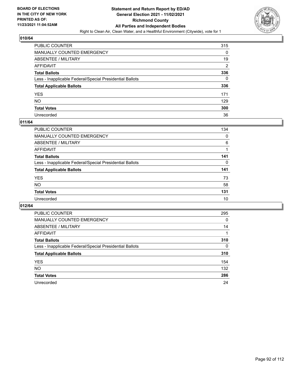

| PUBLIC COUNTER                                           | 315            |
|----------------------------------------------------------|----------------|
| MANUALLY COUNTED EMERGENCY                               | 0              |
| ABSENTEE / MILITARY                                      | 19             |
| AFFIDAVIT                                                | $\overline{2}$ |
| Total Ballots                                            | 336            |
| Less - Inapplicable Federal/Special Presidential Ballots | 0              |
| <b>Total Applicable Ballots</b>                          | 336            |
| YES                                                      | 171            |
| NO.                                                      | 129            |
| <b>Total Votes</b>                                       | 300            |
| Unrecorded                                               | 36             |

#### **011/64**

| <b>PUBLIC COUNTER</b>                                    | 134      |
|----------------------------------------------------------|----------|
| MANUALLY COUNTED EMERGENCY                               | 0        |
| ABSENTEE / MILITARY                                      | 6        |
| AFFIDAVIT                                                |          |
| <b>Total Ballots</b>                                     | 141      |
| Less - Inapplicable Federal/Special Presidential Ballots | $\Omega$ |
| <b>Total Applicable Ballots</b>                          | 141      |
| <b>YES</b>                                               | 73       |
| <b>NO</b>                                                | 58       |
| <b>Total Votes</b>                                       | 131      |
| Unrecorded                                               | 10       |

| <b>PUBLIC COUNTER</b>                                    | 295      |
|----------------------------------------------------------|----------|
| <b>MANUALLY COUNTED EMERGENCY</b>                        | 0        |
| ABSENTEE / MILITARY                                      | 14       |
| AFFIDAVIT                                                |          |
| <b>Total Ballots</b>                                     | 310      |
| Less - Inapplicable Federal/Special Presidential Ballots | $\Omega$ |
| <b>Total Applicable Ballots</b>                          | 310      |
| <b>YES</b>                                               | 154      |
| NO.                                                      | 132      |
| <b>Total Votes</b>                                       | 286      |
| Unrecorded                                               | 24       |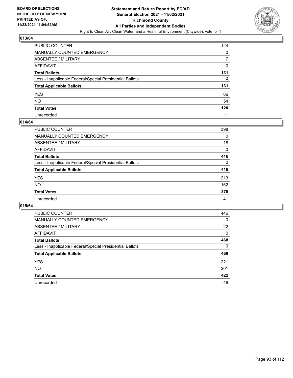

| PUBLIC COUNTER                                           | 124 |
|----------------------------------------------------------|-----|
| MANUALLY COUNTED EMERGENCY                               | 0   |
| ABSENTEE / MILITARY                                      | 7   |
| AFFIDAVIT                                                | 0   |
| <b>Total Ballots</b>                                     | 131 |
| Less - Inapplicable Federal/Special Presidential Ballots | 0   |
| <b>Total Applicable Ballots</b>                          | 131 |
| YES                                                      | 66  |
| NO.                                                      | 54  |
| <b>Total Votes</b>                                       | 120 |
| Unrecorded                                               | 11  |

### **014/64**

| <b>PUBLIC COUNTER</b>                                    | 398      |
|----------------------------------------------------------|----------|
| <b>MANUALLY COUNTED EMERGENCY</b>                        | 0        |
| ABSENTEE / MILITARY                                      | 18       |
| AFFIDAVIT                                                | $\Omega$ |
| <b>Total Ballots</b>                                     | 416      |
| Less - Inapplicable Federal/Special Presidential Ballots | $\Omega$ |
| <b>Total Applicable Ballots</b>                          | 416      |
| <b>YES</b>                                               | 213      |
| <b>NO</b>                                                | 162      |
| <b>Total Votes</b>                                       | 375      |
| Unrecorded                                               | 41       |

| <b>PUBLIC COUNTER</b>                                    | 446      |
|----------------------------------------------------------|----------|
| MANUALLY COUNTED EMERGENCY                               | $\Omega$ |
| ABSENTEE / MILITARY                                      | 22       |
| AFFIDAVIT                                                | $\Omega$ |
| <b>Total Ballots</b>                                     | 468      |
| Less - Inapplicable Federal/Special Presidential Ballots | 0        |
| <b>Total Applicable Ballots</b>                          | 468      |
| <b>YES</b>                                               | 221      |
| NO.                                                      | 201      |
| <b>Total Votes</b>                                       | 422      |
| Unrecorded                                               | 46       |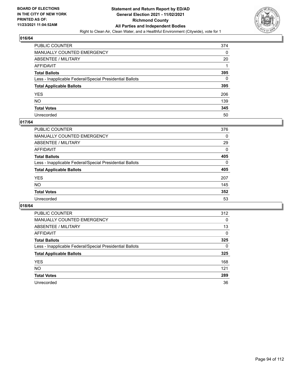

| PUBLIC COUNTER                                           | 374 |
|----------------------------------------------------------|-----|
| MANUALLY COUNTED EMERGENCY                               | 0   |
| ABSENTEE / MILITARY                                      | 20  |
| AFFIDAVIT                                                |     |
| <b>Total Ballots</b>                                     | 395 |
| Less - Inapplicable Federal/Special Presidential Ballots | 0   |
| <b>Total Applicable Ballots</b>                          | 395 |
| YES                                                      | 206 |
| NO.                                                      | 139 |
| <b>Total Votes</b>                                       | 345 |
| Unrecorded                                               | 50  |

### **017/64**

| <b>PUBLIC COUNTER</b>                                    | 376      |
|----------------------------------------------------------|----------|
| <b>MANUALLY COUNTED EMERGENCY</b>                        | 0        |
| ABSENTEE / MILITARY                                      | 29       |
| AFFIDAVIT                                                | 0        |
| <b>Total Ballots</b>                                     | 405      |
| Less - Inapplicable Federal/Special Presidential Ballots | $\Omega$ |
| <b>Total Applicable Ballots</b>                          | 405      |
| <b>YES</b>                                               | 207      |
| <b>NO</b>                                                | 145      |
| <b>Total Votes</b>                                       | 352      |
| Unrecorded                                               | 53       |

| <b>PUBLIC COUNTER</b>                                    | 312 |
|----------------------------------------------------------|-----|
| <b>MANUALLY COUNTED EMERGENCY</b>                        | 0   |
| ABSENTEE / MILITARY                                      | 13  |
| AFFIDAVIT                                                | 0   |
| <b>Total Ballots</b>                                     | 325 |
| Less - Inapplicable Federal/Special Presidential Ballots | 0   |
| <b>Total Applicable Ballots</b>                          | 325 |
| <b>YES</b>                                               | 168 |
| NO.                                                      | 121 |
| <b>Total Votes</b>                                       | 289 |
| Unrecorded                                               | 36  |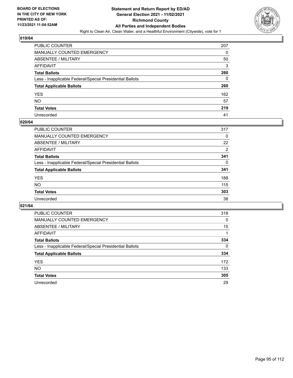

| PUBLIC COUNTER                                           | 207 |
|----------------------------------------------------------|-----|
| MANUALLY COUNTED EMERGENCY                               | 0   |
| ABSENTEE / MILITARY                                      | 50  |
| AFFIDAVIT                                                | 3   |
| Total Ballots                                            | 260 |
| Less - Inapplicable Federal/Special Presidential Ballots | 0   |
| <b>Total Applicable Ballots</b>                          | 260 |
| YES                                                      | 162 |
| NO.                                                      | 57  |
| <b>Total Votes</b>                                       | 219 |
| Unrecorded                                               | 41  |

### **020/64**

| <b>PUBLIC COUNTER</b>                                    | 317      |
|----------------------------------------------------------|----------|
| MANUALLY COUNTED EMERGENCY                               | 0        |
| ABSENTEE / MILITARY                                      | 22       |
| AFFIDAVIT                                                | 2        |
| <b>Total Ballots</b>                                     | 341      |
| Less - Inapplicable Federal/Special Presidential Ballots | $\Omega$ |
| <b>Total Applicable Ballots</b>                          | 341      |
| <b>YES</b>                                               | 188      |
| <b>NO</b>                                                | 115      |
| <b>Total Votes</b>                                       | 303      |
| Unrecorded                                               | 38       |

| <b>PUBLIC COUNTER</b>                                    | 318      |
|----------------------------------------------------------|----------|
| <b>MANUALLY COUNTED EMERGENCY</b>                        | 0        |
| ABSENTEE / MILITARY                                      | 15       |
| AFFIDAVIT                                                |          |
| <b>Total Ballots</b>                                     | 334      |
| Less - Inapplicable Federal/Special Presidential Ballots | $\Omega$ |
| <b>Total Applicable Ballots</b>                          | 334      |
| <b>YES</b>                                               | 172      |
| NO.                                                      | 133      |
| <b>Total Votes</b>                                       | 305      |
| Unrecorded                                               | 29       |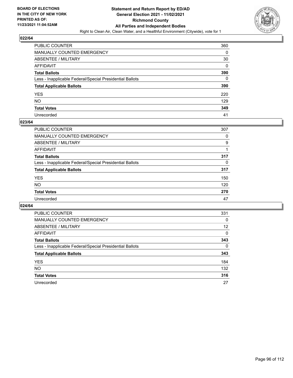

| PUBLIC COUNTER                                           | 360 |
|----------------------------------------------------------|-----|
| MANUALLY COUNTED EMERGENCY                               | 0   |
| ABSENTEE / MILITARY                                      | 30  |
| AFFIDAVIT                                                | 0   |
| <b>Total Ballots</b>                                     | 390 |
| Less - Inapplicable Federal/Special Presidential Ballots | 0   |
| <b>Total Applicable Ballots</b>                          | 390 |
| YES                                                      | 220 |
| NO.                                                      | 129 |
| <b>Total Votes</b>                                       | 349 |
| Unrecorded                                               | 41  |

### **023/64**

| <b>PUBLIC COUNTER</b>                                    | 307      |
|----------------------------------------------------------|----------|
| <b>MANUALLY COUNTED EMERGENCY</b>                        | 0        |
| ABSENTEE / MILITARY                                      | 9        |
| AFFIDAVIT                                                |          |
| <b>Total Ballots</b>                                     | 317      |
| Less - Inapplicable Federal/Special Presidential Ballots | $\Omega$ |
| <b>Total Applicable Ballots</b>                          | 317      |
| <b>YES</b>                                               | 150      |
| <b>NO</b>                                                | 120      |
| <b>Total Votes</b>                                       | 270      |
| Unrecorded                                               | 47       |

| <b>PUBLIC COUNTER</b>                                    | 331      |
|----------------------------------------------------------|----------|
| MANUALLY COUNTED EMERGENCY                               | 0        |
| ABSENTEE / MILITARY                                      | 12       |
| AFFIDAVIT                                                | $\Omega$ |
| <b>Total Ballots</b>                                     | 343      |
| Less - Inapplicable Federal/Special Presidential Ballots | $\Omega$ |
| <b>Total Applicable Ballots</b>                          | 343      |
| <b>YES</b>                                               | 184      |
| <b>NO</b>                                                | 132      |
| <b>Total Votes</b>                                       | 316      |
| Unrecorded                                               | 27       |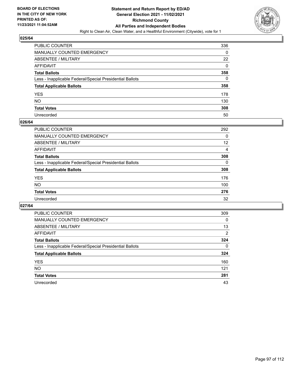

| PUBLIC COUNTER                                           | 336 |
|----------------------------------------------------------|-----|
| MANUALLY COUNTED EMERGENCY                               | 0   |
| ABSENTEE / MILITARY                                      | 22  |
| AFFIDAVIT                                                | 0   |
| Total Ballots                                            | 358 |
| Less - Inapplicable Federal/Special Presidential Ballots | 0   |
| <b>Total Applicable Ballots</b>                          | 358 |
| YES                                                      | 178 |
| NO.                                                      | 130 |
| <b>Total Votes</b>                                       | 308 |
| Unrecorded                                               | 50  |

### **026/64**

| <b>PUBLIC COUNTER</b>                                    | 292      |
|----------------------------------------------------------|----------|
| MANUALLY COUNTED EMERGENCY                               | 0        |
| ABSENTEE / MILITARY                                      | 12       |
| AFFIDAVIT                                                | 4        |
| <b>Total Ballots</b>                                     | 308      |
| Less - Inapplicable Federal/Special Presidential Ballots | $\Omega$ |
| <b>Total Applicable Ballots</b>                          | 308      |
| <b>YES</b>                                               | 176      |
| <b>NO</b>                                                | 100      |
| <b>Total Votes</b>                                       | 276      |
| Unrecorded                                               | 32       |

| <b>PUBLIC COUNTER</b>                                    | 309            |
|----------------------------------------------------------|----------------|
| <b>MANUALLY COUNTED EMERGENCY</b>                        | $\Omega$       |
| ABSENTEE / MILITARY                                      | 13             |
| AFFIDAVIT                                                | $\overline{2}$ |
| <b>Total Ballots</b>                                     | 324            |
| Less - Inapplicable Federal/Special Presidential Ballots | 0              |
| <b>Total Applicable Ballots</b>                          | 324            |
| <b>YES</b>                                               | 160            |
| NO.                                                      | 121            |
| <b>Total Votes</b>                                       | 281            |
| Unrecorded                                               | 43             |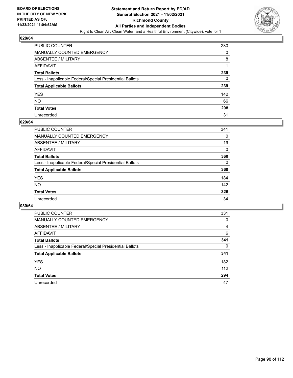

| PUBLIC COUNTER                                           | 230 |
|----------------------------------------------------------|-----|
| MANUALLY COUNTED EMERGENCY                               | 0   |
| ABSENTEE / MILITARY                                      | 8   |
| AFFIDAVIT                                                |     |
| Total Ballots                                            | 239 |
| Less - Inapplicable Federal/Special Presidential Ballots | 0   |
| <b>Total Applicable Ballots</b>                          | 239 |
| YES                                                      | 142 |
| NO.                                                      | 66  |
| <b>Total Votes</b>                                       | 208 |
| Unrecorded                                               | 31  |

### **029/64**

| <b>PUBLIC COUNTER</b>                                    | 341      |
|----------------------------------------------------------|----------|
| <b>MANUALLY COUNTED EMERGENCY</b>                        | 0        |
| ABSENTEE / MILITARY                                      | 19       |
| AFFIDAVIT                                                | 0        |
| <b>Total Ballots</b>                                     | 360      |
| Less - Inapplicable Federal/Special Presidential Ballots | $\Omega$ |
| <b>Total Applicable Ballots</b>                          | 360      |
| <b>YES</b>                                               | 184      |
| <b>NO</b>                                                | 142      |
| <b>Total Votes</b>                                       | 326      |
| Unrecorded                                               | 34       |

| <b>PUBLIC COUNTER</b>                                    | 331      |
|----------------------------------------------------------|----------|
| <b>MANUALLY COUNTED EMERGENCY</b>                        | 0        |
| ABSENTEE / MILITARY                                      | 4        |
| AFFIDAVIT                                                | 6        |
| <b>Total Ballots</b>                                     | 341      |
| Less - Inapplicable Federal/Special Presidential Ballots | $\Omega$ |
| <b>Total Applicable Ballots</b>                          | 341      |
| <b>YES</b>                                               | 182      |
| <b>NO</b>                                                | 112      |
| <b>Total Votes</b>                                       | 294      |
| Unrecorded                                               | 47       |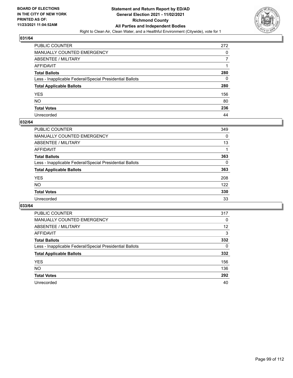

| PUBLIC COUNTER                                           | 272 |
|----------------------------------------------------------|-----|
| MANUALLY COUNTED EMERGENCY                               | 0   |
| ABSENTEE / MILITARY                                      |     |
| AFFIDAVIT                                                |     |
| <b>Total Ballots</b>                                     | 280 |
| Less - Inapplicable Federal/Special Presidential Ballots | 0   |
| <b>Total Applicable Ballots</b>                          | 280 |
| YES                                                      | 156 |
| NO.                                                      | 80  |
| <b>Total Votes</b>                                       | 236 |
| Unrecorded                                               | 44  |

### **032/64**

| PUBLIC COUNTER                                           | 349 |
|----------------------------------------------------------|-----|
| <b>MANUALLY COUNTED EMERGENCY</b>                        | 0   |
| ABSENTEE / MILITARY                                      | 13  |
| AFFIDAVIT                                                |     |
| <b>Total Ballots</b>                                     | 363 |
| Less - Inapplicable Federal/Special Presidential Ballots | 0   |
| <b>Total Applicable Ballots</b>                          | 363 |
| <b>YES</b>                                               | 208 |
| <b>NO</b>                                                | 122 |
| <b>Total Votes</b>                                       | 330 |
| Unrecorded                                               | 33  |

| <b>PUBLIC COUNTER</b>                                    | 317      |
|----------------------------------------------------------|----------|
| MANUALLY COUNTED EMERGENCY                               | 0        |
| ABSENTEE / MILITARY                                      | 12       |
| AFFIDAVIT                                                | 3        |
| <b>Total Ballots</b>                                     | 332      |
| Less - Inapplicable Federal/Special Presidential Ballots | $\Omega$ |
| <b>Total Applicable Ballots</b>                          | 332      |
| <b>YES</b>                                               | 156      |
| <b>NO</b>                                                | 136      |
| <b>Total Votes</b>                                       | 292      |
| Unrecorded                                               | 40       |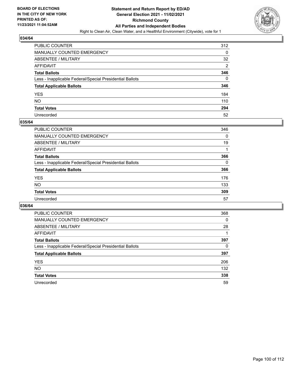

| PUBLIC COUNTER                                           | 312            |
|----------------------------------------------------------|----------------|
| MANUALLY COUNTED EMERGENCY                               | 0              |
| ABSENTEE / MILITARY                                      | 32             |
| AFFIDAVIT                                                | $\overline{2}$ |
| <b>Total Ballots</b>                                     | 346            |
| Less - Inapplicable Federal/Special Presidential Ballots | 0              |
| <b>Total Applicable Ballots</b>                          | 346            |
| YES                                                      | 184            |
| NO.                                                      | 110            |
| <b>Total Votes</b>                                       | 294            |
| Unrecorded                                               | 52             |

### **035/64**

| PUBLIC COUNTER                                           | 346      |
|----------------------------------------------------------|----------|
| <b>MANUALLY COUNTED EMERGENCY</b>                        | $\Omega$ |
| ABSENTEE / MILITARY                                      | 19       |
| AFFIDAVIT                                                |          |
| <b>Total Ballots</b>                                     | 366      |
| Less - Inapplicable Federal/Special Presidential Ballots | $\Omega$ |
| <b>Total Applicable Ballots</b>                          | 366      |
| <b>YES</b>                                               | 176      |
| <b>NO</b>                                                | 133      |
| <b>Total Votes</b>                                       | 309      |
| Unrecorded                                               | 57       |

| <b>PUBLIC COUNTER</b>                                    | 368 |
|----------------------------------------------------------|-----|
| MANUALLY COUNTED EMERGENCY                               | 0   |
| ABSENTEE / MILITARY                                      | 28  |
| AFFIDAVIT                                                |     |
| <b>Total Ballots</b>                                     | 397 |
| Less - Inapplicable Federal/Special Presidential Ballots | 0   |
| <b>Total Applicable Ballots</b>                          | 397 |
| <b>YES</b>                                               | 206 |
| <b>NO</b>                                                | 132 |
| <b>Total Votes</b>                                       | 338 |
| Unrecorded                                               | 59  |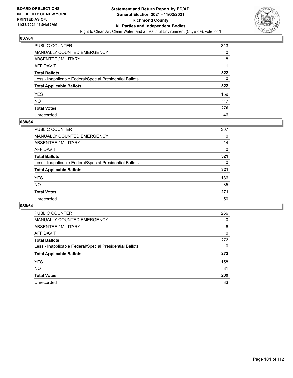

| PUBLIC COUNTER                                           | 313 |
|----------------------------------------------------------|-----|
| MANUALLY COUNTED EMERGENCY                               | 0   |
| <b>ABSENTEE / MILITARY</b>                               | 8   |
| AFFIDAVIT                                                |     |
| <b>Total Ballots</b>                                     | 322 |
| Less - Inapplicable Federal/Special Presidential Ballots | 0   |
| <b>Total Applicable Ballots</b>                          | 322 |
| YES                                                      | 159 |
| NO.                                                      | 117 |
| <b>Total Votes</b>                                       | 276 |
| Unrecorded                                               | 46  |

### **038/64**

| <b>PUBLIC COUNTER</b>                                    | 307 |
|----------------------------------------------------------|-----|
| <b>MANUALLY COUNTED EMERGENCY</b>                        | 0   |
| ABSENTEE / MILITARY                                      | 14  |
| AFFIDAVIT                                                | 0   |
| <b>Total Ballots</b>                                     | 321 |
| Less - Inapplicable Federal/Special Presidential Ballots | 0   |
| <b>Total Applicable Ballots</b>                          | 321 |
| <b>YES</b>                                               | 186 |
| <b>NO</b>                                                | 85  |
| <b>Total Votes</b>                                       | 271 |
| Unrecorded                                               | 50  |

| <b>PUBLIC COUNTER</b>                                    | 266 |
|----------------------------------------------------------|-----|
| MANUALLY COUNTED EMERGENCY                               | 0   |
| ABSENTEE / MILITARY                                      | 6   |
| AFFIDAVIT                                                | 0   |
| <b>Total Ballots</b>                                     | 272 |
| Less - Inapplicable Federal/Special Presidential Ballots | 0   |
| <b>Total Applicable Ballots</b>                          | 272 |
| <b>YES</b>                                               | 158 |
| NO.                                                      | 81  |
| <b>Total Votes</b>                                       | 239 |
| Unrecorded                                               | 33  |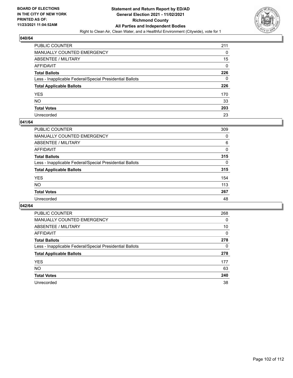

| PUBLIC COUNTER                                           | 211      |
|----------------------------------------------------------|----------|
| <b>MANUALLY COUNTED EMERGENCY</b>                        | 0        |
| <b>ABSENTEE / MILITARY</b>                               | 15       |
| <b>AFFIDAVIT</b>                                         | $\Omega$ |
| <b>Total Ballots</b>                                     | 226      |
| Less - Inapplicable Federal/Special Presidential Ballots | 0        |
| <b>Total Applicable Ballots</b>                          | 226      |
| <b>YES</b>                                               | 170      |
| <b>NO</b>                                                | 33       |
| <b>Total Votes</b>                                       | 203      |
| Unrecorded                                               | 23       |

### **041/64**

| <b>PUBLIC COUNTER</b>                                    | 309      |
|----------------------------------------------------------|----------|
| MANUALLY COUNTED EMERGENCY                               | $\Omega$ |
| ABSENTEE / MILITARY                                      | 6        |
| AFFIDAVIT                                                | $\Omega$ |
| <b>Total Ballots</b>                                     | 315      |
| Less - Inapplicable Federal/Special Presidential Ballots | $\Omega$ |
| <b>Total Applicable Ballots</b>                          | 315      |
| <b>YES</b>                                               | 154      |
| <b>NO</b>                                                | 113      |
| <b>Total Votes</b>                                       | 267      |
| Unrecorded                                               | 48       |

| <b>PUBLIC COUNTER</b>                                    | 268      |
|----------------------------------------------------------|----------|
| MANUALLY COUNTED EMERGENCY                               | 0        |
| ABSENTEE / MILITARY                                      | 10       |
| AFFIDAVIT                                                | $\Omega$ |
| <b>Total Ballots</b>                                     | 278      |
| Less - Inapplicable Federal/Special Presidential Ballots | 0        |
| <b>Total Applicable Ballots</b>                          | 278      |
| <b>YES</b>                                               | 177      |
| <b>NO</b>                                                | 63       |
| <b>Total Votes</b>                                       | 240      |
| Unrecorded                                               | 38       |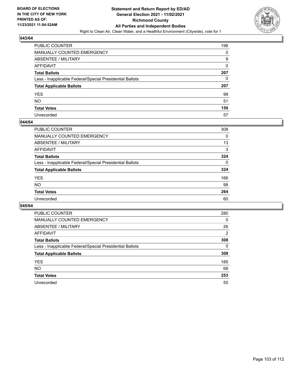

| PUBLIC COUNTER                                           | 198 |
|----------------------------------------------------------|-----|
| MANUALLY COUNTED EMERGENCY                               | 0   |
| <b>ABSENTEE / MILITARY</b>                               | 9   |
| <b>AFFIDAVIT</b>                                         | 0   |
| <b>Total Ballots</b>                                     | 207 |
| Less - Inapplicable Federal/Special Presidential Ballots | 0   |
| <b>Total Applicable Ballots</b>                          | 207 |
| YES                                                      | 99  |
| <b>NO</b>                                                | 51  |
| <b>Total Votes</b>                                       | 150 |
| Unrecorded                                               | 57  |

#### **044/64**

| <b>PUBLIC COUNTER</b>                                    | 308      |
|----------------------------------------------------------|----------|
| <b>MANUALLY COUNTED EMERGENCY</b>                        | 0        |
| ABSENTEE / MILITARY                                      | 13       |
| AFFIDAVIT                                                | 3        |
| <b>Total Ballots</b>                                     | 324      |
| Less - Inapplicable Federal/Special Presidential Ballots | $\Omega$ |
| <b>Total Applicable Ballots</b>                          | 324      |
| <b>YES</b>                                               | 166      |
| <b>NO</b>                                                | 98       |
| <b>Total Votes</b>                                       | 264      |
| Unrecorded                                               | 60       |

| <b>PUBLIC COUNTER</b>                                    | 280      |
|----------------------------------------------------------|----------|
| MANUALLY COUNTED EMERGENCY                               | $\Omega$ |
| ABSENTEE / MILITARY                                      | 26       |
| AFFIDAVIT                                                | 2        |
| <b>Total Ballots</b>                                     | 308      |
| Less - Inapplicable Federal/Special Presidential Ballots | 0        |
| <b>Total Applicable Ballots</b>                          | 308      |
| <b>YES</b>                                               | 185      |
| NO.                                                      | 68       |
| <b>Total Votes</b>                                       | 253      |
| Unrecorded                                               | 55       |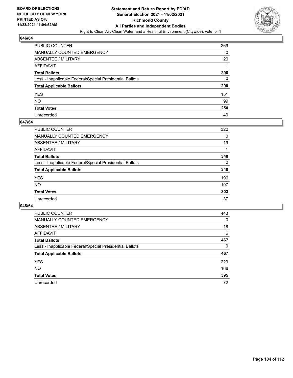

| PUBLIC COUNTER                                           | 269 |
|----------------------------------------------------------|-----|
| MANUALLY COUNTED EMERGENCY                               | 0   |
| ABSENTEE / MILITARY                                      | 20  |
| AFFIDAVIT                                                |     |
| <b>Total Ballots</b>                                     | 290 |
| Less - Inapplicable Federal/Special Presidential Ballots | 0   |
| <b>Total Applicable Ballots</b>                          | 290 |
| YES                                                      | 151 |
| NO.                                                      | 99  |
| <b>Total Votes</b>                                       | 250 |
| Unrecorded                                               | 40  |

### **047/64**

| PUBLIC COUNTER                                           | 320      |
|----------------------------------------------------------|----------|
| <b>MANUALLY COUNTED EMERGENCY</b>                        | 0        |
| ABSENTEE / MILITARY                                      | 19       |
| AFFIDAVIT                                                |          |
| <b>Total Ballots</b>                                     | 340      |
| Less - Inapplicable Federal/Special Presidential Ballots | $\Omega$ |
| <b>Total Applicable Ballots</b>                          | 340      |
| <b>YES</b>                                               | 196      |
| <b>NO</b>                                                | 107      |
| <b>Total Votes</b>                                       | 303      |
| Unrecorded                                               | 37       |

| <b>PUBLIC COUNTER</b>                                    | 443      |
|----------------------------------------------------------|----------|
| MANUALLY COUNTED EMERGENCY                               | $\Omega$ |
| ABSENTEE / MILITARY                                      | 18       |
| AFFIDAVIT                                                | 6        |
| <b>Total Ballots</b>                                     | 467      |
| Less - Inapplicable Federal/Special Presidential Ballots | 0        |
| <b>Total Applicable Ballots</b>                          | 467      |
| <b>YES</b>                                               | 229      |
| NO.                                                      | 166      |
| <b>Total Votes</b>                                       | 395      |
| Unrecorded                                               | 72       |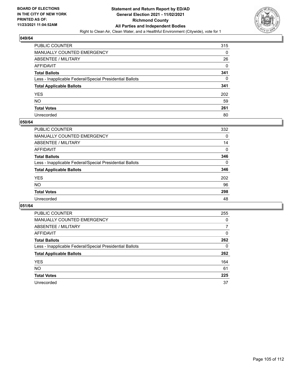

| PUBLIC COUNTER                                           | 315 |
|----------------------------------------------------------|-----|
| MANUALLY COUNTED EMERGENCY                               | 0   |
| ABSENTEE / MILITARY                                      | 26  |
| AFFIDAVIT                                                | 0   |
| <b>Total Ballots</b>                                     | 341 |
| Less - Inapplicable Federal/Special Presidential Ballots | 0   |
| <b>Total Applicable Ballots</b>                          | 341 |
| YES                                                      | 202 |
| NO.                                                      | 59  |
| <b>Total Votes</b>                                       | 261 |
| Unrecorded                                               | 80  |

### **050/64**

| PUBLIC COUNTER                                           | 332      |
|----------------------------------------------------------|----------|
| <b>MANUALLY COUNTED EMERGENCY</b>                        | $\Omega$ |
| ABSENTEE / MILITARY                                      | 14       |
| AFFIDAVIT                                                | 0        |
| <b>Total Ballots</b>                                     | 346      |
| Less - Inapplicable Federal/Special Presidential Ballots | $\Omega$ |
| <b>Total Applicable Ballots</b>                          | 346      |
| <b>YES</b>                                               | 202      |
| <b>NO</b>                                                | 96       |
| <b>Total Votes</b>                                       | 298      |
| Unrecorded                                               | 48       |

| <b>PUBLIC COUNTER</b>                                    | 255      |
|----------------------------------------------------------|----------|
| MANUALLY COUNTED EMERGENCY                               | 0        |
| ABSENTEE / MILITARY                                      | 7        |
| AFFIDAVIT                                                | $\Omega$ |
| <b>Total Ballots</b>                                     | 262      |
| Less - Inapplicable Federal/Special Presidential Ballots | 0        |
| <b>Total Applicable Ballots</b>                          | 262      |
| <b>YES</b>                                               | 164      |
| <b>NO</b>                                                | 61       |
| <b>Total Votes</b>                                       | 225      |
| Unrecorded                                               | 37       |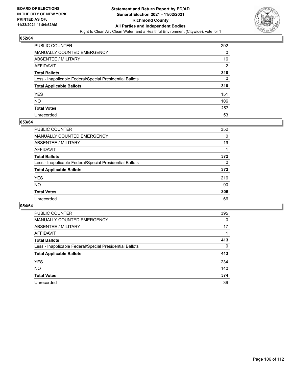

| PUBLIC COUNTER                                           | 292 |
|----------------------------------------------------------|-----|
| MANUALLY COUNTED EMERGENCY                               | 0   |
| <b>ABSENTEE / MILITARY</b>                               | 16  |
| AFFIDAVIT                                                | 2   |
| <b>Total Ballots</b>                                     | 310 |
| Less - Inapplicable Federal/Special Presidential Ballots | 0   |
| <b>Total Applicable Ballots</b>                          | 310 |
| YES                                                      | 151 |
| <b>NO</b>                                                | 106 |
| <b>Total Votes</b>                                       | 257 |
| Unrecorded                                               | 53  |

### **053/64**

| PUBLIC COUNTER                                           | 352      |
|----------------------------------------------------------|----------|
| <b>MANUALLY COUNTED EMERGENCY</b>                        | $\Omega$ |
| ABSENTEE / MILITARY                                      | 19       |
| AFFIDAVIT                                                |          |
| <b>Total Ballots</b>                                     | 372      |
| Less - Inapplicable Federal/Special Presidential Ballots | $\Omega$ |
| <b>Total Applicable Ballots</b>                          | 372      |
| <b>YES</b>                                               | 216      |
| <b>NO</b>                                                | 90       |
| <b>Total Votes</b>                                       | 306      |
| Unrecorded                                               | 66       |

| <b>PUBLIC COUNTER</b>                                    | 395      |
|----------------------------------------------------------|----------|
| MANUALLY COUNTED EMERGENCY                               | 0        |
| ABSENTEE / MILITARY                                      | 17       |
| AFFIDAVIT                                                |          |
| <b>Total Ballots</b>                                     | 413      |
| Less - Inapplicable Federal/Special Presidential Ballots | $\Omega$ |
| <b>Total Applicable Ballots</b>                          | 413      |
| <b>YES</b>                                               | 234      |
| <b>NO</b>                                                | 140      |
| <b>Total Votes</b>                                       | 374      |
| Unrecorded                                               | 39       |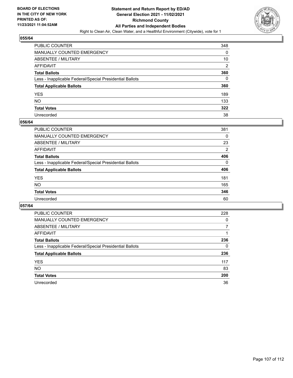

| PUBLIC COUNTER                                           | 348            |
|----------------------------------------------------------|----------------|
| MANUALLY COUNTED EMERGENCY                               | 0              |
| ABSENTEE / MILITARY                                      | 10             |
| AFFIDAVIT                                                | $\overline{2}$ |
| <b>Total Ballots</b>                                     | 360            |
| Less - Inapplicable Federal/Special Presidential Ballots | 0              |
| <b>Total Applicable Ballots</b>                          | 360            |
| YES                                                      | 189            |
| NO.                                                      | 133            |
| <b>Total Votes</b>                                       | 322            |
| Unrecorded                                               | 38             |

### **056/64**

| <b>PUBLIC COUNTER</b>                                    | 381            |
|----------------------------------------------------------|----------------|
| <b>MANUALLY COUNTED EMERGENCY</b>                        | 0              |
| ABSENTEE / MILITARY                                      | 23             |
| AFFIDAVIT                                                | $\overline{2}$ |
| <b>Total Ballots</b>                                     | 406            |
| Less - Inapplicable Federal/Special Presidential Ballots | $\Omega$       |
| <b>Total Applicable Ballots</b>                          | 406            |
| <b>YES</b>                                               | 181            |
| <b>NO</b>                                                | 165            |
| <b>Total Votes</b>                                       | 346            |
| Unrecorded                                               | 60             |

| <b>PUBLIC COUNTER</b>                                    | 228 |
|----------------------------------------------------------|-----|
| <b>MANUALLY COUNTED EMERGENCY</b>                        | 0   |
| ABSENTEE / MILITARY                                      |     |
| AFFIDAVIT                                                |     |
| <b>Total Ballots</b>                                     | 236 |
| Less - Inapplicable Federal/Special Presidential Ballots | 0   |
| <b>Total Applicable Ballots</b>                          | 236 |
| <b>YES</b>                                               | 117 |
| <b>NO</b>                                                | 83  |
| <b>Total Votes</b>                                       | 200 |
| Unrecorded                                               | 36  |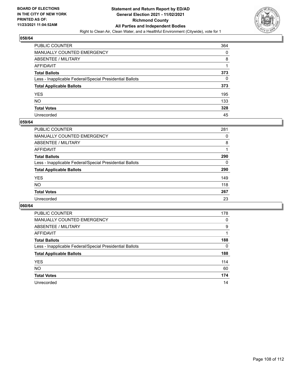

| PUBLIC COUNTER                                           | 364 |
|----------------------------------------------------------|-----|
| MANUALLY COUNTED EMERGENCY                               | 0   |
| ABSENTEE / MILITARY                                      | 8   |
| AFFIDAVIT                                                |     |
| Total Ballots                                            | 373 |
| Less - Inapplicable Federal/Special Presidential Ballots | 0   |
| <b>Total Applicable Ballots</b>                          | 373 |
| YES                                                      | 195 |
| NO.                                                      | 133 |
| <b>Total Votes</b>                                       | 328 |
| Unrecorded                                               | 45  |

### **059/64**

| <b>PUBLIC COUNTER</b>                                    | 281      |
|----------------------------------------------------------|----------|
| MANUALLY COUNTED EMERGENCY                               | 0        |
| ABSENTEE / MILITARY                                      | 8        |
| AFFIDAVIT                                                |          |
| <b>Total Ballots</b>                                     | 290      |
| Less - Inapplicable Federal/Special Presidential Ballots | $\Omega$ |
| <b>Total Applicable Ballots</b>                          | 290      |
| <b>YES</b>                                               | 149      |
| <b>NO</b>                                                | 118      |
| <b>Total Votes</b>                                       | 267      |
| Unrecorded                                               | 23       |

| <b>PUBLIC COUNTER</b>                                    | 178      |
|----------------------------------------------------------|----------|
| <b>MANUALLY COUNTED EMERGENCY</b>                        | 0        |
| ABSENTEE / MILITARY                                      | 9        |
| AFFIDAVIT                                                |          |
| <b>Total Ballots</b>                                     | 188      |
| Less - Inapplicable Federal/Special Presidential Ballots | $\Omega$ |
| <b>Total Applicable Ballots</b>                          | 188      |
| <b>YES</b>                                               | 114      |
| <b>NO</b>                                                | 60       |
| <b>Total Votes</b>                                       | 174      |
| Unrecorded                                               | 14       |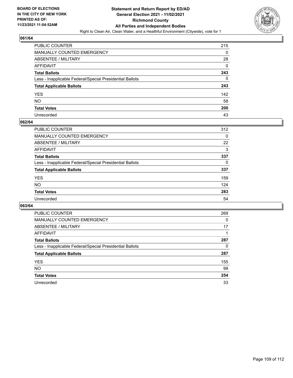

## **061/64**

| PUBLIC COUNTER                                           | 215 |
|----------------------------------------------------------|-----|
| MANUALLY COUNTED EMERGENCY                               | 0   |
| <b>ABSENTEE / MILITARY</b>                               | 28  |
| AFFIDAVIT                                                | 0   |
| <b>Total Ballots</b>                                     | 243 |
| Less - Inapplicable Federal/Special Presidential Ballots | 0   |
| <b>Total Applicable Ballots</b>                          | 243 |
| YES                                                      | 142 |
| NO.                                                      | 58  |
| <b>Total Votes</b>                                       | 200 |
| Unrecorded                                               | 43  |

### **062/64**

| <b>PUBLIC COUNTER</b>                                    | 312      |
|----------------------------------------------------------|----------|
| <b>MANUALLY COUNTED EMERGENCY</b>                        | $\Omega$ |
| ABSENTEE / MILITARY                                      | 22       |
| AFFIDAVIT                                                | 3        |
| <b>Total Ballots</b>                                     | 337      |
| Less - Inapplicable Federal/Special Presidential Ballots | 0        |
| <b>Total Applicable Ballots</b>                          | 337      |
| <b>YES</b>                                               | 159      |
| <b>NO</b>                                                | 124      |
| <b>Total Votes</b>                                       | 283      |
| Unrecorded                                               | 54       |

### **063/64**

| <b>PUBLIC COUNTER</b>                                    | 269      |
|----------------------------------------------------------|----------|
| MANUALLY COUNTED EMERGENCY                               | $\Omega$ |
| ABSENTEE / MILITARY                                      | 17       |
| AFFIDAVIT                                                |          |
| <b>Total Ballots</b>                                     | 287      |
| Less - Inapplicable Federal/Special Presidential Ballots | 0        |
| <b>Total Applicable Ballots</b>                          | 287      |
| <b>YES</b>                                               | 155      |
| NO.                                                      | 99       |
| <b>Total Votes</b>                                       | 254      |
| Unrecorded                                               | 33       |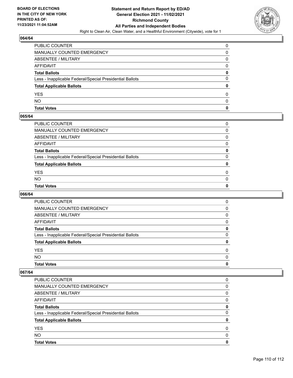

## **064/64**

| PUBLIC COUNTER                                           | 0 |
|----------------------------------------------------------|---|
| <b>MANUALLY COUNTED EMERGENCY</b>                        | 0 |
| ABSENTEE / MILITARY                                      | 0 |
| AFFIDAVIT                                                | 0 |
| <b>Total Ballots</b>                                     | 0 |
| Less - Inapplicable Federal/Special Presidential Ballots | 0 |
| <b>Total Applicable Ballots</b>                          | 0 |
| <b>YES</b>                                               | 0 |
| <b>NO</b>                                                | 0 |
| <b>Total Votes</b>                                       | 0 |

### **065/64**

| PUBLIC COUNTER                                           | 0        |
|----------------------------------------------------------|----------|
| MANUALLY COUNTED EMERGENCY                               | $\Omega$ |
| ABSENTEE / MILITARY                                      | $\Omega$ |
| AFFIDAVIT                                                | $\Omega$ |
| <b>Total Ballots</b>                                     | 0        |
| Less - Inapplicable Federal/Special Presidential Ballots | $\Omega$ |
| <b>Total Applicable Ballots</b>                          | 0        |
| <b>YES</b>                                               | 0        |
| NO.                                                      | $\Omega$ |
| <b>Total Votes</b>                                       | 0        |
|                                                          |          |

# **066/64**

| 0        |
|----------|
| 0        |
| 0        |
| 0        |
| 0        |
| $\Omega$ |
| 0        |
| 0        |
| $\Omega$ |
| 0        |
|          |

## **067/64**

| <b>Total Votes</b>                                       | O |
|----------------------------------------------------------|---|
| NO.                                                      | O |
| <b>YES</b>                                               | 0 |
| <b>Total Applicable Ballots</b>                          |   |
| Less - Inapplicable Federal/Special Presidential Ballots | 0 |
| <b>Total Ballots</b>                                     | 0 |
| AFFIDAVIT                                                | 0 |
| ABSENTEE / MILITARY                                      | 0 |
| MANUALLY COUNTED EMERGENCY                               | 0 |
| PUBLIC COUNTER                                           | 0 |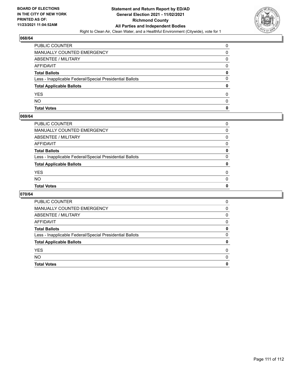

## **068/64**

| PUBLIC COUNTER                                           |   |
|----------------------------------------------------------|---|
| MANUALLY COUNTED EMERGENCY                               | 0 |
| <b>ABSENTEE / MILITARY</b>                               | 0 |
| AFFIDAVIT                                                | 0 |
| <b>Total Ballots</b>                                     | 0 |
| Less - Inapplicable Federal/Special Presidential Ballots | 0 |
| <b>Total Applicable Ballots</b>                          | 0 |
| <b>YES</b>                                               | 0 |
| <b>NO</b>                                                | 0 |
| <b>Total Votes</b>                                       | 0 |

## **069/64**

| PUBLIC COUNTER                                           | 0            |
|----------------------------------------------------------|--------------|
| MANUALLY COUNTED EMERGENCY                               | 0            |
| ABSENTEE / MILITARY                                      | 0            |
| AFFIDAVIT                                                | $\mathbf{0}$ |
| Total Ballots                                            | 0            |
| Less - Inapplicable Federal/Special Presidential Ballots | $\Omega$     |
| <b>Total Applicable Ballots</b>                          | $\mathbf{0}$ |
| YES                                                      | 0            |
| NO.                                                      | $\Omega$     |
| <b>Total Votes</b>                                       | $\mathbf{0}$ |
|                                                          |              |

# **070/64**

| <b>Total Votes</b>                                       | 0 |
|----------------------------------------------------------|---|
| <b>NO</b>                                                | 0 |
| <b>YES</b>                                               | 0 |
| <b>Total Applicable Ballots</b>                          | 0 |
| Less - Inapplicable Federal/Special Presidential Ballots | 0 |
| <b>Total Ballots</b>                                     | 0 |
| AFFIDAVIT                                                | 0 |
| ABSENTEE / MILITARY                                      | 0 |
| <b>MANUALLY COUNTED EMERGENCY</b>                        | 0 |
| PUBLIC COUNTER                                           | 0 |